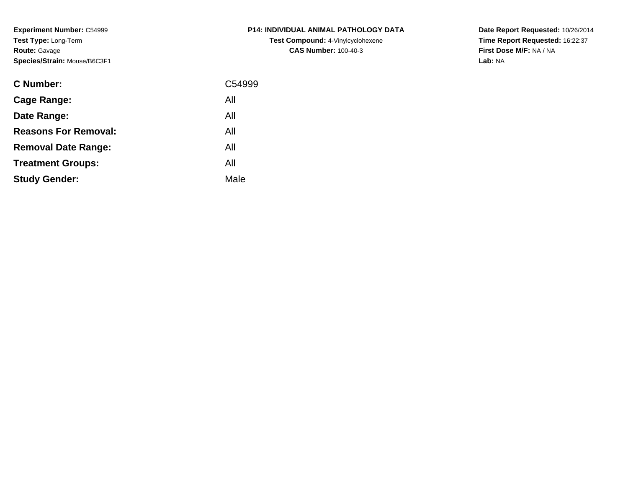**Experiment Number:** C54999**Test Type:** Long-Term**Route:** Gavage**Species/Strain:** Mouse/B6C3F1

| <b>C Number:</b>            | C54999 |
|-----------------------------|--------|
| Cage Range:                 | All    |
| Date Range:                 | All    |
| <b>Reasons For Removal:</b> | All    |
| <b>Removal Date Range:</b>  | All    |
| <b>Treatment Groups:</b>    | All    |
| <b>Study Gender:</b>        | Male   |
|                             |        |

## **P14: INDIVIDUAL ANIMAL PATHOLOGY DATATest Compound:** 4-Vinylcyclohexene**CAS Number:** 100-40-3

**Date Report Requested:** 10/26/2014 **Time Report Requested:** 16:22:37**First Dose M/F:** NA / NA**Lab:** NA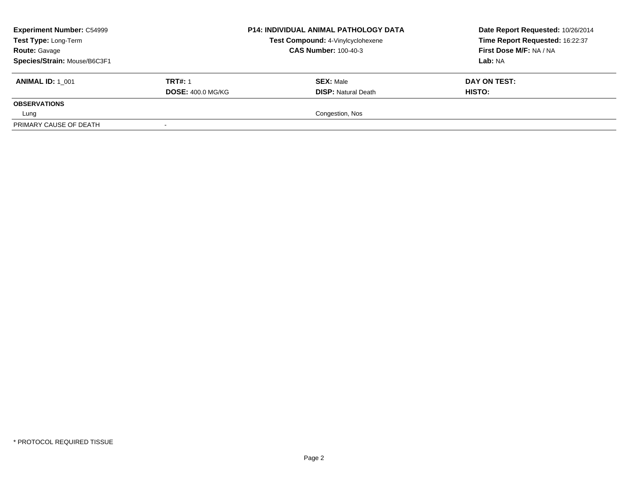| <b>Experiment Number: C54999</b><br>Test Type: Long-Term<br><b>Route: Gavage</b> |                          | <b>P14: INDIVIDUAL ANIMAL PATHOLOGY DATA</b><br>Test Compound: 4-Vinylcyclohexene<br><b>CAS Number: 100-40-3</b> | Date Report Requested: 10/26/2014<br>Time Report Requested: 16:22:37<br>First Dose M/F: NA / NA |
|----------------------------------------------------------------------------------|--------------------------|------------------------------------------------------------------------------------------------------------------|-------------------------------------------------------------------------------------------------|
| Species/Strain: Mouse/B6C3F1                                                     |                          |                                                                                                                  | Lab: NA                                                                                         |
| <b>ANIMAL ID: 1 001</b>                                                          | <b>TRT#: 1</b>           | <b>SEX: Male</b>                                                                                                 | DAY ON TEST:                                                                                    |
|                                                                                  | <b>DOSE: 400.0 MG/KG</b> | <b>DISP: Natural Death</b>                                                                                       | <b>HISTO:</b>                                                                                   |
| <b>OBSERVATIONS</b>                                                              |                          |                                                                                                                  |                                                                                                 |
| Lung                                                                             |                          | Congestion, Nos                                                                                                  |                                                                                                 |
| PRIMARY CAUSE OF DEATH                                                           |                          |                                                                                                                  |                                                                                                 |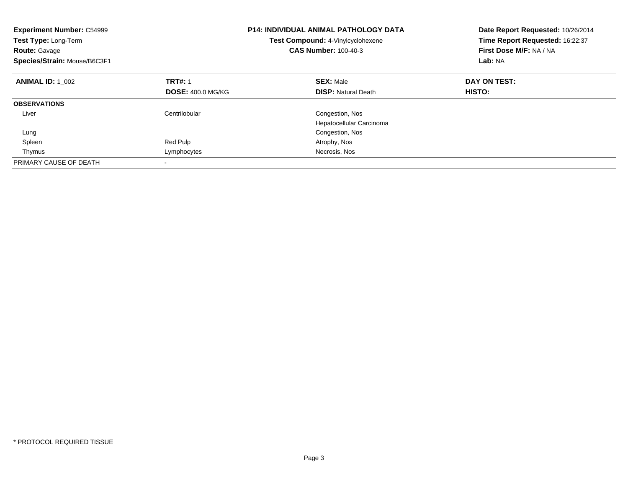| <b>Experiment Number: C54999</b><br>Test Type: Long-Term<br><b>Route: Gavage</b><br>Species/Strain: Mouse/B6C3F1 |                                            | <b>P14: INDIVIDUAL ANIMAL PATHOLOGY DATA</b><br>Test Compound: 4-Vinylcyclohexene<br><b>CAS Number: 100-40-3</b> | Date Report Requested: 10/26/2014<br>Time Report Requested: 16:22:37<br>First Dose M/F: NA / NA<br>Lab: NA |
|------------------------------------------------------------------------------------------------------------------|--------------------------------------------|------------------------------------------------------------------------------------------------------------------|------------------------------------------------------------------------------------------------------------|
| <b>ANIMAL ID: 1 002</b>                                                                                          | <b>TRT#: 1</b><br><b>DOSE: 400.0 MG/KG</b> | <b>SEX: Male</b><br><b>DISP:</b> Natural Death                                                                   | DAY ON TEST:<br>HISTO:                                                                                     |
| <b>OBSERVATIONS</b>                                                                                              |                                            |                                                                                                                  |                                                                                                            |
| Liver                                                                                                            | Centrilobular                              | Congestion, Nos<br>Hepatocellular Carcinoma                                                                      |                                                                                                            |
| Lung                                                                                                             |                                            | Congestion, Nos                                                                                                  |                                                                                                            |
| Spleen                                                                                                           | Red Pulp                                   | Atrophy, Nos                                                                                                     |                                                                                                            |
| Thymus                                                                                                           | Lymphocytes                                | Necrosis, Nos                                                                                                    |                                                                                                            |
| PRIMARY CAUSE OF DEATH                                                                                           |                                            |                                                                                                                  |                                                                                                            |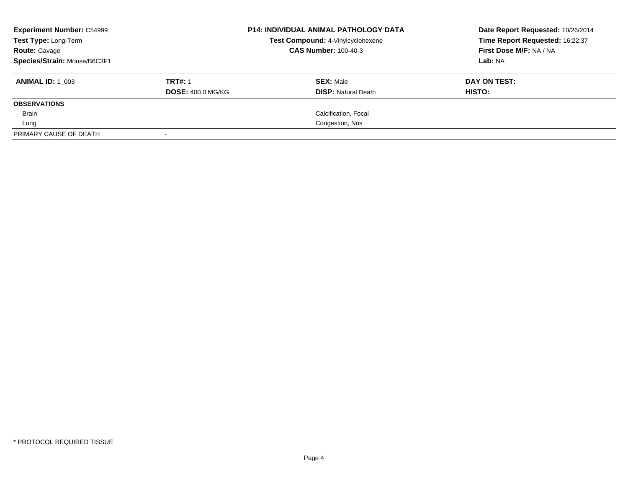| <b>Experiment Number: C54999</b><br>Test Type: Long-Term<br><b>Route: Gavage</b><br>Species/Strain: Mouse/B6C3F1 |                                            | <b>P14: INDIVIDUAL ANIMAL PATHOLOGY DATA</b><br>Test Compound: 4-Vinylcyclohexene<br><b>CAS Number: 100-40-3</b> | Date Report Requested: 10/26/2014<br>Time Report Requested: 16:22:37<br>First Dose M/F: NA / NA<br>Lab: NA |
|------------------------------------------------------------------------------------------------------------------|--------------------------------------------|------------------------------------------------------------------------------------------------------------------|------------------------------------------------------------------------------------------------------------|
| <b>ANIMAL ID: 1 003</b>                                                                                          | <b>TRT#: 1</b><br><b>DOSE: 400.0 MG/KG</b> | <b>SEX: Male</b><br><b>DISP: Natural Death</b>                                                                   | DAY ON TEST:<br>HISTO:                                                                                     |
| <b>OBSERVATIONS</b>                                                                                              |                                            |                                                                                                                  |                                                                                                            |
| Brain                                                                                                            |                                            | Calcification, Focal                                                                                             |                                                                                                            |
| Lung                                                                                                             |                                            | Congestion, Nos                                                                                                  |                                                                                                            |
| PRIMARY CAUSE OF DEATH                                                                                           |                                            |                                                                                                                  |                                                                                                            |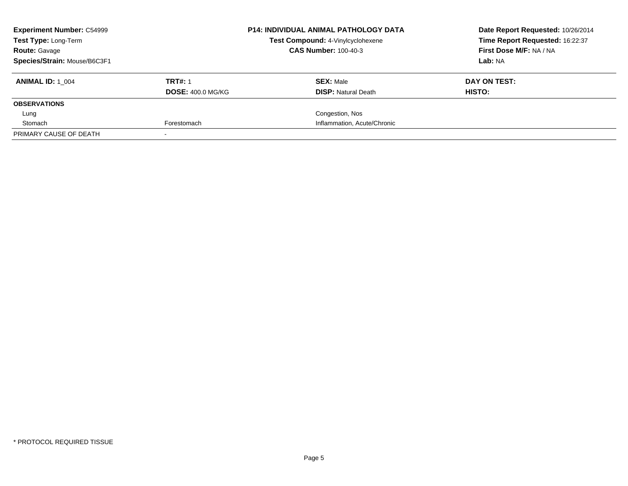| <b>Experiment Number: C54999</b><br><b>Test Type: Long-Term</b><br><b>Route: Gavage</b> |                          | <b>P14: INDIVIDUAL ANIMAL PATHOLOGY DATA</b><br>Test Compound: 4-Vinylcyclohexene<br><b>CAS Number: 100-40-3</b> | Date Report Requested: 10/26/2014<br>Time Report Requested: 16:22:37<br>First Dose M/F: NA / NA |
|-----------------------------------------------------------------------------------------|--------------------------|------------------------------------------------------------------------------------------------------------------|-------------------------------------------------------------------------------------------------|
| Species/Strain: Mouse/B6C3F1                                                            |                          |                                                                                                                  | Lab: NA                                                                                         |
| <b>ANIMAL ID: 1 004</b>                                                                 | <b>TRT#: 1</b>           | <b>SEX: Male</b>                                                                                                 | DAY ON TEST:                                                                                    |
|                                                                                         | <b>DOSE: 400.0 MG/KG</b> | <b>DISP:</b> Natural Death                                                                                       | HISTO:                                                                                          |
| <b>OBSERVATIONS</b>                                                                     |                          |                                                                                                                  |                                                                                                 |
| Lung                                                                                    |                          | Congestion, Nos                                                                                                  |                                                                                                 |
| Stomach                                                                                 | Forestomach              | Inflammation, Acute/Chronic                                                                                      |                                                                                                 |
| PRIMARY CAUSE OF DEATH                                                                  |                          |                                                                                                                  |                                                                                                 |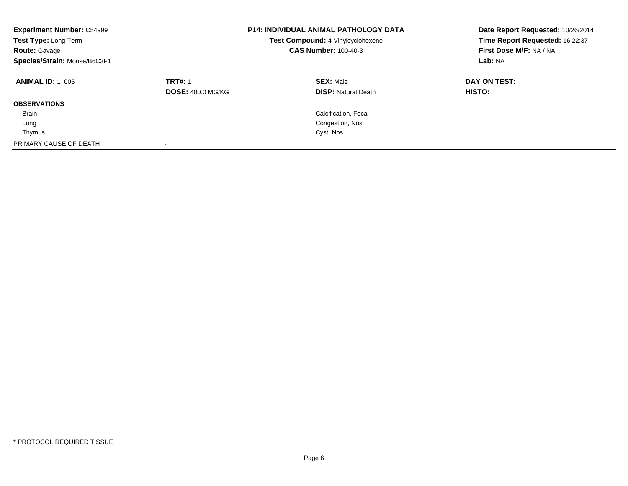| <b>Experiment Number: C54999</b><br>Test Type: Long-Term<br><b>Route: Gavage</b><br>Species/Strain: Mouse/B6C3F1 |                          | <b>P14: INDIVIDUAL ANIMAL PATHOLOGY DATA</b><br>Test Compound: 4-Vinylcyclohexene<br><b>CAS Number: 100-40-3</b> | Date Report Requested: 10/26/2014<br>Time Report Requested: 16:22:37<br>First Dose M/F: NA / NA<br>Lab: NA |
|------------------------------------------------------------------------------------------------------------------|--------------------------|------------------------------------------------------------------------------------------------------------------|------------------------------------------------------------------------------------------------------------|
| <b>ANIMAL ID:</b> 1 005                                                                                          | <b>TRT#: 1</b>           | <b>SEX: Male</b>                                                                                                 | DAY ON TEST:                                                                                               |
|                                                                                                                  | <b>DOSE: 400.0 MG/KG</b> | <b>DISP: Natural Death</b>                                                                                       | <b>HISTO:</b>                                                                                              |
| <b>OBSERVATIONS</b>                                                                                              |                          |                                                                                                                  |                                                                                                            |
| <b>Brain</b>                                                                                                     |                          | Calcification, Focal                                                                                             |                                                                                                            |
| Lung                                                                                                             |                          | Congestion, Nos                                                                                                  |                                                                                                            |
| Thymus                                                                                                           |                          | Cyst, Nos                                                                                                        |                                                                                                            |
| PRIMARY CAUSE OF DEATH                                                                                           |                          |                                                                                                                  |                                                                                                            |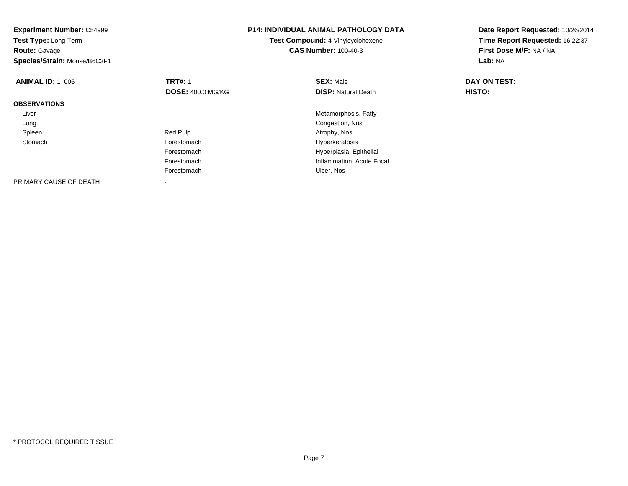| <b>Experiment Number: C54999</b><br>Test Type: Long-Term<br><b>Route: Gavage</b><br>Species/Strain: Mouse/B6C3F1 |                                            | <b>P14: INDIVIDUAL ANIMAL PATHOLOGY DATA</b><br>Test Compound: 4-Vinylcyclohexene<br><b>CAS Number: 100-40-3</b> | Date Report Requested: 10/26/2014<br>Time Report Requested: 16:22:37<br>First Dose M/F: NA / NA<br>Lab: NA |
|------------------------------------------------------------------------------------------------------------------|--------------------------------------------|------------------------------------------------------------------------------------------------------------------|------------------------------------------------------------------------------------------------------------|
| <b>ANIMAL ID: 1 006</b>                                                                                          | <b>TRT#: 1</b><br><b>DOSE: 400.0 MG/KG</b> | <b>SEX: Male</b><br><b>DISP:</b> Natural Death                                                                   | DAY ON TEST:<br>HISTO:                                                                                     |
| <b>OBSERVATIONS</b>                                                                                              |                                            |                                                                                                                  |                                                                                                            |
| Liver                                                                                                            |                                            | Metamorphosis, Fatty                                                                                             |                                                                                                            |
| Lung                                                                                                             |                                            | Congestion, Nos                                                                                                  |                                                                                                            |
| Spleen                                                                                                           | Red Pulp                                   | Atrophy, Nos                                                                                                     |                                                                                                            |
| Stomach                                                                                                          | Forestomach                                | Hyperkeratosis                                                                                                   |                                                                                                            |
|                                                                                                                  | Forestomach                                | Hyperplasia, Epithelial                                                                                          |                                                                                                            |
|                                                                                                                  | Forestomach                                | Inflammation, Acute Focal                                                                                        |                                                                                                            |
|                                                                                                                  | Forestomach                                | Ulcer, Nos                                                                                                       |                                                                                                            |
| PRIMARY CAUSE OF DEATH                                                                                           |                                            |                                                                                                                  |                                                                                                            |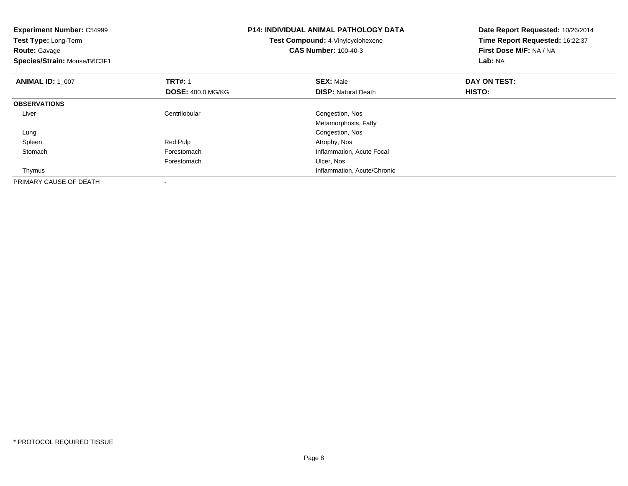| <b>Experiment Number: C54999</b><br>Test Type: Long-Term<br><b>Route: Gavage</b><br>Species/Strain: Mouse/B6C3F1 |                          | <b>P14: INDIVIDUAL ANIMAL PATHOLOGY DATA</b><br>Test Compound: 4-Vinylcyclohexene<br><b>CAS Number: 100-40-3</b> | Date Report Requested: 10/26/2014<br>Time Report Requested: 16:22:37<br>First Dose M/F: NA / NA<br>Lab: NA |
|------------------------------------------------------------------------------------------------------------------|--------------------------|------------------------------------------------------------------------------------------------------------------|------------------------------------------------------------------------------------------------------------|
| <b>ANIMAL ID: 1_007</b>                                                                                          | <b>TRT#: 1</b>           | <b>SEX: Male</b>                                                                                                 | DAY ON TEST:                                                                                               |
|                                                                                                                  | <b>DOSE: 400.0 MG/KG</b> | <b>DISP: Natural Death</b>                                                                                       | HISTO:                                                                                                     |
| <b>OBSERVATIONS</b>                                                                                              |                          |                                                                                                                  |                                                                                                            |
| Liver                                                                                                            | Centrilobular            | Congestion, Nos                                                                                                  |                                                                                                            |
|                                                                                                                  |                          | Metamorphosis, Fatty                                                                                             |                                                                                                            |
| Lung                                                                                                             |                          | Congestion, Nos                                                                                                  |                                                                                                            |
| Spleen                                                                                                           | Red Pulp                 | Atrophy, Nos                                                                                                     |                                                                                                            |
| Stomach                                                                                                          | Forestomach              | Inflammation, Acute Focal                                                                                        |                                                                                                            |
|                                                                                                                  | Forestomach              | Ulcer, Nos                                                                                                       |                                                                                                            |
| Thymus                                                                                                           |                          | Inflammation, Acute/Chronic                                                                                      |                                                                                                            |
| PRIMARY CAUSE OF DEATH                                                                                           | $\,$                     |                                                                                                                  |                                                                                                            |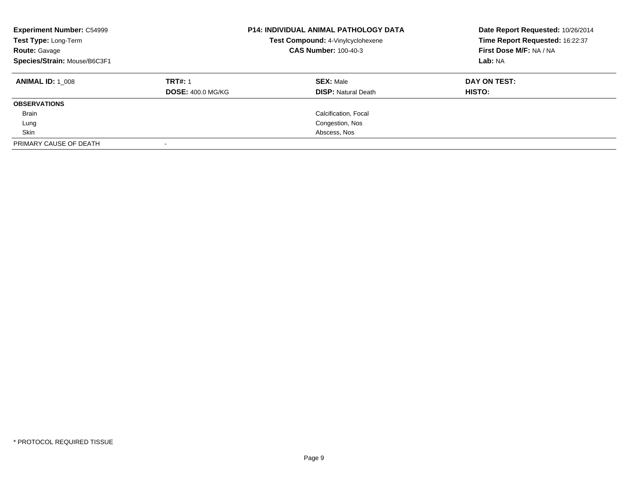| <b>Experiment Number: C54999</b><br>Test Type: Long-Term<br><b>Route: Gavage</b><br>Species/Strain: Mouse/B6C3F1 |                          | <b>P14: INDIVIDUAL ANIMAL PATHOLOGY DATA</b><br>Test Compound: 4-Vinylcyclohexene<br><b>CAS Number: 100-40-3</b> | Date Report Requested: 10/26/2014<br>Time Report Requested: 16:22:37<br>First Dose M/F: NA / NA<br>Lab: NA |
|------------------------------------------------------------------------------------------------------------------|--------------------------|------------------------------------------------------------------------------------------------------------------|------------------------------------------------------------------------------------------------------------|
| <b>ANIMAL ID:</b> 1 008                                                                                          | <b>TRT#: 1</b>           | <b>SEX: Male</b>                                                                                                 | DAY ON TEST:                                                                                               |
|                                                                                                                  | <b>DOSE: 400.0 MG/KG</b> | <b>DISP: Natural Death</b>                                                                                       | <b>HISTO:</b>                                                                                              |
| <b>OBSERVATIONS</b>                                                                                              |                          |                                                                                                                  |                                                                                                            |
| <b>Brain</b>                                                                                                     |                          | Calcification, Focal                                                                                             |                                                                                                            |
| Lung                                                                                                             |                          | Congestion, Nos                                                                                                  |                                                                                                            |
| Skin                                                                                                             |                          | Abscess, Nos                                                                                                     |                                                                                                            |
| PRIMARY CAUSE OF DEATH                                                                                           |                          |                                                                                                                  |                                                                                                            |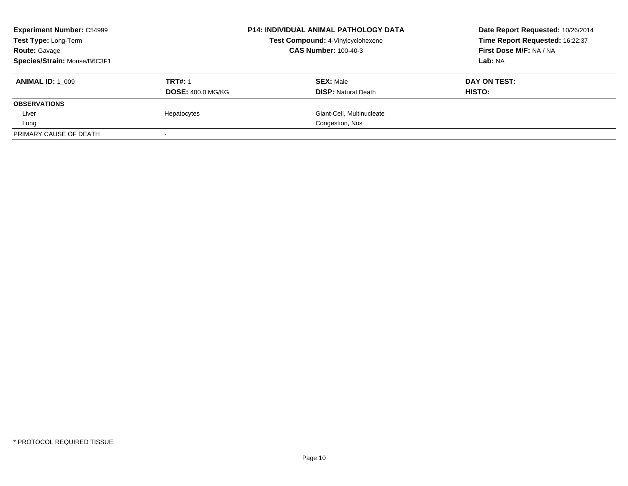| <b>Experiment Number: C54999</b><br><b>Test Type: Long-Term</b> |                          | <b>P14: INDIVIDUAL ANIMAL PATHOLOGY DATA</b><br>Test Compound: 4-Vinylcyclohexene<br><b>CAS Number: 100-40-3</b> | Date Report Requested: 10/26/2014<br>Time Report Requested: 16:22:37<br>First Dose M/F: NA / NA |
|-----------------------------------------------------------------|--------------------------|------------------------------------------------------------------------------------------------------------------|-------------------------------------------------------------------------------------------------|
| <b>Route: Gavage</b>                                            |                          |                                                                                                                  |                                                                                                 |
| Species/Strain: Mouse/B6C3F1                                    |                          |                                                                                                                  | Lab: NA                                                                                         |
| <b>ANIMAL ID: 1 009</b>                                         | <b>TRT#: 1</b>           | <b>SEX: Male</b>                                                                                                 | DAY ON TEST:                                                                                    |
|                                                                 | <b>DOSE: 400.0 MG/KG</b> | <b>DISP:</b> Natural Death                                                                                       | HISTO:                                                                                          |
| <b>OBSERVATIONS</b>                                             |                          |                                                                                                                  |                                                                                                 |
| Liver                                                           | Hepatocytes              | Giant-Cell, Multinucleate                                                                                        |                                                                                                 |
| Lung                                                            |                          | Congestion, Nos                                                                                                  |                                                                                                 |
| PRIMARY CAUSE OF DEATH                                          |                          |                                                                                                                  |                                                                                                 |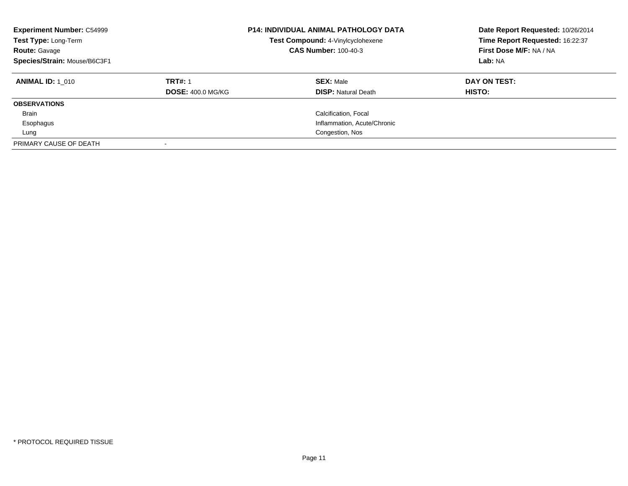| <b>Experiment Number: C54999</b><br>Test Type: Long-Term<br><b>Route: Gavage</b><br>Species/Strain: Mouse/B6C3F1 |                                            | <b>P14: INDIVIDUAL ANIMAL PATHOLOGY DATA</b><br>Test Compound: 4-Vinylcyclohexene<br><b>CAS Number: 100-40-3</b> | Date Report Requested: 10/26/2014<br>Time Report Requested: 16:22:37<br>First Dose M/F: NA / NA<br>Lab: NA |
|------------------------------------------------------------------------------------------------------------------|--------------------------------------------|------------------------------------------------------------------------------------------------------------------|------------------------------------------------------------------------------------------------------------|
| <b>ANIMAL ID: 1 010</b>                                                                                          | <b>TRT#: 1</b><br><b>DOSE: 400.0 MG/KG</b> | <b>SEX: Male</b><br><b>DISP: Natural Death</b>                                                                   | DAY ON TEST:<br><b>HISTO:</b>                                                                              |
| <b>OBSERVATIONS</b>                                                                                              |                                            |                                                                                                                  |                                                                                                            |
| <b>Brain</b>                                                                                                     |                                            | Calcification, Focal                                                                                             |                                                                                                            |
| Esophagus                                                                                                        |                                            | Inflammation, Acute/Chronic                                                                                      |                                                                                                            |
| Lung                                                                                                             |                                            | Congestion, Nos                                                                                                  |                                                                                                            |
| PRIMARY CAUSE OF DEATH                                                                                           |                                            |                                                                                                                  |                                                                                                            |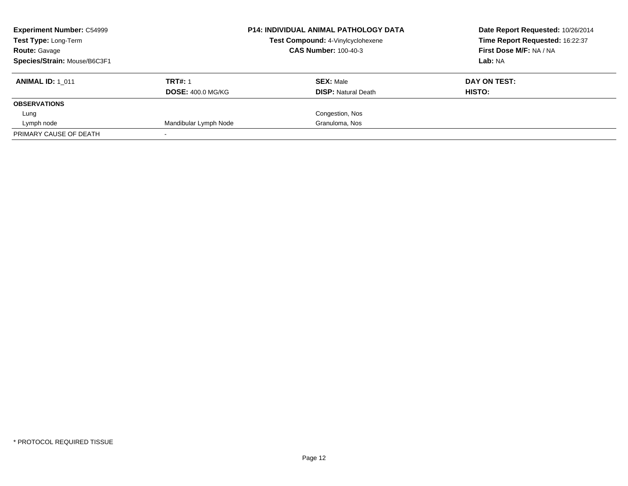| <b>Experiment Number: C54999</b><br><b>Test Type: Long-Term</b><br><b>Route: Gavage</b><br>Species/Strain: Mouse/B6C3F1 |                                            | <b>P14: INDIVIDUAL ANIMAL PATHOLOGY DATA</b><br>Test Compound: 4-Vinylcyclohexene<br><b>CAS Number: 100-40-3</b> | Date Report Requested: 10/26/2014<br>Time Report Requested: 16:22:37<br>First Dose M/F: NA / NA<br>Lab: NA |
|-------------------------------------------------------------------------------------------------------------------------|--------------------------------------------|------------------------------------------------------------------------------------------------------------------|------------------------------------------------------------------------------------------------------------|
| <b>ANIMAL ID: 1 011</b>                                                                                                 | <b>TRT#: 1</b><br><b>DOSE: 400.0 MG/KG</b> | <b>SEX: Male</b><br><b>DISP:</b> Natural Death                                                                   | DAY ON TEST:<br>HISTO:                                                                                     |
| <b>OBSERVATIONS</b>                                                                                                     |                                            |                                                                                                                  |                                                                                                            |
| Lung                                                                                                                    |                                            | Congestion, Nos                                                                                                  |                                                                                                            |
| Lymph node                                                                                                              | Mandibular Lymph Node                      | Granuloma, Nos                                                                                                   |                                                                                                            |
| PRIMARY CAUSE OF DEATH                                                                                                  |                                            |                                                                                                                  |                                                                                                            |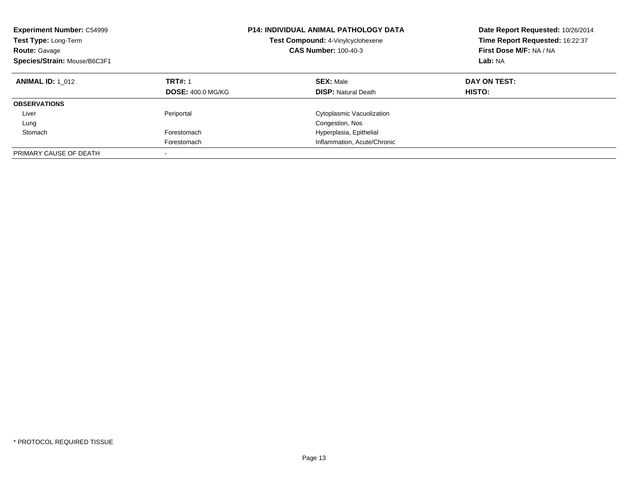| <b>Experiment Number: C54999</b><br>Test Type: Long-Term<br><b>Route: Gavage</b><br>Species/Strain: Mouse/B6C3F1 |                                            | <b>P14: INDIVIDUAL ANIMAL PATHOLOGY DATA</b><br>Test Compound: 4-Vinylcyclohexene<br><b>CAS Number: 100-40-3</b> | Date Report Requested: 10/26/2014<br>Time Report Requested: 16:22:37<br>First Dose M/F: NA / NA<br>Lab: NA |
|------------------------------------------------------------------------------------------------------------------|--------------------------------------------|------------------------------------------------------------------------------------------------------------------|------------------------------------------------------------------------------------------------------------|
| <b>ANIMAL ID: 1 012</b>                                                                                          | <b>TRT#: 1</b><br><b>DOSE: 400.0 MG/KG</b> | <b>SEX: Male</b><br><b>DISP:</b> Natural Death                                                                   | DAY ON TEST:<br><b>HISTO:</b>                                                                              |
| <b>OBSERVATIONS</b>                                                                                              |                                            |                                                                                                                  |                                                                                                            |
| Liver                                                                                                            | Periportal                                 | Cytoplasmic Vacuolization                                                                                        |                                                                                                            |
| Lung                                                                                                             |                                            | Congestion, Nos                                                                                                  |                                                                                                            |
| Stomach                                                                                                          | Forestomach                                | Hyperplasia, Epithelial                                                                                          |                                                                                                            |
|                                                                                                                  | Forestomach                                | Inflammation, Acute/Chronic                                                                                      |                                                                                                            |
| PRIMARY CAUSE OF DEATH                                                                                           |                                            |                                                                                                                  |                                                                                                            |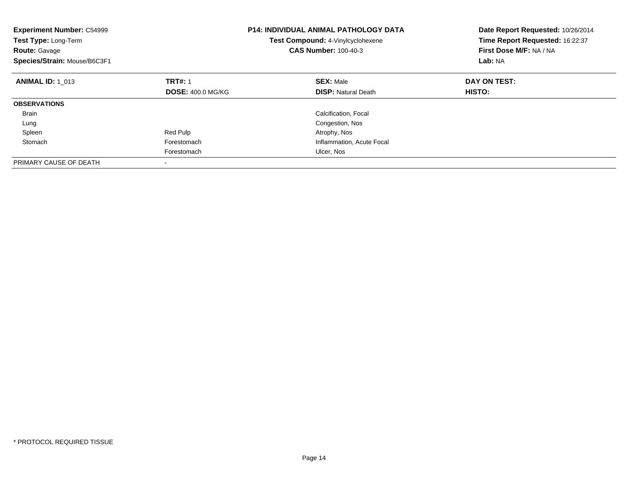| <b>Experiment Number: C54999</b><br><b>Test Type: Long-Term</b><br><b>Route: Gavage</b><br>Species/Strain: Mouse/B6C3F1 |                          | <b>P14: INDIVIDUAL ANIMAL PATHOLOGY DATA</b><br><b>Test Compound: 4-Vinylcyclohexene</b><br><b>CAS Number: 100-40-3</b> | Date Report Requested: 10/26/2014<br>Time Report Requested: 16:22:37<br>First Dose M/F: NA / NA<br>Lab: NA |
|-------------------------------------------------------------------------------------------------------------------------|--------------------------|-------------------------------------------------------------------------------------------------------------------------|------------------------------------------------------------------------------------------------------------|
| <b>ANIMAL ID: 1 013</b>                                                                                                 | <b>TRT#: 1</b>           | <b>SEX: Male</b>                                                                                                        | DAY ON TEST:                                                                                               |
|                                                                                                                         | <b>DOSE: 400.0 MG/KG</b> | <b>DISP:</b> Natural Death                                                                                              | HISTO:                                                                                                     |
| <b>OBSERVATIONS</b>                                                                                                     |                          |                                                                                                                         |                                                                                                            |
| <b>Brain</b>                                                                                                            |                          | Calcification, Focal                                                                                                    |                                                                                                            |
| Lung                                                                                                                    |                          | Congestion, Nos                                                                                                         |                                                                                                            |
| Spleen                                                                                                                  | Red Pulp                 | Atrophy, Nos                                                                                                            |                                                                                                            |
| Stomach                                                                                                                 | Forestomach              | Inflammation, Acute Focal                                                                                               |                                                                                                            |
|                                                                                                                         | Forestomach              | Ulcer, Nos                                                                                                              |                                                                                                            |
| PRIMARY CAUSE OF DEATH                                                                                                  |                          |                                                                                                                         |                                                                                                            |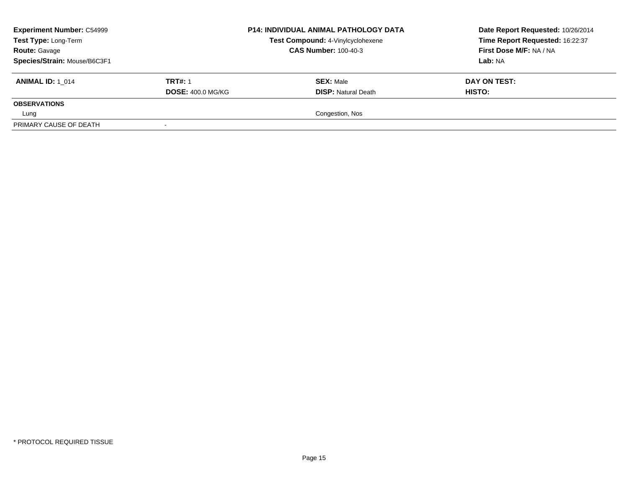| <b>Experiment Number: C54999</b><br>Test Type: Long-Term<br><b>Route: Gavage</b> |                          | <b>P14: INDIVIDUAL ANIMAL PATHOLOGY DATA</b><br>Test Compound: 4-Vinylcyclohexene<br><b>CAS Number: 100-40-3</b> | Date Report Requested: 10/26/2014<br>Time Report Requested: 16:22:37<br>First Dose M/F: NA / NA |
|----------------------------------------------------------------------------------|--------------------------|------------------------------------------------------------------------------------------------------------------|-------------------------------------------------------------------------------------------------|
| Species/Strain: Mouse/B6C3F1                                                     |                          |                                                                                                                  | Lab: NA                                                                                         |
| <b>ANIMAL ID: 1 014</b>                                                          | <b>TRT#: 1</b>           | <b>SEX: Male</b>                                                                                                 | DAY ON TEST:                                                                                    |
|                                                                                  | <b>DOSE: 400.0 MG/KG</b> | <b>DISP: Natural Death</b>                                                                                       | <b>HISTO:</b>                                                                                   |
| <b>OBSERVATIONS</b>                                                              |                          |                                                                                                                  |                                                                                                 |
| Lung                                                                             |                          | Congestion, Nos                                                                                                  |                                                                                                 |
| PRIMARY CAUSE OF DEATH                                                           |                          |                                                                                                                  |                                                                                                 |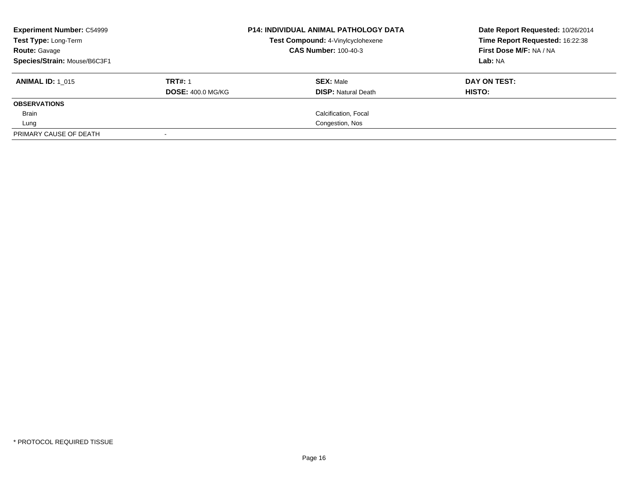| <b>Experiment Number: C54999</b><br>Test Type: Long-Term |                          | <b>P14: INDIVIDUAL ANIMAL PATHOLOGY DATA</b><br>Test Compound: 4-Vinylcyclohexene | Date Report Requested: 10/26/2014<br>Time Report Requested: 16:22:38 |
|----------------------------------------------------------|--------------------------|-----------------------------------------------------------------------------------|----------------------------------------------------------------------|
| <b>Route: Gavage</b>                                     |                          | <b>CAS Number: 100-40-3</b>                                                       | First Dose M/F: NA / NA                                              |
| Species/Strain: Mouse/B6C3F1                             |                          |                                                                                   | Lab: NA                                                              |
| <b>ANIMAL ID: 1 015</b>                                  | <b>TRT#: 1</b>           | <b>SEX: Male</b>                                                                  | DAY ON TEST:                                                         |
|                                                          | <b>DOSE: 400.0 MG/KG</b> | <b>DISP:</b> Natural Death                                                        | HISTO:                                                               |
| <b>OBSERVATIONS</b>                                      |                          |                                                                                   |                                                                      |
| Brain                                                    |                          | Calcification, Focal                                                              |                                                                      |
| Lung                                                     |                          | Congestion, Nos                                                                   |                                                                      |
| PRIMARY CAUSE OF DEATH                                   |                          |                                                                                   |                                                                      |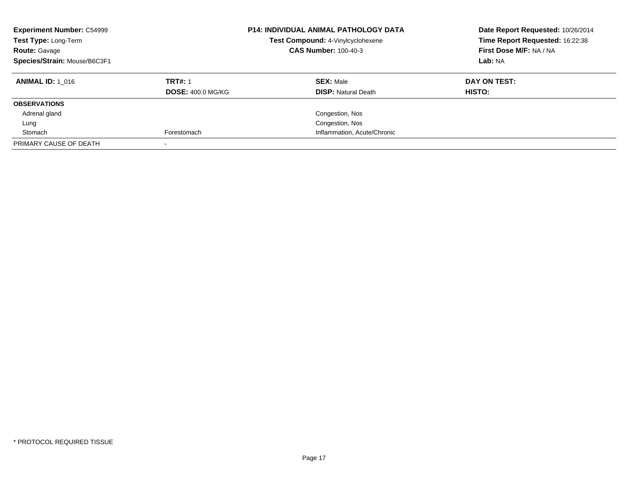| <b>Experiment Number: C54999</b><br>Test Type: Long-Term<br><b>Route: Gavage</b><br>Species/Strain: Mouse/B6C3F1 |                          | <b>P14: INDIVIDUAL ANIMAL PATHOLOGY DATA</b><br>Test Compound: 4-Vinylcyclohexene<br><b>CAS Number: 100-40-3</b> | Date Report Requested: 10/26/2014<br>Time Report Requested: 16:22:38<br>First Dose M/F: NA / NA<br>Lab: NA |
|------------------------------------------------------------------------------------------------------------------|--------------------------|------------------------------------------------------------------------------------------------------------------|------------------------------------------------------------------------------------------------------------|
| <b>ANIMAL ID:</b> 1 016                                                                                          | <b>TRT#: 1</b>           | <b>SEX: Male</b>                                                                                                 | DAY ON TEST:                                                                                               |
|                                                                                                                  | <b>DOSE: 400.0 MG/KG</b> | <b>DISP:</b> Natural Death                                                                                       | HISTO:                                                                                                     |
| <b>OBSERVATIONS</b>                                                                                              |                          |                                                                                                                  |                                                                                                            |
| Adrenal gland                                                                                                    |                          | Congestion, Nos                                                                                                  |                                                                                                            |
| Lung                                                                                                             |                          | Congestion, Nos                                                                                                  |                                                                                                            |
| Stomach                                                                                                          | Forestomach              | Inflammation, Acute/Chronic                                                                                      |                                                                                                            |
| PRIMARY CAUSE OF DEATH                                                                                           |                          |                                                                                                                  |                                                                                                            |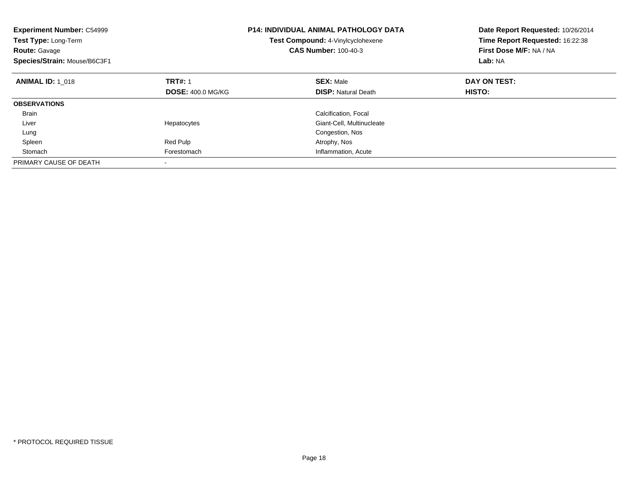| <b>Experiment Number: C54999</b><br>Test Type: Long-Term<br><b>Route: Gavage</b><br>Species/Strain: Mouse/B6C3F1 |                          | <b>P14: INDIVIDUAL ANIMAL PATHOLOGY DATA</b><br><b>Test Compound: 4-Vinylcyclohexene</b><br><b>CAS Number: 100-40-3</b> | Date Report Requested: 10/26/2014<br>Time Report Requested: 16:22:38<br>First Dose M/F: NA / NA<br>Lab: NA |
|------------------------------------------------------------------------------------------------------------------|--------------------------|-------------------------------------------------------------------------------------------------------------------------|------------------------------------------------------------------------------------------------------------|
| <b>ANIMAL ID: 1 018</b>                                                                                          | <b>TRT#: 1</b>           | <b>SEX: Male</b>                                                                                                        | DAY ON TEST:                                                                                               |
|                                                                                                                  | <b>DOSE: 400.0 MG/KG</b> | <b>DISP:</b> Natural Death                                                                                              | HISTO:                                                                                                     |
| <b>OBSERVATIONS</b>                                                                                              |                          |                                                                                                                         |                                                                                                            |
| <b>Brain</b>                                                                                                     |                          | Calcification, Focal                                                                                                    |                                                                                                            |
| Liver                                                                                                            | Hepatocytes              | Giant-Cell, Multinucleate                                                                                               |                                                                                                            |
| Lung                                                                                                             |                          | Congestion, Nos                                                                                                         |                                                                                                            |
| Spleen                                                                                                           | Red Pulp                 | Atrophy, Nos                                                                                                            |                                                                                                            |
| Stomach                                                                                                          | Forestomach              | Inflammation, Acute                                                                                                     |                                                                                                            |
| PRIMARY CAUSE OF DEATH                                                                                           |                          |                                                                                                                         |                                                                                                            |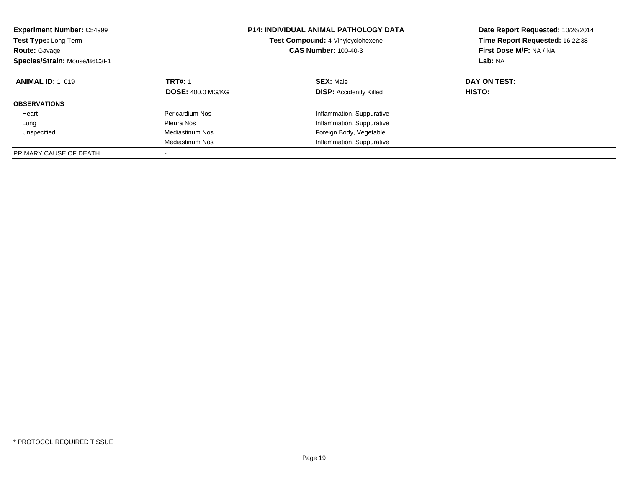| <b>Experiment Number: C54999</b><br><b>Test Type: Long-Term</b><br><b>Route: Gavage</b><br>Species/Strain: Mouse/B6C3F1 |                                            | <b>P14: INDIVIDUAL ANIMAL PATHOLOGY DATA</b><br>Test Compound: 4-Vinylcyclohexene<br><b>CAS Number: 100-40-3</b> | Date Report Requested: 10/26/2014<br>Time Report Requested: 16:22:38<br>First Dose M/F: NA / NA<br>Lab: NA |
|-------------------------------------------------------------------------------------------------------------------------|--------------------------------------------|------------------------------------------------------------------------------------------------------------------|------------------------------------------------------------------------------------------------------------|
| <b>ANIMAL ID: 1 019</b>                                                                                                 | <b>TRT#: 1</b><br><b>DOSE: 400.0 MG/KG</b> | <b>SEX: Male</b><br><b>DISP: Accidently Killed</b>                                                               | DAY ON TEST:<br><b>HISTO:</b>                                                                              |
| <b>OBSERVATIONS</b>                                                                                                     |                                            |                                                                                                                  |                                                                                                            |
| Heart                                                                                                                   | Pericardium Nos                            | Inflammation, Suppurative                                                                                        |                                                                                                            |
| Lung                                                                                                                    | Pleura Nos                                 | Inflammation, Suppurative                                                                                        |                                                                                                            |
| Unspecified                                                                                                             | Mediastinum Nos                            | Foreign Body, Vegetable                                                                                          |                                                                                                            |
|                                                                                                                         | Mediastinum Nos                            | Inflammation, Suppurative                                                                                        |                                                                                                            |
| PRIMARY CAUSE OF DEATH                                                                                                  | -                                          |                                                                                                                  |                                                                                                            |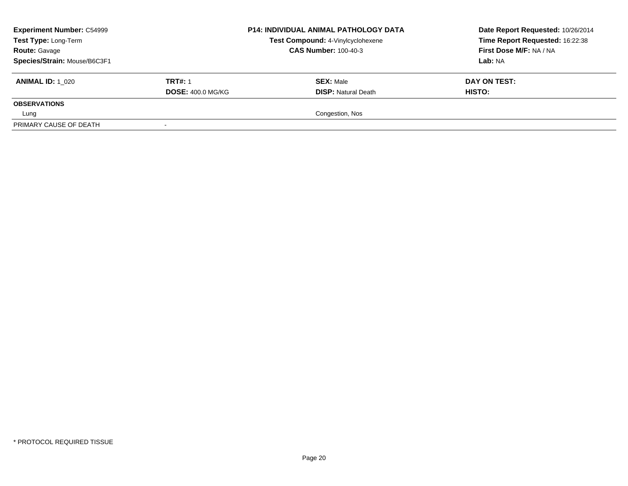| <b>Experiment Number: C54999</b><br>Test Type: Long-Term<br><b>Route: Gavage</b> |                          | <b>P14: INDIVIDUAL ANIMAL PATHOLOGY DATA</b><br>Test Compound: 4-Vinylcyclohexene<br><b>CAS Number: 100-40-3</b> | Date Report Requested: 10/26/2014<br>Time Report Requested: 16:22:38<br>First Dose M/F: NA / NA |
|----------------------------------------------------------------------------------|--------------------------|------------------------------------------------------------------------------------------------------------------|-------------------------------------------------------------------------------------------------|
| Species/Strain: Mouse/B6C3F1                                                     |                          |                                                                                                                  | Lab: NA                                                                                         |
| <b>ANIMAL ID: 1 020</b>                                                          | <b>TRT#: 1</b>           | <b>SEX: Male</b>                                                                                                 | DAY ON TEST:                                                                                    |
|                                                                                  | <b>DOSE: 400.0 MG/KG</b> | <b>DISP: Natural Death</b>                                                                                       | <b>HISTO:</b>                                                                                   |
| <b>OBSERVATIONS</b>                                                              |                          |                                                                                                                  |                                                                                                 |
| Lung                                                                             |                          | Congestion, Nos                                                                                                  |                                                                                                 |
| PRIMARY CAUSE OF DEATH                                                           |                          |                                                                                                                  |                                                                                                 |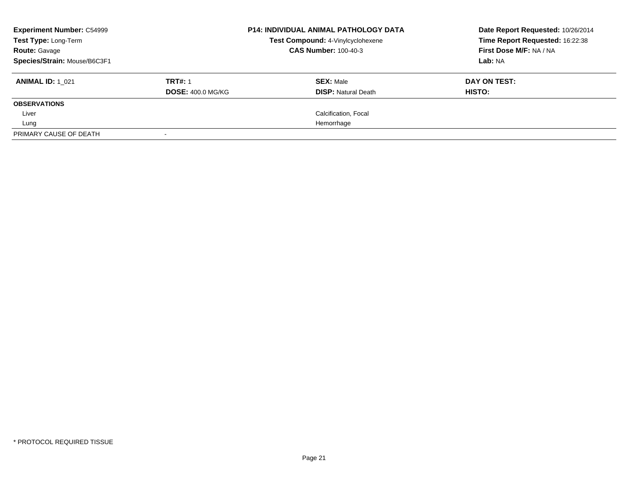| <b>Experiment Number: C54999</b><br>Test Type: Long-Term<br><b>Route: Gavage</b><br>Species/Strain: Mouse/B6C3F1 |                                            | <b>P14: INDIVIDUAL ANIMAL PATHOLOGY DATA</b><br>Test Compound: 4-Vinylcyclohexene<br><b>CAS Number: 100-40-3</b> | Date Report Requested: 10/26/2014<br>Time Report Requested: 16:22:38<br>First Dose M/F: NA / NA<br>Lab: NA |
|------------------------------------------------------------------------------------------------------------------|--------------------------------------------|------------------------------------------------------------------------------------------------------------------|------------------------------------------------------------------------------------------------------------|
| <b>ANIMAL ID: 1 021</b>                                                                                          | <b>TRT#: 1</b><br><b>DOSE: 400.0 MG/KG</b> | <b>SEX: Male</b><br><b>DISP:</b> Natural Death                                                                   | DAY ON TEST:<br>HISTO:                                                                                     |
| <b>OBSERVATIONS</b>                                                                                              |                                            |                                                                                                                  |                                                                                                            |
| Liver                                                                                                            |                                            | Calcification, Focal                                                                                             |                                                                                                            |
| Lung                                                                                                             |                                            | Hemorrhage                                                                                                       |                                                                                                            |
| PRIMARY CAUSE OF DEATH                                                                                           |                                            |                                                                                                                  |                                                                                                            |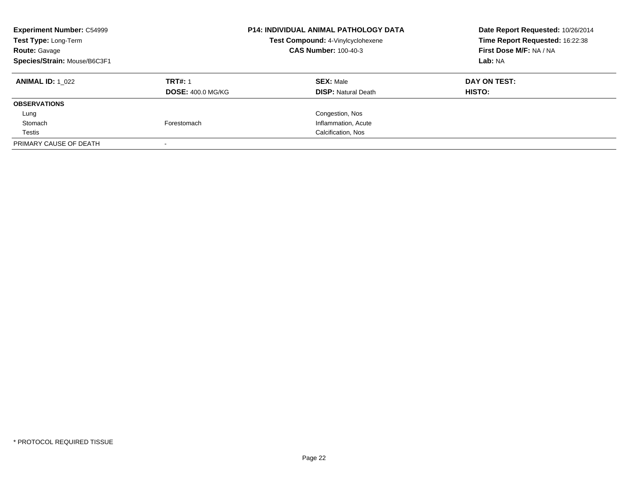| <b>Experiment Number: C54999</b><br>Test Type: Long-Term<br><b>Route: Gavage</b><br>Species/Strain: Mouse/B6C3F1 |                                            | <b>P14: INDIVIDUAL ANIMAL PATHOLOGY DATA</b><br>Test Compound: 4-Vinylcyclohexene<br><b>CAS Number: 100-40-3</b> | Date Report Requested: 10/26/2014<br>Time Report Requested: 16:22:38<br>First Dose M/F: NA / NA<br>Lab: NA |
|------------------------------------------------------------------------------------------------------------------|--------------------------------------------|------------------------------------------------------------------------------------------------------------------|------------------------------------------------------------------------------------------------------------|
| <b>ANIMAL ID:</b> 1 022                                                                                          | <b>TRT#: 1</b><br><b>DOSE: 400.0 MG/KG</b> | <b>SEX: Male</b><br><b>DISP: Natural Death</b>                                                                   | DAY ON TEST:<br><b>HISTO:</b>                                                                              |
| <b>OBSERVATIONS</b>                                                                                              |                                            |                                                                                                                  |                                                                                                            |
| Lung                                                                                                             |                                            | Congestion, Nos                                                                                                  |                                                                                                            |
| Stomach                                                                                                          | Forestomach                                | Inflammation, Acute                                                                                              |                                                                                                            |
| Testis                                                                                                           |                                            | Calcification, Nos                                                                                               |                                                                                                            |
| PRIMARY CAUSE OF DEATH                                                                                           |                                            |                                                                                                                  |                                                                                                            |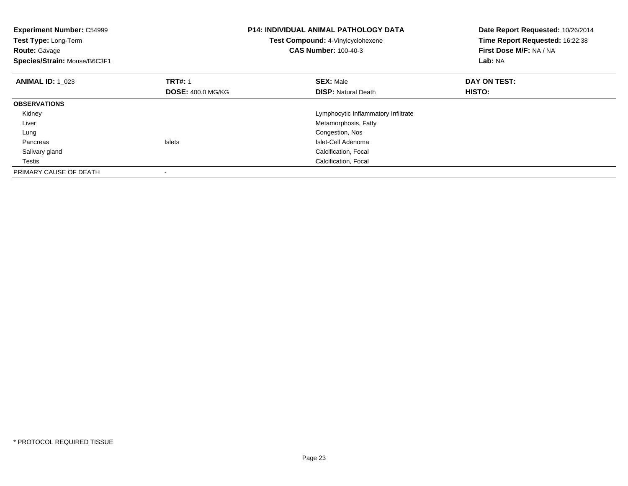| <b>Experiment Number: C54999</b><br>Test Type: Long-Term<br><b>Route: Gavage</b><br>Species/Strain: Mouse/B6C3F1 |                          | <b>P14: INDIVIDUAL ANIMAL PATHOLOGY DATA</b><br>Test Compound: 4-Vinylcyclohexene<br><b>CAS Number: 100-40-3</b> | Date Report Requested: 10/26/2014<br>Time Report Requested: 16:22:38<br>First Dose M/F: NA / NA<br>Lab: NA |
|------------------------------------------------------------------------------------------------------------------|--------------------------|------------------------------------------------------------------------------------------------------------------|------------------------------------------------------------------------------------------------------------|
| <b>ANIMAL ID: 1 023</b>                                                                                          | <b>TRT#: 1</b>           | <b>SEX: Male</b>                                                                                                 | DAY ON TEST:                                                                                               |
|                                                                                                                  | <b>DOSE: 400.0 MG/KG</b> | <b>DISP:</b> Natural Death                                                                                       | <b>HISTO:</b>                                                                                              |
| <b>OBSERVATIONS</b>                                                                                              |                          |                                                                                                                  |                                                                                                            |
| Kidney                                                                                                           |                          | Lymphocytic Inflammatory Infiltrate                                                                              |                                                                                                            |
| Liver                                                                                                            |                          | Metamorphosis, Fatty                                                                                             |                                                                                                            |
| Lung                                                                                                             |                          | Congestion, Nos                                                                                                  |                                                                                                            |
| Pancreas                                                                                                         | <b>Islets</b>            | Islet-Cell Adenoma                                                                                               |                                                                                                            |
| Salivary gland                                                                                                   |                          | Calcification, Focal                                                                                             |                                                                                                            |
| Testis                                                                                                           |                          | Calcification, Focal                                                                                             |                                                                                                            |
| PRIMARY CAUSE OF DEATH                                                                                           |                          |                                                                                                                  |                                                                                                            |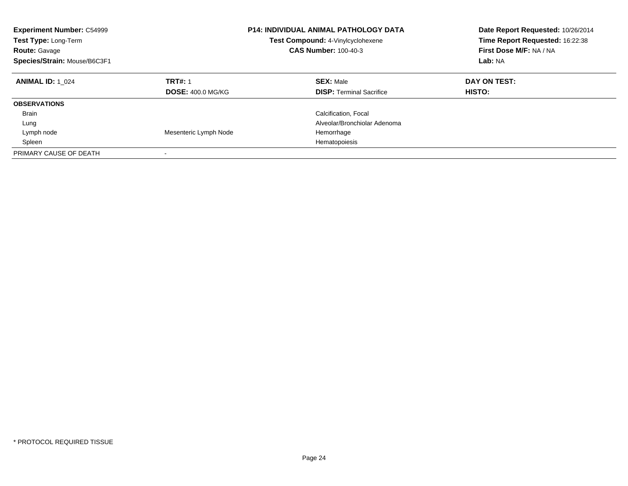| <b>Experiment Number: C54999</b><br>Test Type: Long-Term<br><b>Route: Gavage</b><br>Species/Strain: Mouse/B6C3F1 |                                            | P14: INDIVIDUAL ANIMAL PATHOLOGY DATA<br>Test Compound: 4-Vinylcyclohexene<br><b>CAS Number: 100-40-3</b> | Date Report Requested: 10/26/2014<br>Time Report Requested: 16:22:38<br>First Dose M/F: NA / NA<br>Lab: NA |
|------------------------------------------------------------------------------------------------------------------|--------------------------------------------|-----------------------------------------------------------------------------------------------------------|------------------------------------------------------------------------------------------------------------|
| <b>ANIMAL ID: 1 024</b>                                                                                          | <b>TRT#: 1</b><br><b>DOSE: 400.0 MG/KG</b> | <b>SEX: Male</b><br><b>DISP:</b> Terminal Sacrifice                                                       | DAY ON TEST:<br>HISTO:                                                                                     |
| <b>OBSERVATIONS</b>                                                                                              |                                            |                                                                                                           |                                                                                                            |
| <b>Brain</b>                                                                                                     |                                            | Calcification, Focal                                                                                      |                                                                                                            |
| Lung                                                                                                             |                                            | Alveolar/Bronchiolar Adenoma                                                                              |                                                                                                            |
| Lymph node                                                                                                       | Mesenteric Lymph Node                      | Hemorrhage                                                                                                |                                                                                                            |
| Spleen                                                                                                           |                                            | Hematopoiesis                                                                                             |                                                                                                            |
| PRIMARY CAUSE OF DEATH                                                                                           |                                            |                                                                                                           |                                                                                                            |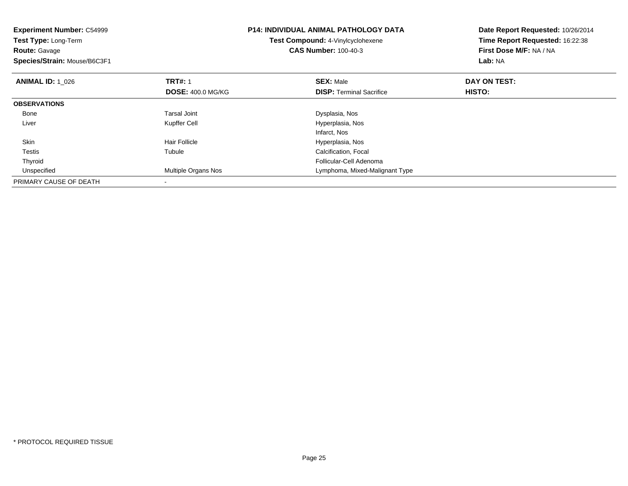| <b>Experiment Number: C54999</b><br>Test Type: Long-Term<br><b>Route: Gavage</b><br>Species/Strain: Mouse/B6C3F1 |                          | <b>P14: INDIVIDUAL ANIMAL PATHOLOGY DATA</b><br>Test Compound: 4-Vinylcyclohexene<br><b>CAS Number: 100-40-3</b> | Date Report Requested: 10/26/2014<br>Time Report Requested: 16:22:38<br>First Dose M/F: NA / NA<br>Lab: NA |
|------------------------------------------------------------------------------------------------------------------|--------------------------|------------------------------------------------------------------------------------------------------------------|------------------------------------------------------------------------------------------------------------|
| <b>ANIMAL ID: 1 026</b>                                                                                          | <b>TRT#: 1</b>           | <b>SEX: Male</b>                                                                                                 | DAY ON TEST:                                                                                               |
|                                                                                                                  | <b>DOSE: 400.0 MG/KG</b> | <b>DISP:</b> Terminal Sacrifice                                                                                  | HISTO:                                                                                                     |
| <b>OBSERVATIONS</b>                                                                                              |                          |                                                                                                                  |                                                                                                            |
| Bone                                                                                                             | <b>Tarsal Joint</b>      | Dysplasia, Nos                                                                                                   |                                                                                                            |
| Liver                                                                                                            | Kupffer Cell             | Hyperplasia, Nos                                                                                                 |                                                                                                            |
|                                                                                                                  |                          | Infarct, Nos                                                                                                     |                                                                                                            |
| Skin                                                                                                             | Hair Follicle            | Hyperplasia, Nos                                                                                                 |                                                                                                            |
| Testis                                                                                                           | Tubule                   | Calcification, Focal                                                                                             |                                                                                                            |
| Thyroid                                                                                                          |                          | Follicular-Cell Adenoma                                                                                          |                                                                                                            |
| Unspecified                                                                                                      | Multiple Organs Nos      | Lymphoma, Mixed-Malignant Type                                                                                   |                                                                                                            |
| PRIMARY CAUSE OF DEATH                                                                                           |                          |                                                                                                                  |                                                                                                            |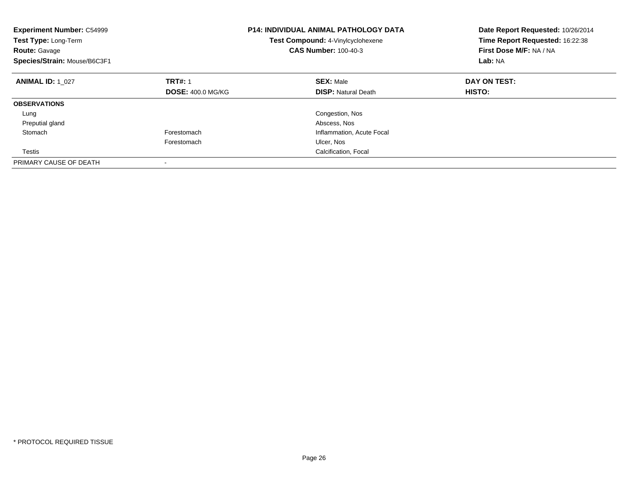| <b>Experiment Number: C54999</b><br>Test Type: Long-Term<br><b>Route: Gavage</b><br>Species/Strain: Mouse/B6C3F1 |                          | <b>P14: INDIVIDUAL ANIMAL PATHOLOGY DATA</b><br>Test Compound: 4-Vinylcyclohexene<br><b>CAS Number: 100-40-3</b> | Date Report Requested: 10/26/2014<br>Time Report Requested: 16:22:38<br>First Dose M/F: NA / NA<br>Lab: NA |
|------------------------------------------------------------------------------------------------------------------|--------------------------|------------------------------------------------------------------------------------------------------------------|------------------------------------------------------------------------------------------------------------|
| <b>ANIMAL ID: 1 027</b>                                                                                          | <b>TRT#: 1</b>           | <b>SEX: Male</b>                                                                                                 | DAY ON TEST:                                                                                               |
|                                                                                                                  | <b>DOSE: 400.0 MG/KG</b> | <b>DISP:</b> Natural Death                                                                                       | HISTO:                                                                                                     |
| <b>OBSERVATIONS</b>                                                                                              |                          |                                                                                                                  |                                                                                                            |
| Lung                                                                                                             |                          | Congestion, Nos                                                                                                  |                                                                                                            |
| Preputial gland                                                                                                  |                          | Abscess, Nos                                                                                                     |                                                                                                            |
| Stomach                                                                                                          | Forestomach              | Inflammation, Acute Focal                                                                                        |                                                                                                            |
|                                                                                                                  | Forestomach              | Ulcer, Nos                                                                                                       |                                                                                                            |
| Testis                                                                                                           |                          | Calcification, Focal                                                                                             |                                                                                                            |
| PRIMARY CAUSE OF DEATH                                                                                           |                          |                                                                                                                  |                                                                                                            |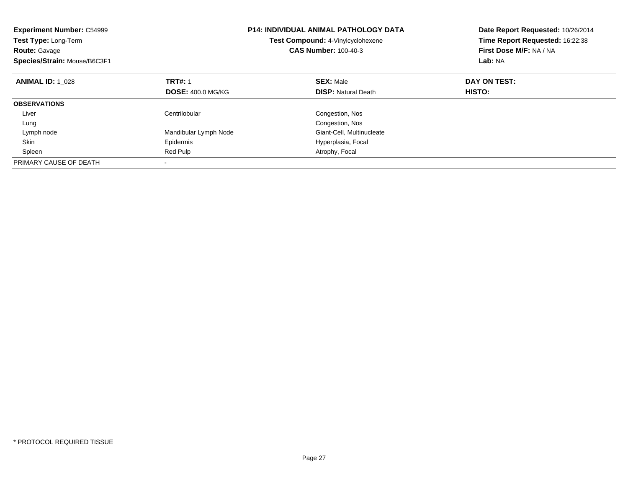| <b>Experiment Number: C54999</b><br>Test Type: Long-Term<br><b>Route: Gavage</b><br>Species/Strain: Mouse/B6C3F1 |                          | <b>P14: INDIVIDUAL ANIMAL PATHOLOGY DATA</b><br>Test Compound: 4-Vinylcyclohexene<br><b>CAS Number: 100-40-3</b> | Date Report Requested: 10/26/2014<br>Time Report Requested: 16:22:38<br>First Dose M/F: NA / NA<br>Lab: NA |
|------------------------------------------------------------------------------------------------------------------|--------------------------|------------------------------------------------------------------------------------------------------------------|------------------------------------------------------------------------------------------------------------|
| <b>ANIMAL ID:</b> 1 028                                                                                          | <b>TRT#: 1</b>           | <b>SEX: Male</b>                                                                                                 | DAY ON TEST:                                                                                               |
|                                                                                                                  | <b>DOSE: 400.0 MG/KG</b> | <b>DISP:</b> Natural Death                                                                                       | HISTO:                                                                                                     |
| <b>OBSERVATIONS</b>                                                                                              |                          |                                                                                                                  |                                                                                                            |
| Liver                                                                                                            | Centrilobular            | Congestion, Nos                                                                                                  |                                                                                                            |
| Lung                                                                                                             |                          | Congestion, Nos                                                                                                  |                                                                                                            |
| Lymph node                                                                                                       | Mandibular Lymph Node    | Giant-Cell, Multinucleate                                                                                        |                                                                                                            |
| Skin                                                                                                             | Epidermis                | Hyperplasia, Focal                                                                                               |                                                                                                            |
| Spleen                                                                                                           | Red Pulp                 | Atrophy, Focal                                                                                                   |                                                                                                            |
| PRIMARY CAUSE OF DEATH                                                                                           |                          |                                                                                                                  |                                                                                                            |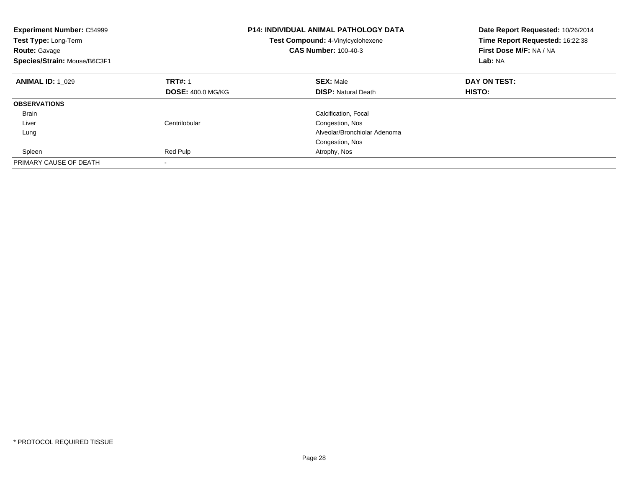| <b>Experiment Number: C54999</b><br>Test Type: Long-Term<br><b>Route: Gavage</b><br>Species/Strain: Mouse/B6C3F1 |                          | <b>P14: INDIVIDUAL ANIMAL PATHOLOGY DATA</b><br>Test Compound: 4-Vinylcyclohexene<br><b>CAS Number: 100-40-3</b> | Date Report Requested: 10/26/2014<br>Time Report Requested: 16:22:38<br>First Dose M/F: NA / NA<br>Lab: NA |
|------------------------------------------------------------------------------------------------------------------|--------------------------|------------------------------------------------------------------------------------------------------------------|------------------------------------------------------------------------------------------------------------|
| <b>ANIMAL ID: 1 029</b>                                                                                          | <b>TRT#: 1</b>           | <b>SEX: Male</b>                                                                                                 | DAY ON TEST:                                                                                               |
|                                                                                                                  | <b>DOSE: 400.0 MG/KG</b> | <b>DISP:</b> Natural Death                                                                                       | HISTO:                                                                                                     |
| <b>OBSERVATIONS</b>                                                                                              |                          |                                                                                                                  |                                                                                                            |
| <b>Brain</b>                                                                                                     |                          | Calcification, Focal                                                                                             |                                                                                                            |
| Liver                                                                                                            | Centrilobular            | Congestion, Nos                                                                                                  |                                                                                                            |
| Lung                                                                                                             |                          | Alveolar/Bronchiolar Adenoma                                                                                     |                                                                                                            |
|                                                                                                                  |                          | Congestion, Nos                                                                                                  |                                                                                                            |
| Spleen                                                                                                           | Red Pulp                 | Atrophy, Nos                                                                                                     |                                                                                                            |
| PRIMARY CAUSE OF DEATH                                                                                           | $\overline{\phantom{a}}$ |                                                                                                                  |                                                                                                            |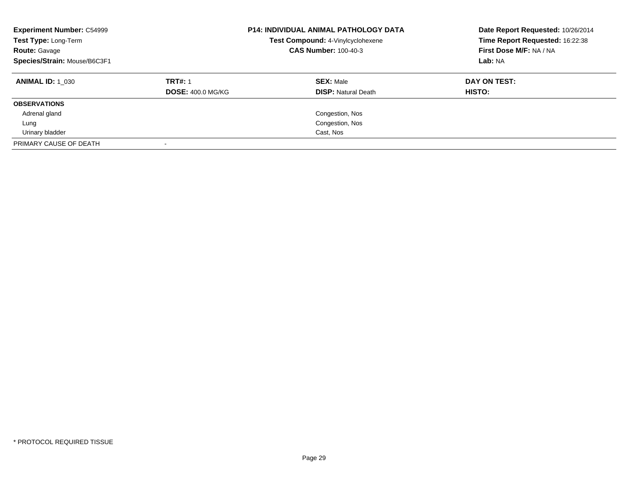| <b>Experiment Number: C54999</b><br>Test Type: Long-Term<br><b>Route: Gavage</b><br>Species/Strain: Mouse/B6C3F1 |                                            | <b>P14: INDIVIDUAL ANIMAL PATHOLOGY DATA</b><br>Test Compound: 4-Vinylcyclohexene<br><b>CAS Number: 100-40-3</b> | Date Report Requested: 10/26/2014<br>Time Report Requested: 16:22:38<br>First Dose M/F: NA / NA<br>Lab: NA |
|------------------------------------------------------------------------------------------------------------------|--------------------------------------------|------------------------------------------------------------------------------------------------------------------|------------------------------------------------------------------------------------------------------------|
| <b>ANIMAL ID:</b> 1 030                                                                                          | <b>TRT#: 1</b><br><b>DOSE: 400.0 MG/KG</b> | <b>SEX: Male</b><br><b>DISP: Natural Death</b>                                                                   | DAY ON TEST:<br><b>HISTO:</b>                                                                              |
| <b>OBSERVATIONS</b>                                                                                              |                                            |                                                                                                                  |                                                                                                            |
| Adrenal gland                                                                                                    |                                            | Congestion, Nos                                                                                                  |                                                                                                            |
| Lung                                                                                                             |                                            | Congestion, Nos                                                                                                  |                                                                                                            |
| Urinary bladder                                                                                                  |                                            | Cast, Nos                                                                                                        |                                                                                                            |
| PRIMARY CAUSE OF DEATH                                                                                           |                                            |                                                                                                                  |                                                                                                            |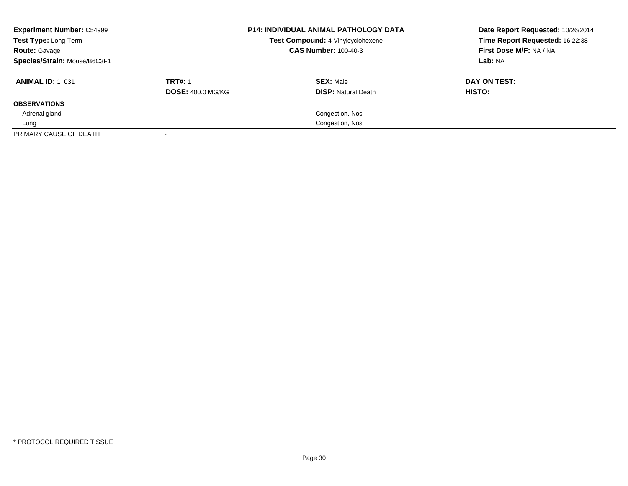| <b>Experiment Number: C54999</b><br>Test Type: Long-Term<br><b>Route: Gavage</b><br>Species/Strain: Mouse/B6C3F1 |                                            | <b>P14: INDIVIDUAL ANIMAL PATHOLOGY DATA</b><br>Test Compound: 4-Vinylcyclohexene<br><b>CAS Number: 100-40-3</b> | Date Report Requested: 10/26/2014<br>Time Report Requested: 16:22:38<br>First Dose M/F: NA / NA<br>Lab: NA |
|------------------------------------------------------------------------------------------------------------------|--------------------------------------------|------------------------------------------------------------------------------------------------------------------|------------------------------------------------------------------------------------------------------------|
| <b>ANIMAL ID: 1 031</b>                                                                                          | <b>TRT#: 1</b><br><b>DOSE: 400.0 MG/KG</b> | <b>SEX: Male</b><br><b>DISP:</b> Natural Death                                                                   | DAY ON TEST:<br>HISTO:                                                                                     |
| <b>OBSERVATIONS</b>                                                                                              |                                            |                                                                                                                  |                                                                                                            |
| Adrenal gland                                                                                                    |                                            | Congestion, Nos                                                                                                  |                                                                                                            |
| Lung                                                                                                             |                                            | Congestion, Nos                                                                                                  |                                                                                                            |
| PRIMARY CAUSE OF DEATH                                                                                           |                                            |                                                                                                                  |                                                                                                            |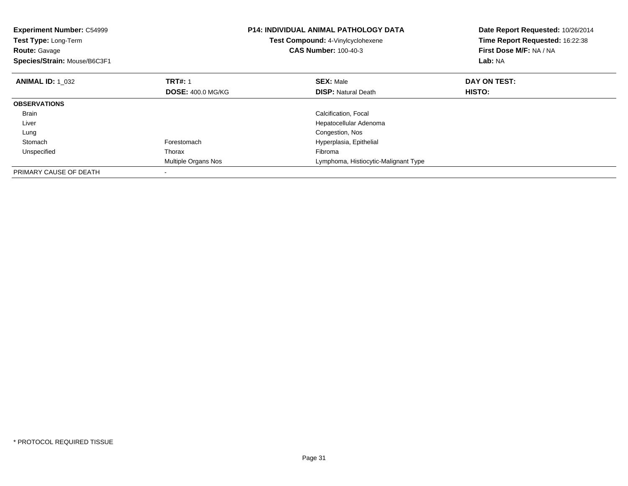| <b>Experiment Number: C54999</b><br>Test Type: Long-Term<br><b>Route: Gavage</b><br>Species/Strain: Mouse/B6C3F1 |                          | <b>P14: INDIVIDUAL ANIMAL PATHOLOGY DATA</b><br>Test Compound: 4-Vinylcyclohexene<br><b>CAS Number: 100-40-3</b> | Date Report Requested: 10/26/2014<br>Time Report Requested: 16:22:38<br>First Dose M/F: NA / NA<br>Lab: NA |
|------------------------------------------------------------------------------------------------------------------|--------------------------|------------------------------------------------------------------------------------------------------------------|------------------------------------------------------------------------------------------------------------|
| <b>ANIMAL ID: 1 032</b>                                                                                          | <b>TRT#: 1</b>           | <b>SEX: Male</b>                                                                                                 | DAY ON TEST:                                                                                               |
|                                                                                                                  | <b>DOSE: 400.0 MG/KG</b> | <b>DISP:</b> Natural Death                                                                                       | <b>HISTO:</b>                                                                                              |
| <b>OBSERVATIONS</b>                                                                                              |                          |                                                                                                                  |                                                                                                            |
| <b>Brain</b>                                                                                                     |                          | Calcification, Focal                                                                                             |                                                                                                            |
| Liver                                                                                                            |                          | Hepatocellular Adenoma                                                                                           |                                                                                                            |
| Lung                                                                                                             |                          | Congestion, Nos                                                                                                  |                                                                                                            |
| Stomach                                                                                                          | Forestomach              | Hyperplasia, Epithelial                                                                                          |                                                                                                            |
| Unspecified                                                                                                      | Thorax                   | Fibroma                                                                                                          |                                                                                                            |
|                                                                                                                  | Multiple Organs Nos      | Lymphoma, Histiocytic-Malignant Type                                                                             |                                                                                                            |
| PRIMARY CAUSE OF DEATH                                                                                           |                          |                                                                                                                  |                                                                                                            |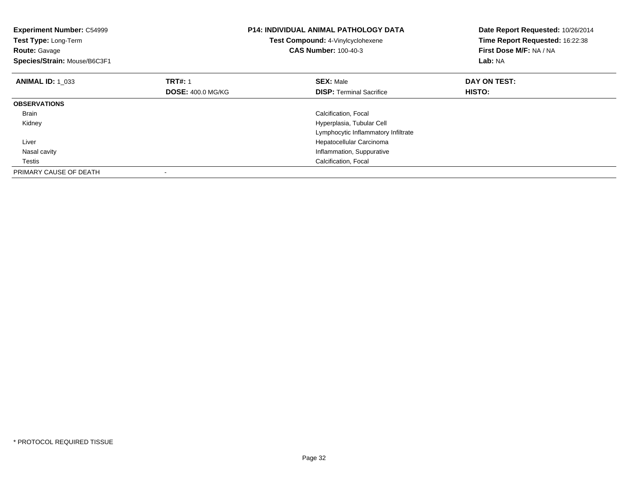| <b>Experiment Number: C54999</b><br>Test Type: Long-Term<br><b>Route: Gavage</b><br>Species/Strain: Mouse/B6C3F1 |                          | <b>P14: INDIVIDUAL ANIMAL PATHOLOGY DATA</b><br>Test Compound: 4-Vinylcyclohexene<br><b>CAS Number: 100-40-3</b> | Date Report Requested: 10/26/2014<br>Time Report Requested: 16:22:38<br>First Dose M/F: NA / NA<br>Lab: NA |
|------------------------------------------------------------------------------------------------------------------|--------------------------|------------------------------------------------------------------------------------------------------------------|------------------------------------------------------------------------------------------------------------|
| <b>ANIMAL ID: 1 033</b>                                                                                          | <b>TRT#: 1</b>           | <b>SEX: Male</b>                                                                                                 | DAY ON TEST:                                                                                               |
|                                                                                                                  | <b>DOSE: 400.0 MG/KG</b> | <b>DISP:</b> Terminal Sacrifice                                                                                  | <b>HISTO:</b>                                                                                              |
| <b>OBSERVATIONS</b>                                                                                              |                          |                                                                                                                  |                                                                                                            |
| <b>Brain</b>                                                                                                     |                          | Calcification, Focal                                                                                             |                                                                                                            |
| Kidney                                                                                                           |                          | Hyperplasia, Tubular Cell                                                                                        |                                                                                                            |
|                                                                                                                  |                          | Lymphocytic Inflammatory Infiltrate                                                                              |                                                                                                            |
| Liver                                                                                                            |                          | Hepatocellular Carcinoma                                                                                         |                                                                                                            |
| Nasal cavity                                                                                                     |                          | Inflammation, Suppurative                                                                                        |                                                                                                            |
| Testis                                                                                                           |                          | Calcification, Focal                                                                                             |                                                                                                            |
| PRIMARY CAUSE OF DEATH                                                                                           |                          |                                                                                                                  |                                                                                                            |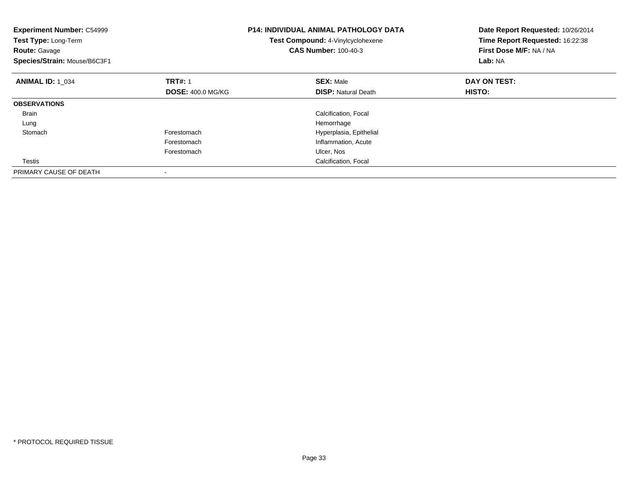| <b>Experiment Number: C54999</b><br>Test Type: Long-Term<br><b>Route: Gavage</b><br>Species/Strain: Mouse/B6C3F1 |                          | <b>P14: INDIVIDUAL ANIMAL PATHOLOGY DATA</b><br>Test Compound: 4-Vinylcyclohexene<br><b>CAS Number: 100-40-3</b> | Date Report Requested: 10/26/2014<br>Time Report Requested: 16:22:38<br>First Dose M/F: NA / NA<br>Lab: NA |
|------------------------------------------------------------------------------------------------------------------|--------------------------|------------------------------------------------------------------------------------------------------------------|------------------------------------------------------------------------------------------------------------|
| <b>ANIMAL ID: 1_034</b>                                                                                          | <b>TRT#: 1</b>           | <b>SEX: Male</b>                                                                                                 | DAY ON TEST:                                                                                               |
|                                                                                                                  | <b>DOSE: 400.0 MG/KG</b> | <b>DISP:</b> Natural Death                                                                                       | <b>HISTO:</b>                                                                                              |
| <b>OBSERVATIONS</b>                                                                                              |                          |                                                                                                                  |                                                                                                            |
| <b>Brain</b>                                                                                                     |                          | Calcification, Focal                                                                                             |                                                                                                            |
| Lung                                                                                                             |                          | Hemorrhage                                                                                                       |                                                                                                            |
| Stomach                                                                                                          | Forestomach              | Hyperplasia, Epithelial                                                                                          |                                                                                                            |
|                                                                                                                  | Forestomach              | Inflammation, Acute                                                                                              |                                                                                                            |
|                                                                                                                  | Forestomach              | Ulcer, Nos                                                                                                       |                                                                                                            |
| Testis                                                                                                           |                          | Calcification, Focal                                                                                             |                                                                                                            |
| PRIMARY CAUSE OF DEATH                                                                                           |                          |                                                                                                                  |                                                                                                            |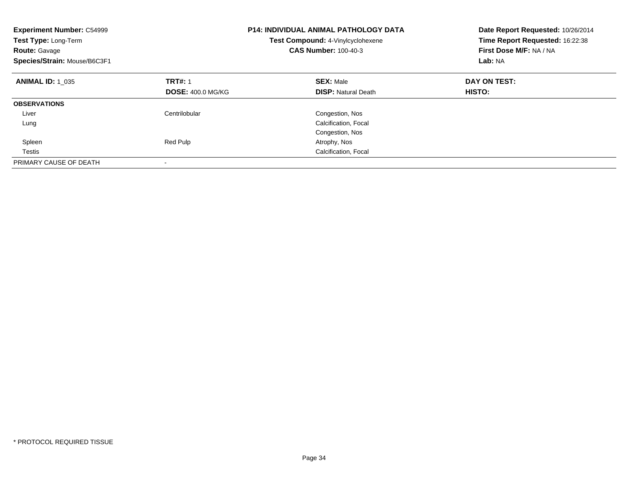| <b>Experiment Number: C54999</b><br>Test Type: Long-Term<br><b>Route: Gavage</b><br>Species/Strain: Mouse/B6C3F1 |                                            | <b>P14: INDIVIDUAL ANIMAL PATHOLOGY DATA</b><br>Test Compound: 4-Vinylcyclohexene<br><b>CAS Number: 100-40-3</b> | Date Report Requested: 10/26/2014<br>Time Report Requested: 16:22:38<br>First Dose M/F: NA / NA<br>Lab: NA |
|------------------------------------------------------------------------------------------------------------------|--------------------------------------------|------------------------------------------------------------------------------------------------------------------|------------------------------------------------------------------------------------------------------------|
| <b>ANIMAL ID: 1 035</b>                                                                                          | <b>TRT#: 1</b><br><b>DOSE: 400.0 MG/KG</b> | <b>SEX: Male</b><br><b>DISP:</b> Natural Death                                                                   | DAY ON TEST:<br>HISTO:                                                                                     |
|                                                                                                                  |                                            |                                                                                                                  |                                                                                                            |
| <b>OBSERVATIONS</b>                                                                                              |                                            |                                                                                                                  |                                                                                                            |
| Liver                                                                                                            | Centrilobular                              | Congestion, Nos                                                                                                  |                                                                                                            |
| Lung                                                                                                             |                                            | Calcification, Focal                                                                                             |                                                                                                            |
|                                                                                                                  |                                            | Congestion, Nos                                                                                                  |                                                                                                            |
| Spleen                                                                                                           | Red Pulp                                   | Atrophy, Nos                                                                                                     |                                                                                                            |
| Testis                                                                                                           |                                            | Calcification, Focal                                                                                             |                                                                                                            |
| PRIMARY CAUSE OF DEATH                                                                                           |                                            |                                                                                                                  |                                                                                                            |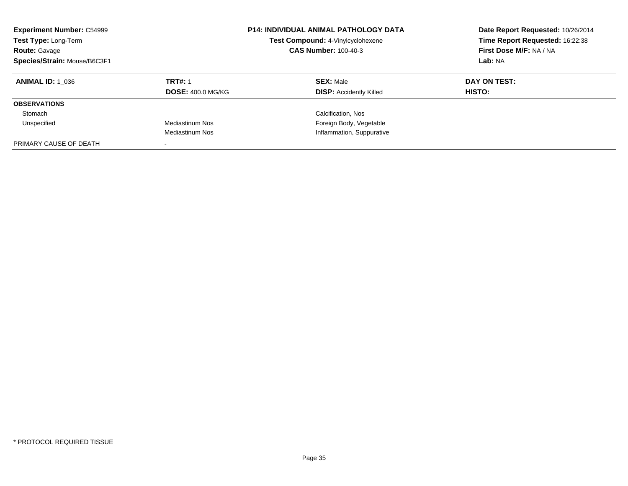| <b>Experiment Number: C54999</b><br>Test Type: Long-Term<br><b>Route: Gavage</b><br>Species/Strain: Mouse/B6C3F1 |                          | <b>P14: INDIVIDUAL ANIMAL PATHOLOGY DATA</b><br>Test Compound: 4-Vinylcyclohexene<br><b>CAS Number: 100-40-3</b> | Date Report Requested: 10/26/2014<br>Time Report Requested: 16:22:38<br>First Dose M/F: NA / NA<br>Lab: NA |
|------------------------------------------------------------------------------------------------------------------|--------------------------|------------------------------------------------------------------------------------------------------------------|------------------------------------------------------------------------------------------------------------|
| <b>ANIMAL ID:</b> 1 036                                                                                          | <b>TRT#: 1</b>           | <b>SEX: Male</b>                                                                                                 | DAY ON TEST:                                                                                               |
|                                                                                                                  | <b>DOSE: 400.0 MG/KG</b> | <b>DISP:</b> Accidently Killed                                                                                   | HISTO:                                                                                                     |
| <b>OBSERVATIONS</b>                                                                                              |                          |                                                                                                                  |                                                                                                            |
| Stomach                                                                                                          |                          | Calcification, Nos                                                                                               |                                                                                                            |
| Unspecified                                                                                                      | Mediastinum Nos          | Foreign Body, Vegetable                                                                                          |                                                                                                            |
|                                                                                                                  | <b>Mediastinum Nos</b>   | Inflammation, Suppurative                                                                                        |                                                                                                            |
| PRIMARY CAUSE OF DEATH                                                                                           |                          |                                                                                                                  |                                                                                                            |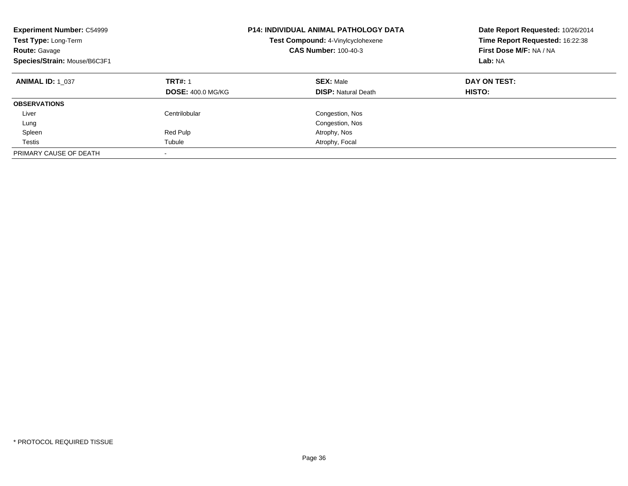| <b>Experiment Number: C54999</b><br>Test Type: Long-Term<br><b>Route: Gavage</b><br>Species/Strain: Mouse/B6C3F1 |                                            | <b>P14: INDIVIDUAL ANIMAL PATHOLOGY DATA</b><br>Test Compound: 4-Vinylcyclohexene<br><b>CAS Number: 100-40-3</b> | Date Report Requested: 10/26/2014<br>Time Report Requested: 16:22:38<br>First Dose M/F: NA / NA<br>Lab: NA |
|------------------------------------------------------------------------------------------------------------------|--------------------------------------------|------------------------------------------------------------------------------------------------------------------|------------------------------------------------------------------------------------------------------------|
| <b>ANIMAL ID: 1 037</b>                                                                                          | <b>TRT#: 1</b><br><b>DOSE: 400.0 MG/KG</b> | <b>SEX: Male</b><br><b>DISP: Natural Death</b>                                                                   | DAY ON TEST:<br><b>HISTO:</b>                                                                              |
| <b>OBSERVATIONS</b>                                                                                              |                                            |                                                                                                                  |                                                                                                            |
| Liver                                                                                                            | Centrilobular                              | Congestion, Nos                                                                                                  |                                                                                                            |
| Lung                                                                                                             |                                            | Congestion, Nos                                                                                                  |                                                                                                            |
| Spleen                                                                                                           | Red Pulp                                   | Atrophy, Nos                                                                                                     |                                                                                                            |
| Testis                                                                                                           | Tubule                                     | Atrophy, Focal                                                                                                   |                                                                                                            |
| PRIMARY CAUSE OF DEATH                                                                                           | $\overline{\phantom{a}}$                   |                                                                                                                  |                                                                                                            |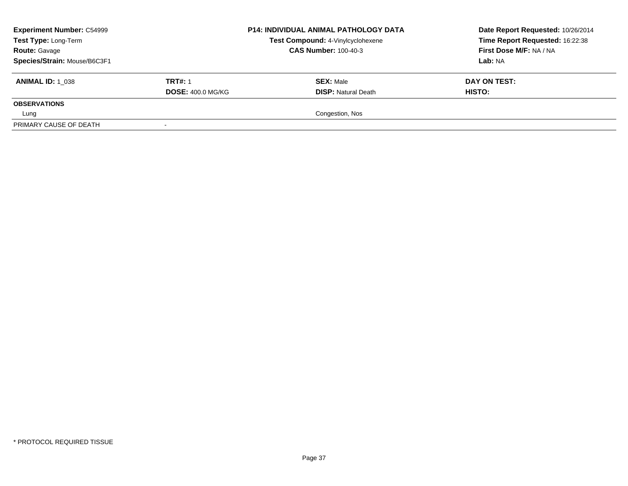| <b>Experiment Number: C54999</b><br>Test Type: Long-Term<br><b>Route: Gavage</b> | <b>P14: INDIVIDUAL ANIMAL PATHOLOGY DATA</b><br>Test Compound: 4-Vinylcyclohexene<br><b>CAS Number: 100-40-3</b> |                            | Date Report Requested: 10/26/2014<br>Time Report Requested: 16:22:38<br>First Dose M/F: NA / NA |
|----------------------------------------------------------------------------------|------------------------------------------------------------------------------------------------------------------|----------------------------|-------------------------------------------------------------------------------------------------|
| Species/Strain: Mouse/B6C3F1                                                     |                                                                                                                  |                            | Lab: NA                                                                                         |
| <b>ANIMAL ID: 1 038</b>                                                          | <b>TRT#: 1</b>                                                                                                   | <b>SEX: Male</b>           | DAY ON TEST:                                                                                    |
|                                                                                  | <b>DOSE: 400.0 MG/KG</b>                                                                                         | <b>DISP: Natural Death</b> | <b>HISTO:</b>                                                                                   |
| <b>OBSERVATIONS</b>                                                              |                                                                                                                  |                            |                                                                                                 |
| Lung                                                                             |                                                                                                                  | Congestion, Nos            |                                                                                                 |
| PRIMARY CAUSE OF DEATH                                                           |                                                                                                                  |                            |                                                                                                 |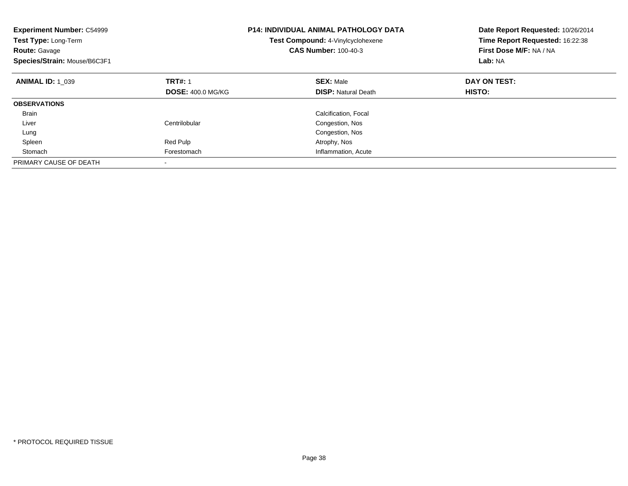| <b>Experiment Number: C54999</b><br><b>Test Type: Long-Term</b><br><b>Route: Gavage</b><br>Species/Strain: Mouse/B6C3F1 | <b>P14: INDIVIDUAL ANIMAL PATHOLOGY DATA</b><br><b>Test Compound: 4-Vinylcyclohexene</b><br><b>CAS Number: 100-40-3</b> |                            | Date Report Requested: 10/26/2014<br>Time Report Requested: 16:22:38<br>First Dose M/F: NA / NA<br>Lab: NA |
|-------------------------------------------------------------------------------------------------------------------------|-------------------------------------------------------------------------------------------------------------------------|----------------------------|------------------------------------------------------------------------------------------------------------|
| <b>ANIMAL ID: 1 039</b>                                                                                                 | <b>TRT#: 1</b>                                                                                                          | <b>SEX: Male</b>           | DAY ON TEST:                                                                                               |
|                                                                                                                         | <b>DOSE: 400.0 MG/KG</b>                                                                                                | <b>DISP:</b> Natural Death | HISTO:                                                                                                     |
| <b>OBSERVATIONS</b>                                                                                                     |                                                                                                                         |                            |                                                                                                            |
| <b>Brain</b>                                                                                                            |                                                                                                                         | Calcification, Focal       |                                                                                                            |
| Liver                                                                                                                   | Centrilobular                                                                                                           | Congestion, Nos            |                                                                                                            |
| Lung                                                                                                                    |                                                                                                                         | Congestion, Nos            |                                                                                                            |
| Spleen                                                                                                                  | Red Pulp                                                                                                                | Atrophy, Nos               |                                                                                                            |
| Stomach                                                                                                                 | Forestomach                                                                                                             | Inflammation, Acute        |                                                                                                            |
| PRIMARY CAUSE OF DEATH                                                                                                  |                                                                                                                         |                            |                                                                                                            |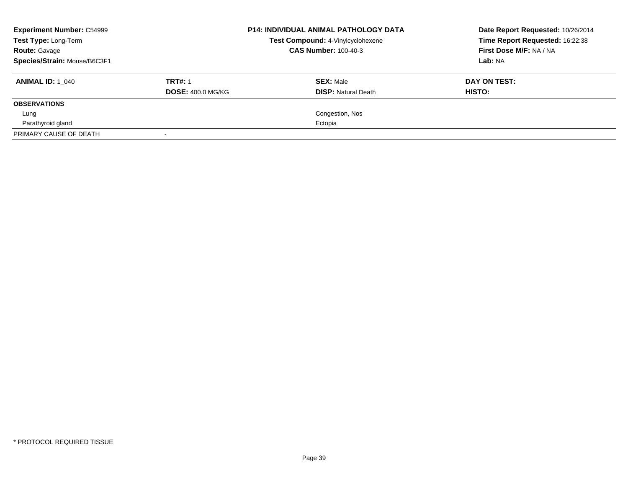| <b>Experiment Number: C54999</b><br>Test Type: Long-Term |                          | <b>P14: INDIVIDUAL ANIMAL PATHOLOGY DATA</b><br>Test Compound: 4-Vinylcyclohexene | Date Report Requested: 10/26/2014<br>Time Report Requested: 16:22:38 |  |
|----------------------------------------------------------|--------------------------|-----------------------------------------------------------------------------------|----------------------------------------------------------------------|--|
| <b>Route: Gavage</b>                                     |                          | <b>CAS Number: 100-40-3</b>                                                       | First Dose M/F: NA / NA                                              |  |
| Species/Strain: Mouse/B6C3F1                             |                          |                                                                                   | Lab: NA                                                              |  |
| <b>ANIMAL ID:</b> 1 040                                  | <b>TRT#: 1</b>           | <b>SEX: Male</b>                                                                  | DAY ON TEST:                                                         |  |
|                                                          | <b>DOSE: 400.0 MG/KG</b> | <b>DISP:</b> Natural Death                                                        | HISTO:                                                               |  |
| <b>OBSERVATIONS</b>                                      |                          |                                                                                   |                                                                      |  |
| Lung                                                     |                          | Congestion, Nos                                                                   |                                                                      |  |
| Parathyroid gland                                        |                          | Ectopia                                                                           |                                                                      |  |
| PRIMARY CAUSE OF DEATH                                   |                          |                                                                                   |                                                                      |  |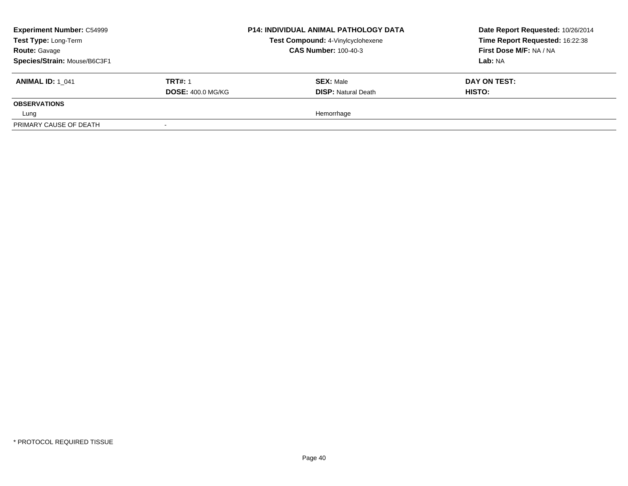| <b>Experiment Number: C54999</b><br>Test Type: Long-Term<br><b>Route: Gavage</b> | <b>P14: INDIVIDUAL ANIMAL PATHOLOGY DATA</b><br>Test Compound: 4-Vinylcyclohexene<br><b>CAS Number: 100-40-3</b> |                            | Date Report Requested: 10/26/2014<br>Time Report Requested: 16:22:38<br>First Dose M/F: NA / NA |
|----------------------------------------------------------------------------------|------------------------------------------------------------------------------------------------------------------|----------------------------|-------------------------------------------------------------------------------------------------|
| Species/Strain: Mouse/B6C3F1                                                     |                                                                                                                  |                            | Lab: NA                                                                                         |
| <b>ANIMAL ID:</b> 1 041                                                          | <b>TRT#: 1</b>                                                                                                   | <b>SEX: Male</b>           | DAY ON TEST:                                                                                    |
|                                                                                  | <b>DOSE: 400.0 MG/KG</b>                                                                                         | <b>DISP: Natural Death</b> | <b>HISTO:</b>                                                                                   |
| <b>OBSERVATIONS</b>                                                              |                                                                                                                  |                            |                                                                                                 |
| Lung                                                                             |                                                                                                                  | Hemorrhage                 |                                                                                                 |
| PRIMARY CAUSE OF DEATH                                                           |                                                                                                                  |                            |                                                                                                 |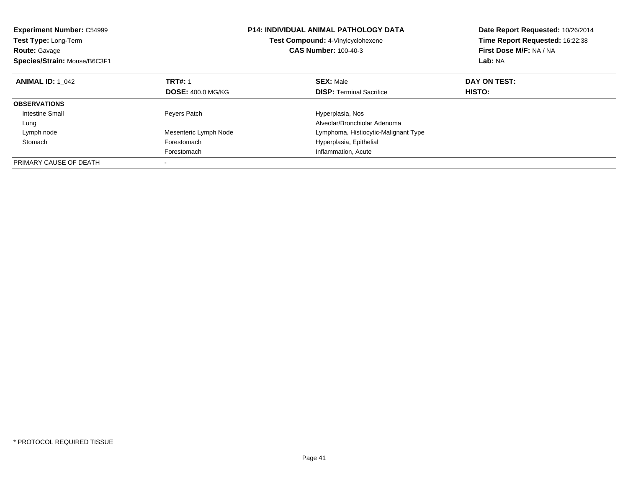| <b>Experiment Number: C54999</b><br><b>Test Type: Long-Term</b><br><b>Route: Gavage</b><br>Species/Strain: Mouse/B6C3F1 | <b>P14: INDIVIDUAL ANIMAL PATHOLOGY DATA</b><br>Test Compound: 4-Vinylcyclohexene<br><b>CAS Number: 100-40-3</b> |                                      | Date Report Requested: 10/26/2014<br>Time Report Requested: 16:22:38<br>First Dose M/F: NA / NA<br>Lab: NA |
|-------------------------------------------------------------------------------------------------------------------------|------------------------------------------------------------------------------------------------------------------|--------------------------------------|------------------------------------------------------------------------------------------------------------|
| <b>ANIMAL ID: 1 042</b>                                                                                                 | <b>TRT#: 1</b>                                                                                                   | <b>SEX: Male</b>                     | DAY ON TEST:                                                                                               |
|                                                                                                                         | <b>DOSE: 400.0 MG/KG</b>                                                                                         | <b>DISP:</b> Terminal Sacrifice      | HISTO:                                                                                                     |
| <b>OBSERVATIONS</b>                                                                                                     |                                                                                                                  |                                      |                                                                                                            |
| Intestine Small                                                                                                         | Peyers Patch                                                                                                     | Hyperplasia, Nos                     |                                                                                                            |
| Lung                                                                                                                    |                                                                                                                  | Alveolar/Bronchiolar Adenoma         |                                                                                                            |
| Lymph node                                                                                                              | Mesenteric Lymph Node                                                                                            | Lymphoma, Histiocytic-Malignant Type |                                                                                                            |
| Stomach                                                                                                                 | Forestomach                                                                                                      | Hyperplasia, Epithelial              |                                                                                                            |
|                                                                                                                         | Forestomach                                                                                                      | Inflammation, Acute                  |                                                                                                            |
| PRIMARY CAUSE OF DEATH                                                                                                  |                                                                                                                  |                                      |                                                                                                            |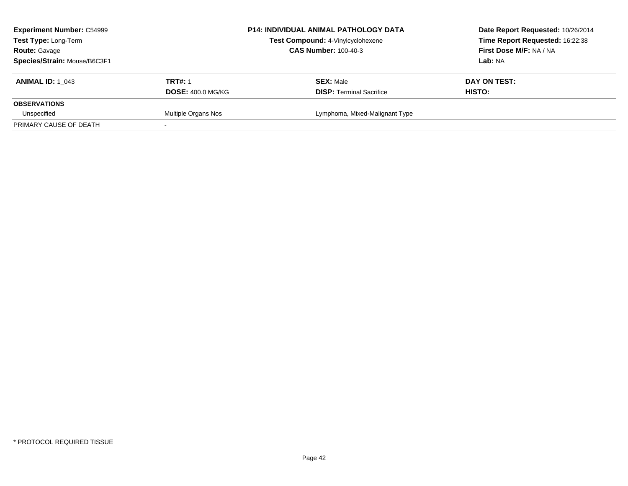| <b>Experiment Number: C54999</b><br>Test Type: Long-Term |                             | P14: INDIVIDUAL ANIMAL PATHOLOGY DATA | Date Report Requested: 10/26/2014 |
|----------------------------------------------------------|-----------------------------|---------------------------------------|-----------------------------------|
|                                                          |                             | Test Compound: 4-Vinylcyclohexene     | Time Report Requested: 16:22:38   |
| <b>Route: Gavage</b>                                     | <b>CAS Number: 100-40-3</b> |                                       | First Dose M/F: NA / NA           |
| Species/Strain: Mouse/B6C3F1                             |                             |                                       | Lab: NA                           |
| <b>ANIMAL ID:</b> 1 043                                  | <b>TRT#: 1</b>              | <b>SEX: Male</b>                      | DAY ON TEST:                      |
|                                                          | <b>DOSE: 400.0 MG/KG</b>    | <b>DISP: Terminal Sacrifice</b>       | HISTO:                            |
| <b>OBSERVATIONS</b>                                      |                             |                                       |                                   |
| Unspecified                                              | Multiple Organs Nos         | Lymphoma, Mixed-Malignant Type        |                                   |
| PRIMARY CAUSE OF DEATH                                   |                             |                                       |                                   |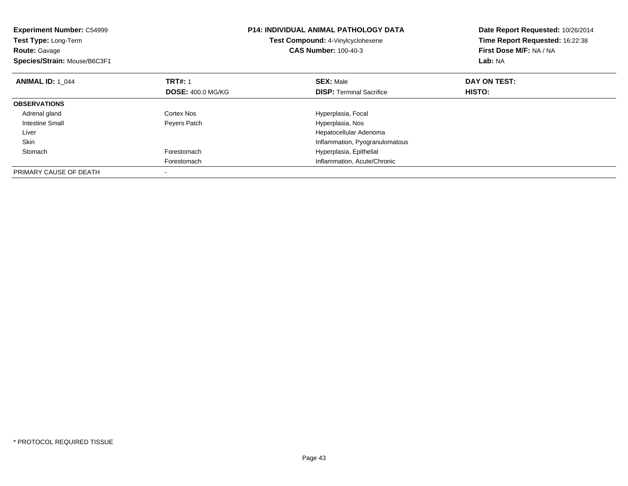| <b>Experiment Number: C54999</b><br>Test Type: Long-Term<br><b>Route: Gavage</b><br>Species/Strain: Mouse/B6C3F1 |                          | <b>P14: INDIVIDUAL ANIMAL PATHOLOGY DATA</b><br>Test Compound: 4-Vinylcyclohexene<br><b>CAS Number: 100-40-3</b> | Date Report Requested: 10/26/2014<br>Time Report Requested: 16:22:38<br>First Dose M/F: NA / NA<br>Lab: NA |
|------------------------------------------------------------------------------------------------------------------|--------------------------|------------------------------------------------------------------------------------------------------------------|------------------------------------------------------------------------------------------------------------|
| <b>ANIMAL ID: 1 044</b>                                                                                          | <b>TRT#: 1</b>           | <b>SEX: Male</b>                                                                                                 | DAY ON TEST:                                                                                               |
|                                                                                                                  | <b>DOSE: 400.0 MG/KG</b> | <b>DISP:</b> Terminal Sacrifice                                                                                  | <b>HISTO:</b>                                                                                              |
| <b>OBSERVATIONS</b>                                                                                              |                          |                                                                                                                  |                                                                                                            |
| Adrenal gland                                                                                                    | Cortex Nos               | Hyperplasia, Focal                                                                                               |                                                                                                            |
| <b>Intestine Small</b>                                                                                           | Peyers Patch             | Hyperplasia, Nos                                                                                                 |                                                                                                            |
| Liver                                                                                                            |                          | Hepatocellular Adenoma                                                                                           |                                                                                                            |
| Skin                                                                                                             |                          | Inflammation, Pyogranulomatous                                                                                   |                                                                                                            |
| Stomach                                                                                                          | Forestomach              | Hyperplasia, Epithelial                                                                                          |                                                                                                            |
|                                                                                                                  | Forestomach              | Inflammation, Acute/Chronic                                                                                      |                                                                                                            |
| PRIMARY CAUSE OF DEATH                                                                                           |                          |                                                                                                                  |                                                                                                            |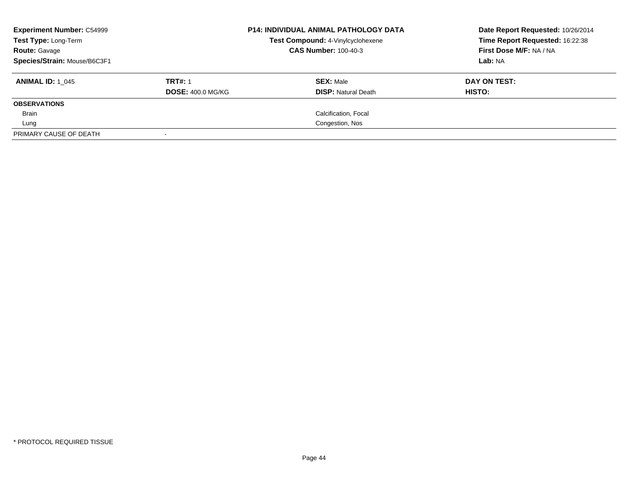| <b>Experiment Number: C54999</b><br>Test Type: Long-Term<br><b>Route: Gavage</b><br>Species/Strain: Mouse/B6C3F1 |                                            | <b>P14: INDIVIDUAL ANIMAL PATHOLOGY DATA</b><br>Test Compound: 4-Vinylcyclohexene<br><b>CAS Number: 100-40-3</b> | Date Report Requested: 10/26/2014<br>Time Report Requested: 16:22:38<br>First Dose M/F: NA / NA<br>Lab: NA |
|------------------------------------------------------------------------------------------------------------------|--------------------------------------------|------------------------------------------------------------------------------------------------------------------|------------------------------------------------------------------------------------------------------------|
| <b>ANIMAL ID: 1 045</b>                                                                                          | <b>TRT#: 1</b><br><b>DOSE: 400.0 MG/KG</b> | <b>SEX: Male</b><br><b>DISP:</b> Natural Death                                                                   | DAY ON TEST:<br>HISTO:                                                                                     |
| <b>OBSERVATIONS</b>                                                                                              |                                            |                                                                                                                  |                                                                                                            |
| Brain                                                                                                            |                                            | Calcification, Focal                                                                                             |                                                                                                            |
| Lung                                                                                                             |                                            | Congestion, Nos                                                                                                  |                                                                                                            |
| PRIMARY CAUSE OF DEATH                                                                                           |                                            |                                                                                                                  |                                                                                                            |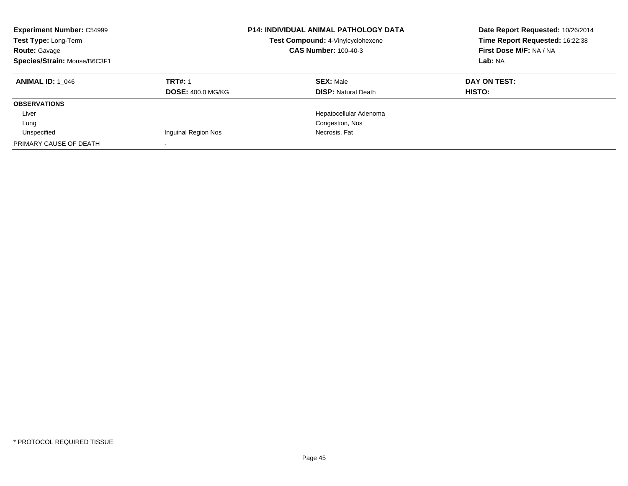| <b>P14: INDIVIDUAL ANIMAL PATHOLOGY DATA</b><br><b>Experiment Number: C54999</b><br>Test Type: Long-Term<br>Test Compound: 4-Vinylcyclohexene<br><b>CAS Number: 100-40-3</b><br><b>Route: Gavage</b><br>Species/Strain: Mouse/B6C3F1 |                          |                            | Date Report Requested: 10/26/2014<br>Time Report Requested: 16:22:38<br>First Dose M/F: NA / NA<br>Lab: NA |
|--------------------------------------------------------------------------------------------------------------------------------------------------------------------------------------------------------------------------------------|--------------------------|----------------------------|------------------------------------------------------------------------------------------------------------|
| <b>ANIMAL ID: 1 046</b>                                                                                                                                                                                                              | <b>TRT#: 1</b>           | <b>SEX: Male</b>           | DAY ON TEST:                                                                                               |
|                                                                                                                                                                                                                                      | <b>DOSE: 400.0 MG/KG</b> | <b>DISP:</b> Natural Death | HISTO:                                                                                                     |
| <b>OBSERVATIONS</b>                                                                                                                                                                                                                  |                          |                            |                                                                                                            |
| Liver                                                                                                                                                                                                                                |                          | Hepatocellular Adenoma     |                                                                                                            |
| Lung                                                                                                                                                                                                                                 |                          | Congestion, Nos            |                                                                                                            |
| Unspecified                                                                                                                                                                                                                          | Inquinal Region Nos      | Necrosis, Fat              |                                                                                                            |
| PRIMARY CAUSE OF DEATH                                                                                                                                                                                                               |                          |                            |                                                                                                            |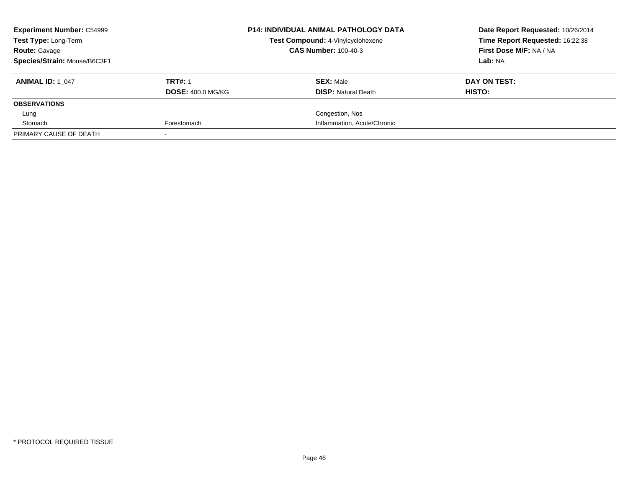| <b>Experiment Number: C54999</b><br><b>Test Type: Long-Term</b> |                          | <b>P14: INDIVIDUAL ANIMAL PATHOLOGY DATA</b><br>Test Compound: 4-Vinylcyclohexene | Date Report Requested: 10/26/2014<br>Time Report Requested: 16:22:38 |
|-----------------------------------------------------------------|--------------------------|-----------------------------------------------------------------------------------|----------------------------------------------------------------------|
| <b>Route: Gavage</b>                                            |                          | <b>CAS Number: 100-40-3</b>                                                       | First Dose M/F: NA / NA                                              |
| Species/Strain: Mouse/B6C3F1                                    |                          |                                                                                   | Lab: NA                                                              |
| <b>ANIMAL ID: 1 047</b>                                         | <b>TRT#: 1</b>           | <b>SEX: Male</b>                                                                  | DAY ON TEST:                                                         |
|                                                                 | <b>DOSE: 400.0 MG/KG</b> | <b>DISP:</b> Natural Death                                                        | HISTO:                                                               |
| <b>OBSERVATIONS</b>                                             |                          |                                                                                   |                                                                      |
| Lung                                                            |                          | Congestion, Nos                                                                   |                                                                      |
| Stomach                                                         | Forestomach              | Inflammation, Acute/Chronic                                                       |                                                                      |
| PRIMARY CAUSE OF DEATH                                          |                          |                                                                                   |                                                                      |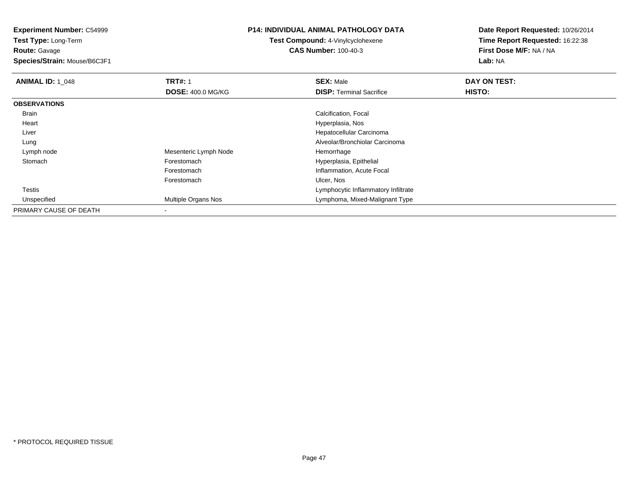**Experiment Number:** C54999

**Test Type:** Long-Term**Route:** Gavage

**Species/Strain:** Mouse/B6C3F1

## **P14: INDIVIDUAL ANIMAL PATHOLOGY DATA**

**Test Compound:** 4-Vinylcyclohexene**CAS Number:** 100-40-3

**Date Report Requested:** 10/26/2014**Time Report Requested:** 16:22:38**First Dose M/F:** NA / NA**Lab:** NA

| <b>ANIMAL ID: 1 048</b> | <b>TRT#: 1</b>           | <b>SEX: Male</b>                    | DAY ON TEST:  |  |
|-------------------------|--------------------------|-------------------------------------|---------------|--|
|                         | <b>DOSE: 400.0 MG/KG</b> | <b>DISP:</b> Terminal Sacrifice     | <b>HISTO:</b> |  |
| <b>OBSERVATIONS</b>     |                          |                                     |               |  |
| <b>Brain</b>            |                          | Calcification, Focal                |               |  |
| Heart                   |                          | Hyperplasia, Nos                    |               |  |
| Liver                   |                          | Hepatocellular Carcinoma            |               |  |
| Lung                    |                          | Alveolar/Bronchiolar Carcinoma      |               |  |
| Lymph node              | Mesenteric Lymph Node    | Hemorrhage                          |               |  |
| Stomach                 | Forestomach              | Hyperplasia, Epithelial             |               |  |
|                         | Forestomach              | Inflammation, Acute Focal           |               |  |
|                         | Forestomach              | Ulcer, Nos                          |               |  |
| Testis                  |                          | Lymphocytic Inflammatory Infiltrate |               |  |
| Unspecified             | Multiple Organs Nos      | Lymphoma, Mixed-Malignant Type      |               |  |
| PRIMARY CAUSE OF DEATH  | $\blacksquare$           |                                     |               |  |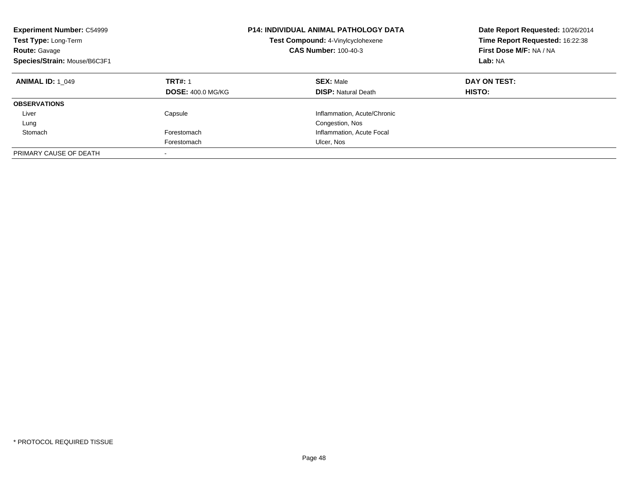| <b>Experiment Number: C54999</b><br>Test Type: Long-Term<br><b>Route: Gavage</b><br>Species/Strain: Mouse/B6C3F1 | <b>P14: INDIVIDUAL ANIMAL PATHOLOGY DATA</b><br>Test Compound: 4-Vinylcyclohexene<br><b>CAS Number: 100-40-3</b> |                                                | Date Report Requested: 10/26/2014<br>Time Report Requested: 16:22:38<br>First Dose M/F: NA / NA<br>Lab: NA |
|------------------------------------------------------------------------------------------------------------------|------------------------------------------------------------------------------------------------------------------|------------------------------------------------|------------------------------------------------------------------------------------------------------------|
| <b>ANIMAL ID: 1 049</b>                                                                                          | <b>TRT#: 1</b><br><b>DOSE: 400.0 MG/KG</b>                                                                       | <b>SEX: Male</b><br><b>DISP: Natural Death</b> | DAY ON TEST:<br><b>HISTO:</b>                                                                              |
| <b>OBSERVATIONS</b>                                                                                              |                                                                                                                  |                                                |                                                                                                            |
| Liver                                                                                                            | Capsule                                                                                                          | Inflammation, Acute/Chronic                    |                                                                                                            |
| Lung                                                                                                             |                                                                                                                  | Congestion, Nos                                |                                                                                                            |
| Stomach                                                                                                          | Forestomach                                                                                                      | Inflammation, Acute Focal                      |                                                                                                            |
|                                                                                                                  | Forestomach                                                                                                      | Ulcer, Nos                                     |                                                                                                            |
| PRIMARY CAUSE OF DEATH                                                                                           | -                                                                                                                |                                                |                                                                                                            |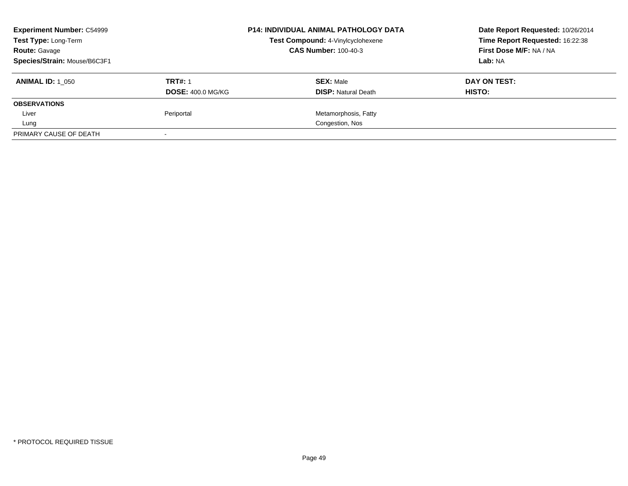| <b>Experiment Number: C54999</b> |                          | <b>P14: INDIVIDUAL ANIMAL PATHOLOGY DATA</b> | Date Report Requested: 10/26/2014 |
|----------------------------------|--------------------------|----------------------------------------------|-----------------------------------|
| Test Type: Long-Term             |                          | Test Compound: 4-Vinylcyclohexene            | Time Report Requested: 16:22:38   |
| <b>Route: Gavage</b>             |                          | <b>CAS Number: 100-40-3</b>                  | First Dose M/F: NA / NA           |
| Species/Strain: Mouse/B6C3F1     |                          |                                              | Lab: NA                           |
| <b>ANIMAL ID: 1 050</b>          | <b>TRT#: 1</b>           | <b>SEX: Male</b>                             | DAY ON TEST:                      |
|                                  | <b>DOSE: 400.0 MG/KG</b> | <b>DISP:</b> Natural Death                   | <b>HISTO:</b>                     |
| <b>OBSERVATIONS</b>              |                          |                                              |                                   |
| Liver                            | Periportal               | Metamorphosis, Fatty                         |                                   |
| Lung                             |                          | Congestion, Nos                              |                                   |
| PRIMARY CAUSE OF DEATH           |                          |                                              |                                   |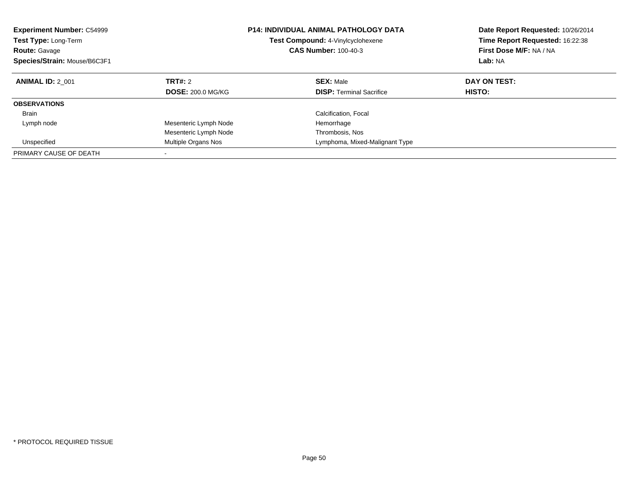| <b>Experiment Number: C54999</b><br>Test Type: Long-Term<br><b>Route: Gavage</b><br>Species/Strain: Mouse/B6C3F1 |                                     | <b>P14: INDIVIDUAL ANIMAL PATHOLOGY DATA</b><br>Test Compound: 4-Vinylcyclohexene<br><b>CAS Number: 100-40-3</b> | Date Report Requested: 10/26/2014<br>Time Report Requested: 16:22:38<br>First Dose M/F: NA / NA<br>Lab: NA |
|------------------------------------------------------------------------------------------------------------------|-------------------------------------|------------------------------------------------------------------------------------------------------------------|------------------------------------------------------------------------------------------------------------|
| <b>ANIMAL ID: 2 001</b>                                                                                          | TRT#: 2<br><b>DOSE: 200.0 MG/KG</b> | <b>SEX: Male</b><br><b>DISP:</b> Terminal Sacrifice                                                              | DAY ON TEST:<br><b>HISTO:</b>                                                                              |
|                                                                                                                  |                                     |                                                                                                                  |                                                                                                            |
| <b>OBSERVATIONS</b>                                                                                              |                                     |                                                                                                                  |                                                                                                            |
| <b>Brain</b>                                                                                                     |                                     | Calcification, Focal                                                                                             |                                                                                                            |
| Lymph node                                                                                                       | Mesenteric Lymph Node               | Hemorrhage                                                                                                       |                                                                                                            |
|                                                                                                                  | Mesenteric Lymph Node               | Thrombosis, Nos                                                                                                  |                                                                                                            |
| Unspecified                                                                                                      | Multiple Organs Nos                 | Lymphoma, Mixed-Malignant Type                                                                                   |                                                                                                            |
| PRIMARY CAUSE OF DEATH                                                                                           |                                     |                                                                                                                  |                                                                                                            |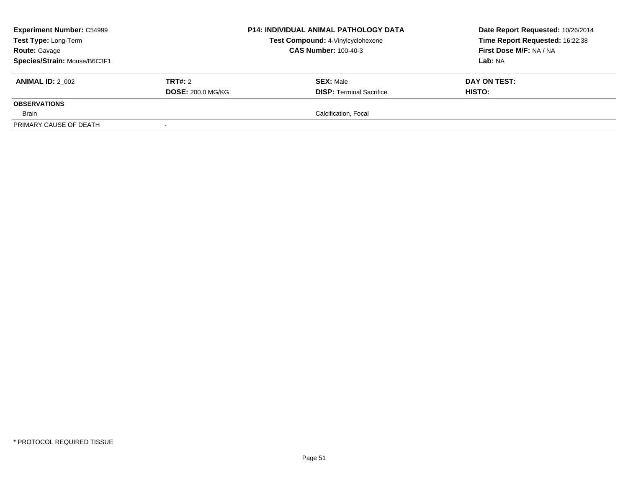| <b>Experiment Number: C54999</b><br>Test Type: Long-Term<br><b>Route: Gavage</b><br>Species/Strain: Mouse/B6C3F1 |                                            | <b>P14: INDIVIDUAL ANIMAL PATHOLOGY DATA</b><br>Test Compound: 4-Vinylcyclohexene<br><b>CAS Number: 100-40-3</b> | Date Report Requested: 10/26/2014<br>Time Report Requested: 16:22:38<br>First Dose M/F: NA / NA<br>Lab: NA |
|------------------------------------------------------------------------------------------------------------------|--------------------------------------------|------------------------------------------------------------------------------------------------------------------|------------------------------------------------------------------------------------------------------------|
| <b>ANIMAL ID: 2 002</b>                                                                                          | <b>TRT#:</b> 2<br><b>DOSE: 200.0 MG/KG</b> | <b>SEX: Male</b><br><b>DISP: Terminal Sacrifice</b>                                                              | DAY ON TEST:<br>HISTO:                                                                                     |
| <b>OBSERVATIONS</b>                                                                                              |                                            |                                                                                                                  |                                                                                                            |
| Brain                                                                                                            |                                            | Calcification, Focal                                                                                             |                                                                                                            |
| PRIMARY CAUSE OF DEATH                                                                                           |                                            |                                                                                                                  |                                                                                                            |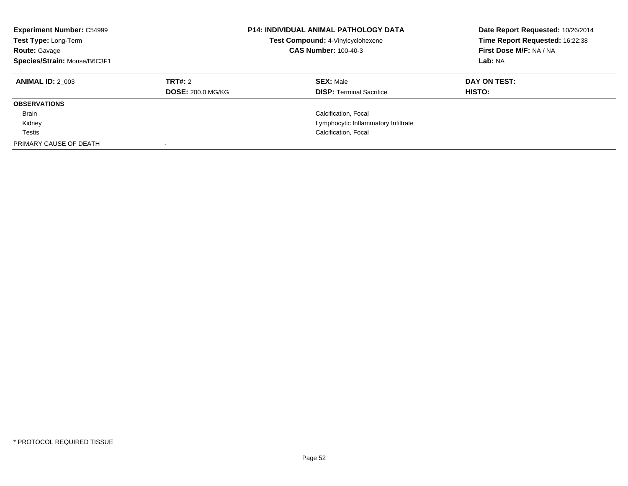| <b>Experiment Number: C54999</b><br>Test Type: Long-Term<br><b>Route: Gavage</b><br>Species/Strain: Mouse/B6C3F1 |                          | <b>P14: INDIVIDUAL ANIMAL PATHOLOGY DATA</b><br>Test Compound: 4-Vinylcyclohexene<br><b>CAS Number: 100-40-3</b> | Date Report Requested: 10/26/2014<br>Time Report Requested: 16:22:38<br>First Dose M/F: NA / NA<br>Lab: NA |
|------------------------------------------------------------------------------------------------------------------|--------------------------|------------------------------------------------------------------------------------------------------------------|------------------------------------------------------------------------------------------------------------|
| <b>ANIMAL ID: 2 003</b>                                                                                          | TRT#: 2                  | <b>SEX: Male</b>                                                                                                 | DAY ON TEST:                                                                                               |
|                                                                                                                  | <b>DOSE: 200.0 MG/KG</b> | <b>DISP:</b> Terminal Sacrifice                                                                                  | <b>HISTO:</b>                                                                                              |
| <b>OBSERVATIONS</b>                                                                                              |                          |                                                                                                                  |                                                                                                            |
| <b>Brain</b>                                                                                                     |                          | Calcification, Focal                                                                                             |                                                                                                            |
| Kidney                                                                                                           |                          | Lymphocytic Inflammatory Infiltrate                                                                              |                                                                                                            |
| Testis                                                                                                           |                          | Calcification, Focal                                                                                             |                                                                                                            |
| PRIMARY CAUSE OF DEATH                                                                                           |                          |                                                                                                                  |                                                                                                            |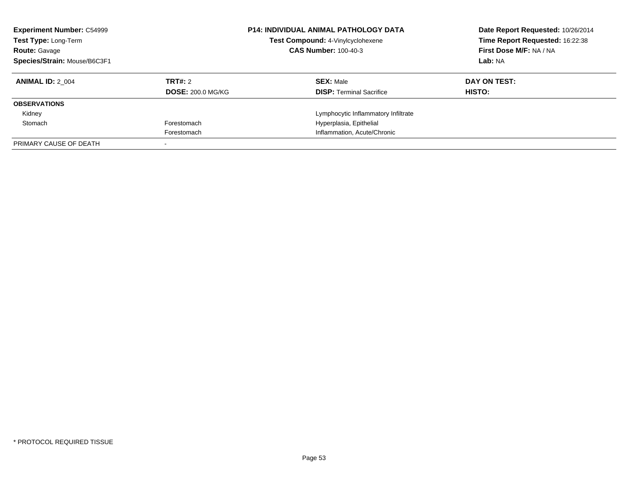| <b>Experiment Number: C54999</b><br>Test Type: Long-Term<br><b>Route: Gavage</b><br>Species/Strain: Mouse/B6C3F1 |                          | <b>P14: INDIVIDUAL ANIMAL PATHOLOGY DATA</b><br>Test Compound: 4-Vinylcyclohexene<br><b>CAS Number: 100-40-3</b> | Date Report Requested: 10/26/2014<br>Time Report Requested: 16:22:38<br>First Dose M/F: NA / NA<br>Lab: NA |
|------------------------------------------------------------------------------------------------------------------|--------------------------|------------------------------------------------------------------------------------------------------------------|------------------------------------------------------------------------------------------------------------|
| <b>ANIMAL ID: 2 004</b>                                                                                          | TRT#: 2                  | <b>SEX: Male</b>                                                                                                 | DAY ON TEST:                                                                                               |
|                                                                                                                  | <b>DOSE: 200.0 MG/KG</b> | <b>DISP:</b> Terminal Sacrifice                                                                                  | HISTO:                                                                                                     |
| <b>OBSERVATIONS</b>                                                                                              |                          |                                                                                                                  |                                                                                                            |
| Kidney                                                                                                           |                          | Lymphocytic Inflammatory Infiltrate                                                                              |                                                                                                            |
| Stomach                                                                                                          | Forestomach              | Hyperplasia, Epithelial                                                                                          |                                                                                                            |
|                                                                                                                  | Forestomach              | Inflammation, Acute/Chronic                                                                                      |                                                                                                            |
| PRIMARY CAUSE OF DEATH                                                                                           |                          |                                                                                                                  |                                                                                                            |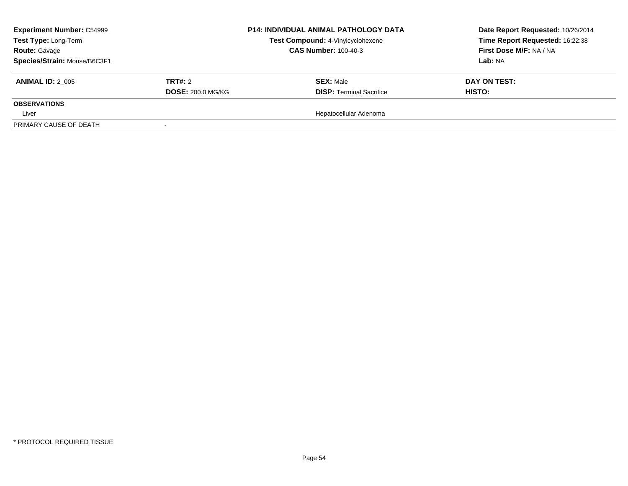| <b>Experiment Number: C54999</b> |                          | <b>P14: INDIVIDUAL ANIMAL PATHOLOGY DATA</b> | Date Report Requested: 10/26/2014 |
|----------------------------------|--------------------------|----------------------------------------------|-----------------------------------|
| Test Type: Long-Term             |                          | Test Compound: 4-Vinylcyclohexene            | Time Report Requested: 16:22:38   |
| <b>Route: Gavage</b>             |                          | <b>CAS Number: 100-40-3</b>                  | First Dose M/F: NA / NA           |
| Species/Strain: Mouse/B6C3F1     |                          |                                              | <b>Lab: NA</b>                    |
| <b>ANIMAL ID: 2 005</b>          | <b>TRT#: 2</b>           | <b>SEX: Male</b>                             | DAY ON TEST:                      |
|                                  | <b>DOSE: 200.0 MG/KG</b> | <b>DISP: Terminal Sacrifice</b>              | HISTO:                            |
| <b>OBSERVATIONS</b>              |                          |                                              |                                   |
| Liver                            |                          | Hepatocellular Adenoma                       |                                   |
| PRIMARY CAUSE OF DEATH           |                          |                                              |                                   |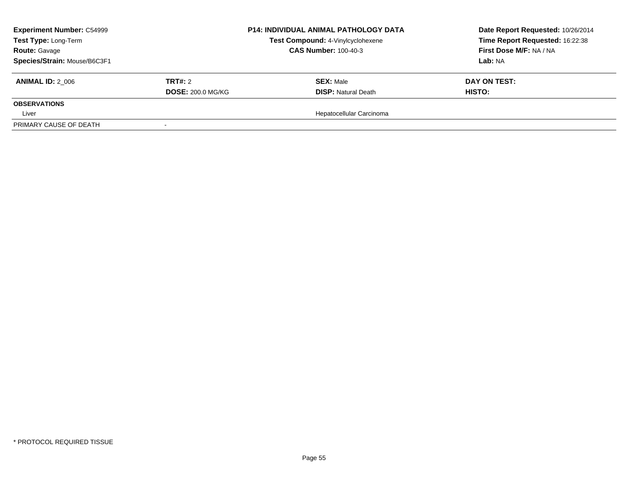| <b>Experiment Number: C54999</b><br>Test Type: Long-Term<br><b>Route: Gavage</b> |                          | <b>P14: INDIVIDUAL ANIMAL PATHOLOGY DATA</b><br>Test Compound: 4-Vinylcyclohexene<br><b>CAS Number: 100-40-3</b> | Date Report Requested: 10/26/2014<br>Time Report Requested: 16:22:38<br>First Dose M/F: NA / NA |
|----------------------------------------------------------------------------------|--------------------------|------------------------------------------------------------------------------------------------------------------|-------------------------------------------------------------------------------------------------|
| Species/Strain: Mouse/B6C3F1                                                     |                          |                                                                                                                  | Lab: NA                                                                                         |
| <b>ANIMAL ID: 2 006</b>                                                          | <b>TRT#: 2</b>           | <b>SEX: Male</b>                                                                                                 | DAY ON TEST:                                                                                    |
|                                                                                  | <b>DOSE: 200.0 MG/KG</b> | <b>DISP: Natural Death</b>                                                                                       | <b>HISTO:</b>                                                                                   |
| <b>OBSERVATIONS</b>                                                              |                          |                                                                                                                  |                                                                                                 |
| Liver                                                                            |                          | Hepatocellular Carcinoma                                                                                         |                                                                                                 |
| PRIMARY CAUSE OF DEATH                                                           |                          |                                                                                                                  |                                                                                                 |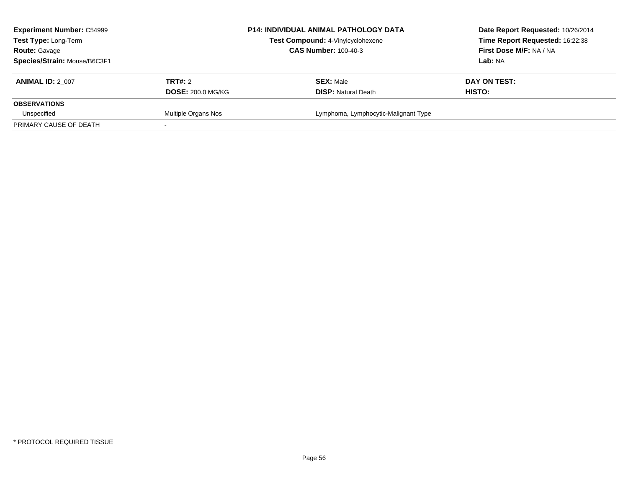| <b>Experiment Number: C54999</b><br>Test Type: Long-Term<br><b>Route: Gavage</b><br>Species/Strain: Mouse/B6C3F1 |                                            | <b>P14: INDIVIDUAL ANIMAL PATHOLOGY DATA</b><br>Test Compound: 4-Vinylcyclohexene<br><b>CAS Number: 100-40-3</b> | Date Report Requested: 10/26/2014<br>Time Report Requested: 16:22:38<br>First Dose M/F: NA / NA<br><b>Lab:</b> NA |
|------------------------------------------------------------------------------------------------------------------|--------------------------------------------|------------------------------------------------------------------------------------------------------------------|-------------------------------------------------------------------------------------------------------------------|
| <b>ANIMAL ID: 2 007</b>                                                                                          | <b>TRT#: 2</b><br><b>DOSE: 200.0 MG/KG</b> | <b>SEX: Male</b><br><b>DISP: Natural Death</b>                                                                   | DAY ON TEST:<br>HISTO:                                                                                            |
| <b>OBSERVATIONS</b><br>Unspecified                                                                               | Multiple Organs Nos                        | Lymphoma, Lymphocytic-Malignant Type                                                                             |                                                                                                                   |
| PRIMARY CAUSE OF DEATH                                                                                           |                                            |                                                                                                                  |                                                                                                                   |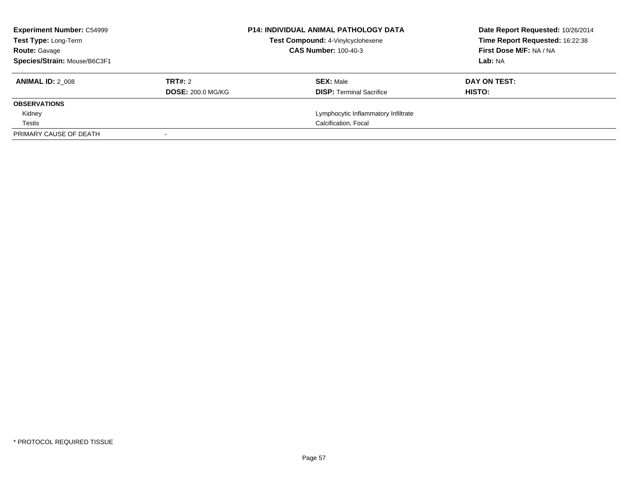| <b>Experiment Number: C54999</b><br><b>Test Type: Long-Term</b> |                          | <b>P14: INDIVIDUAL ANIMAL PATHOLOGY DATA</b><br>Test Compound: 4-Vinylcyclohexene | Date Report Requested: 10/26/2014<br>Time Report Requested: 16:22:38 |
|-----------------------------------------------------------------|--------------------------|-----------------------------------------------------------------------------------|----------------------------------------------------------------------|
| <b>Route: Gavage</b>                                            |                          | <b>CAS Number: 100-40-3</b>                                                       | First Dose M/F: NA / NA                                              |
| Species/Strain: Mouse/B6C3F1                                    |                          |                                                                                   | Lab: NA                                                              |
| <b>ANIMAL ID: 2 008</b>                                         | TRT#: 2                  | <b>SEX: Male</b>                                                                  | DAY ON TEST:                                                         |
|                                                                 | <b>DOSE: 200.0 MG/KG</b> | <b>DISP:</b> Terminal Sacrifice                                                   | HISTO:                                                               |
| <b>OBSERVATIONS</b>                                             |                          |                                                                                   |                                                                      |
| Kidney                                                          |                          | Lymphocytic Inflammatory Infiltrate                                               |                                                                      |
| Testis                                                          |                          | Calcification, Focal                                                              |                                                                      |
| PRIMARY CAUSE OF DEATH                                          |                          |                                                                                   |                                                                      |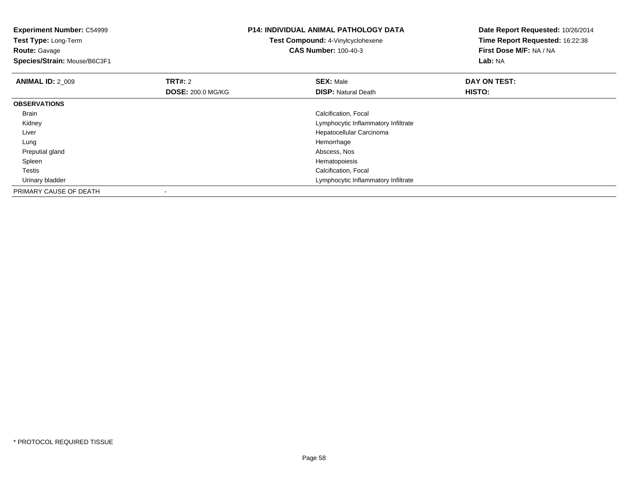**Experiment Number:** C54999**Test Type:** Long-Term**Route:** Gavage **Species/Strain:** Mouse/B6C3F1**P14: INDIVIDUAL ANIMAL PATHOLOGY DATATest Compound:** 4-Vinylcyclohexene**CAS Number:** 100-40-3**Date Report Requested:** 10/26/2014**Time Report Requested:** 16:22:38**First Dose M/F:** NA / NA**Lab:** NA**ANIMAL ID: 2 009 TRT#:** 2 **SEX:** Male **DAY ON TEST: DOSE:** 200.0 MG/KG**DISP:** Natural Death **HISTO: OBSERVATIONS** Brain Calcification, Focal Kidney Lymphocytic Inflammatory Infiltrate Liver Hepatocellular Carcinoma Lungg and the state of the state of the state of the state of the state of the state of the state of the state of the state of the state of the state of the state of the state of the state of the state of the state of the stat Preputial gland Abscess, Nos Spleenn and the state of the state of the state of the state of the state of the state of the state of the state of the state of the state of the state of the state of the state of the state of the state of the state of the stat Testis Calcification, Focal Urinary bladder Lymphocytic Inflammatory InfiltratePRIMARY CAUSE OF DEATH-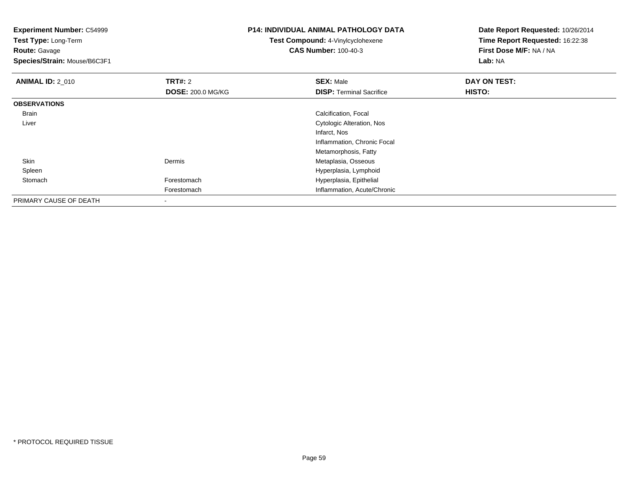**Experiment Number:** C54999**Test Type:** Long-Term**Route:** Gavage **Species/Strain:** Mouse/B6C3F1**P14: INDIVIDUAL ANIMAL PATHOLOGY DATATest Compound:** 4-Vinylcyclohexene**CAS Number:** 100-40-3**Date Report Requested:** 10/26/2014**Time Report Requested:** 16:22:38**First Dose M/F:** NA / NA**Lab:** NA**ANIMAL ID: 2 010 C TRT#:** 2 **SEX:** Male **DAY ON TEST: DOSE:** 200.0 MG/KG**DISP:** Terminal Sacrifice **HISTO: OBSERVATIONS** Brain Calcification, Focal Liver Cytologic Alteration, NosInfarct, Nos Inflammation, Chronic FocalMetamorphosis, Fattyn and a controller of the Dermis Community Community Community Community Community Community Community Community Community Community Community Community Community Community Community Community Community Community Community Skin SpleenHyperplasia, Lymphoid<br>Forestomach entity and the Hyperplasia, Epithelial StomachHyperplasia, Epithelial Forestomach Inflammation, Acute/Chronic PRIMARY CAUSE OF DEATH-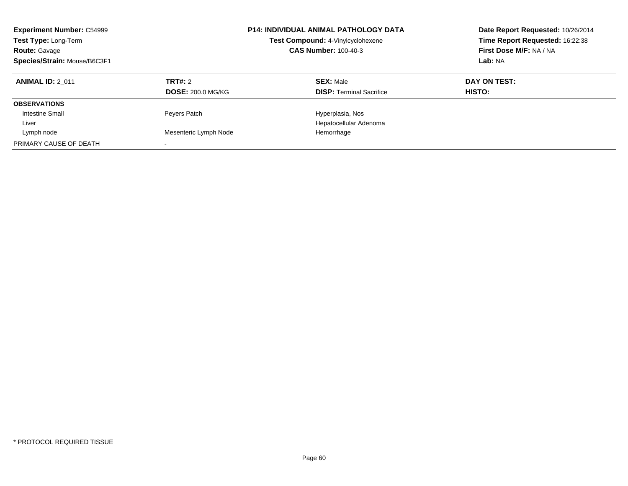| <b>Experiment Number: C54999</b><br>Test Type: Long-Term<br><b>Route: Gavage</b><br>Species/Strain: Mouse/B6C3F1 |                          | <b>P14: INDIVIDUAL ANIMAL PATHOLOGY DATA</b><br>Test Compound: 4-Vinylcyclohexene<br><b>CAS Number: 100-40-3</b> | Date Report Requested: 10/26/2014<br>Time Report Requested: 16:22:38<br>First Dose M/F: NA / NA<br>Lab: NA |
|------------------------------------------------------------------------------------------------------------------|--------------------------|------------------------------------------------------------------------------------------------------------------|------------------------------------------------------------------------------------------------------------|
| <b>ANIMAL ID: 2 011</b>                                                                                          | TRT#: 2                  | <b>SEX: Male</b>                                                                                                 | DAY ON TEST:                                                                                               |
|                                                                                                                  | <b>DOSE: 200.0 MG/KG</b> | <b>DISP:</b> Terminal Sacrifice                                                                                  | HISTO:                                                                                                     |
| <b>OBSERVATIONS</b>                                                                                              |                          |                                                                                                                  |                                                                                                            |
| <b>Intestine Small</b>                                                                                           | Peyers Patch             | Hyperplasia, Nos                                                                                                 |                                                                                                            |
| Liver                                                                                                            |                          | Hepatocellular Adenoma                                                                                           |                                                                                                            |
| Lymph node                                                                                                       | Mesenteric Lymph Node    | Hemorrhage                                                                                                       |                                                                                                            |
| PRIMARY CAUSE OF DEATH                                                                                           |                          |                                                                                                                  |                                                                                                            |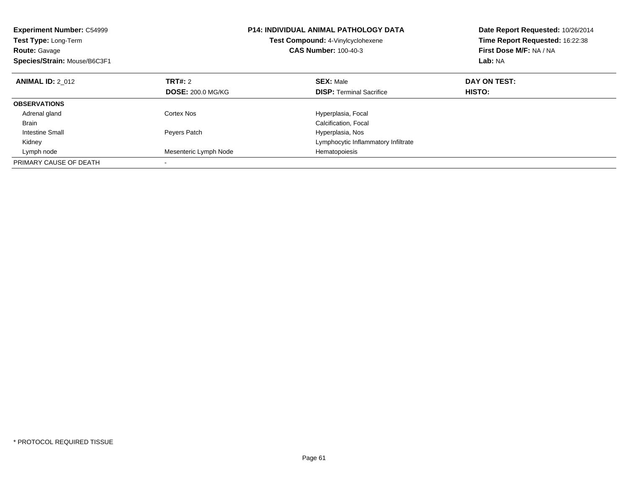| <b>Experiment Number: C54999</b><br>Test Type: Long-Term<br><b>Route: Gavage</b><br>Species/Strain: Mouse/B6C3F1 |                          | <b>P14: INDIVIDUAL ANIMAL PATHOLOGY DATA</b><br><b>Test Compound: 4-Vinylcyclohexene</b><br><b>CAS Number: 100-40-3</b> | Date Report Requested: 10/26/2014<br>Time Report Requested: 16:22:38<br>First Dose M/F: NA / NA<br>Lab: NA |
|------------------------------------------------------------------------------------------------------------------|--------------------------|-------------------------------------------------------------------------------------------------------------------------|------------------------------------------------------------------------------------------------------------|
| <b>ANIMAL ID: 2 012</b>                                                                                          | TRT#: 2                  | <b>SEX: Male</b>                                                                                                        | DAY ON TEST:                                                                                               |
|                                                                                                                  | <b>DOSE: 200.0 MG/KG</b> | <b>DISP:</b> Terminal Sacrifice                                                                                         | HISTO:                                                                                                     |
| <b>OBSERVATIONS</b>                                                                                              |                          |                                                                                                                         |                                                                                                            |
| Adrenal gland                                                                                                    | Cortex Nos               | Hyperplasia, Focal                                                                                                      |                                                                                                            |
| <b>Brain</b>                                                                                                     |                          | Calcification, Focal                                                                                                    |                                                                                                            |
| Intestine Small                                                                                                  | Peyers Patch             | Hyperplasia, Nos                                                                                                        |                                                                                                            |
| Kidney                                                                                                           |                          | Lymphocytic Inflammatory Infiltrate                                                                                     |                                                                                                            |
| Lymph node                                                                                                       | Mesenteric Lymph Node    | Hematopoiesis                                                                                                           |                                                                                                            |
| PRIMARY CAUSE OF DEATH                                                                                           |                          |                                                                                                                         |                                                                                                            |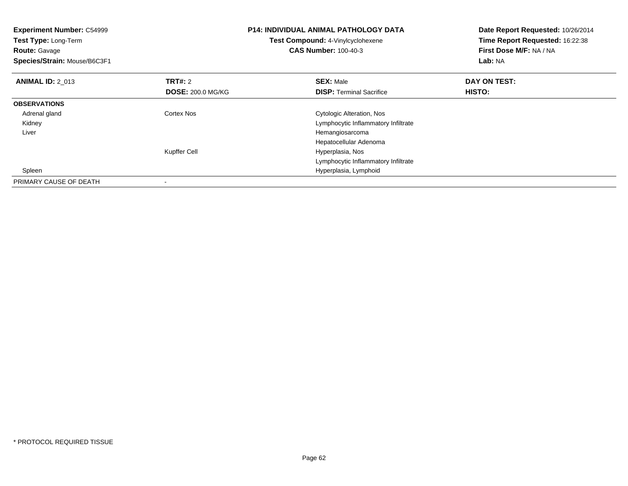| <b>Experiment Number: C54999</b><br>Test Type: Long-Term<br><b>Route: Gavage</b><br>Species/Strain: Mouse/B6C3F1 |                                     | <b>P14: INDIVIDUAL ANIMAL PATHOLOGY DATA</b><br>Test Compound: 4-Vinylcyclohexene<br><b>CAS Number: 100-40-3</b> | Date Report Requested: 10/26/2014<br>Time Report Requested: 16:22:38<br>First Dose M/F: NA / NA<br>Lab: NA |
|------------------------------------------------------------------------------------------------------------------|-------------------------------------|------------------------------------------------------------------------------------------------------------------|------------------------------------------------------------------------------------------------------------|
| <b>ANIMAL ID: 2 013</b>                                                                                          | TRT#: 2<br><b>DOSE: 200.0 MG/KG</b> | <b>SEX: Male</b><br><b>DISP:</b> Terminal Sacrifice                                                              | DAY ON TEST:<br>HISTO:                                                                                     |
| <b>OBSERVATIONS</b>                                                                                              |                                     |                                                                                                                  |                                                                                                            |
| Adrenal gland                                                                                                    | Cortex Nos                          | Cytologic Alteration, Nos                                                                                        |                                                                                                            |
| Kidney                                                                                                           |                                     | Lymphocytic Inflammatory Infiltrate                                                                              |                                                                                                            |
| Liver                                                                                                            |                                     | Hemangiosarcoma                                                                                                  |                                                                                                            |
|                                                                                                                  |                                     | Hepatocellular Adenoma                                                                                           |                                                                                                            |
|                                                                                                                  | Kupffer Cell                        | Hyperplasia, Nos                                                                                                 |                                                                                                            |
|                                                                                                                  |                                     | Lymphocytic Inflammatory Infiltrate                                                                              |                                                                                                            |
| Spleen                                                                                                           |                                     | Hyperplasia, Lymphoid                                                                                            |                                                                                                            |
| PRIMARY CAUSE OF DEATH                                                                                           |                                     |                                                                                                                  |                                                                                                            |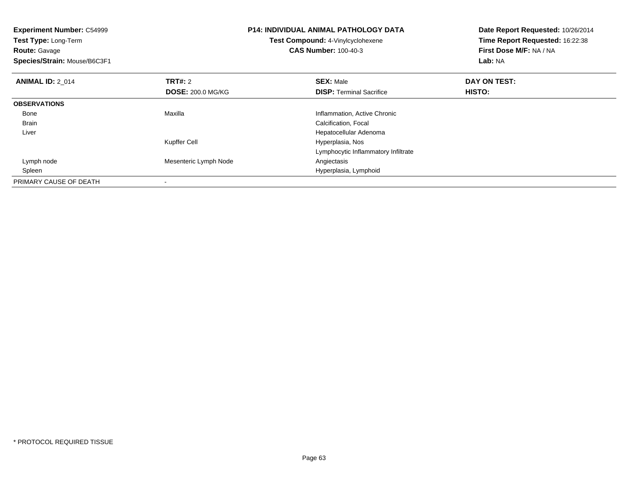| <b>Experiment Number: C54999</b><br>Test Type: Long-Term<br><b>Route: Gavage</b><br>Species/Strain: Mouse/B6C3F1 |                          | <b>P14: INDIVIDUAL ANIMAL PATHOLOGY DATA</b><br>Test Compound: 4-Vinylcyclohexene<br><b>CAS Number: 100-40-3</b> | Date Report Requested: 10/26/2014<br>Time Report Requested: 16:22:38<br>First Dose M/F: NA / NA<br>Lab: NA |
|------------------------------------------------------------------------------------------------------------------|--------------------------|------------------------------------------------------------------------------------------------------------------|------------------------------------------------------------------------------------------------------------|
| <b>ANIMAL ID: 2 014</b>                                                                                          | <b>TRT#: 2</b>           | <b>SEX: Male</b>                                                                                                 | DAY ON TEST:                                                                                               |
|                                                                                                                  | <b>DOSE: 200.0 MG/KG</b> | <b>DISP:</b> Terminal Sacrifice                                                                                  | HISTO:                                                                                                     |
| <b>OBSERVATIONS</b>                                                                                              |                          |                                                                                                                  |                                                                                                            |
| Bone                                                                                                             | Maxilla                  | Inflammation, Active Chronic                                                                                     |                                                                                                            |
| Brain                                                                                                            |                          | Calcification, Focal                                                                                             |                                                                                                            |
| Liver                                                                                                            |                          | Hepatocellular Adenoma                                                                                           |                                                                                                            |
|                                                                                                                  | Kupffer Cell             | Hyperplasia, Nos                                                                                                 |                                                                                                            |
|                                                                                                                  |                          | Lymphocytic Inflammatory Infiltrate                                                                              |                                                                                                            |
| Lymph node                                                                                                       | Mesenteric Lymph Node    | Angiectasis                                                                                                      |                                                                                                            |
| Spleen                                                                                                           |                          | Hyperplasia, Lymphoid                                                                                            |                                                                                                            |
| PRIMARY CAUSE OF DEATH                                                                                           |                          |                                                                                                                  |                                                                                                            |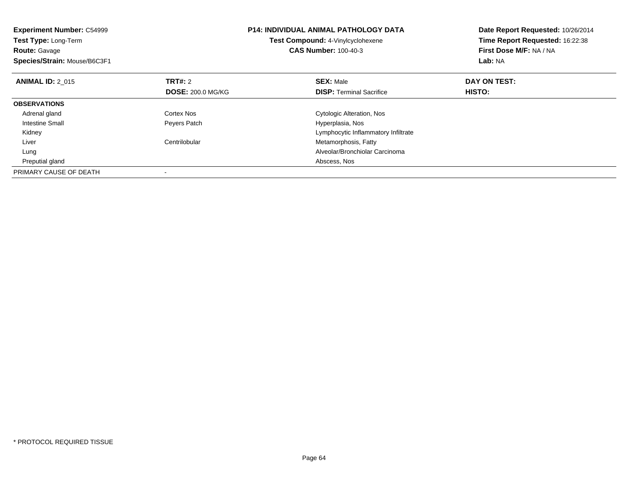| <b>Experiment Number: C54999</b><br>Test Type: Long-Term<br><b>Route: Gavage</b><br>Species/Strain: Mouse/B6C3F1 |                          | <b>P14: INDIVIDUAL ANIMAL PATHOLOGY DATA</b><br>Test Compound: 4-Vinylcyclohexene<br><b>CAS Number: 100-40-3</b> | Date Report Requested: 10/26/2014<br>Time Report Requested: 16:22:38<br>First Dose M/F: NA / NA<br>Lab: NA |
|------------------------------------------------------------------------------------------------------------------|--------------------------|------------------------------------------------------------------------------------------------------------------|------------------------------------------------------------------------------------------------------------|
| <b>ANIMAL ID: 2 015</b>                                                                                          | <b>TRT#: 2</b>           | <b>SEX: Male</b>                                                                                                 | DAY ON TEST:                                                                                               |
|                                                                                                                  | <b>DOSE: 200.0 MG/KG</b> | <b>DISP:</b> Terminal Sacrifice                                                                                  | HISTO:                                                                                                     |
| <b>OBSERVATIONS</b>                                                                                              |                          |                                                                                                                  |                                                                                                            |
| Adrenal gland                                                                                                    | Cortex Nos               | Cytologic Alteration, Nos                                                                                        |                                                                                                            |
| Intestine Small                                                                                                  | Peyers Patch             | Hyperplasia, Nos                                                                                                 |                                                                                                            |
| Kidney                                                                                                           |                          | Lymphocytic Inflammatory Infiltrate                                                                              |                                                                                                            |
| Liver                                                                                                            | Centrilobular            | Metamorphosis, Fatty                                                                                             |                                                                                                            |
| Lung                                                                                                             |                          | Alveolar/Bronchiolar Carcinoma                                                                                   |                                                                                                            |
| Preputial gland                                                                                                  |                          | Abscess, Nos                                                                                                     |                                                                                                            |
| PRIMARY CAUSE OF DEATH                                                                                           |                          |                                                                                                                  |                                                                                                            |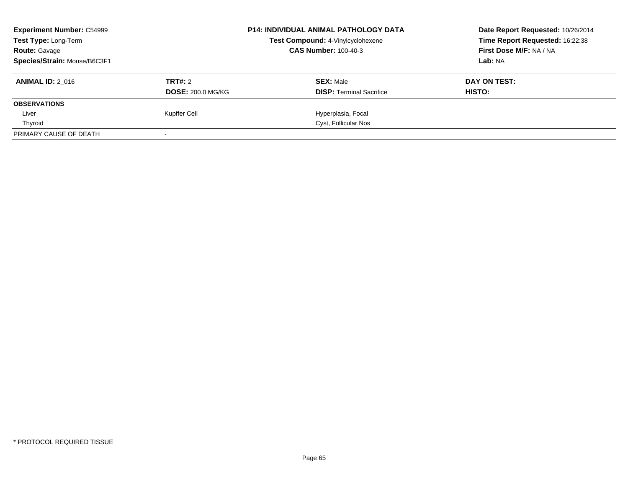| <b>Experiment Number: C54999</b> |                          | <b>P14: INDIVIDUAL ANIMAL PATHOLOGY DATA</b> | Date Report Requested: 10/26/2014 |
|----------------------------------|--------------------------|----------------------------------------------|-----------------------------------|
| Test Type: Long-Term             |                          | Test Compound: 4-Vinylcyclohexene            | Time Report Requested: 16:22:38   |
| <b>Route: Gavage</b>             |                          | <b>CAS Number: 100-40-3</b>                  | First Dose M/F: NA / NA           |
| Species/Strain: Mouse/B6C3F1     |                          |                                              | Lab: NA                           |
| <b>ANIMAL ID: 2 016</b>          | TRT#: 2                  | <b>SEX: Male</b>                             | DAY ON TEST:                      |
|                                  | <b>DOSE: 200.0 MG/KG</b> | <b>DISP:</b> Terminal Sacrifice              | <b>HISTO:</b>                     |
| <b>OBSERVATIONS</b>              |                          |                                              |                                   |
| Liver                            | Kupffer Cell             | Hyperplasia, Focal                           |                                   |
| Thyroid                          |                          | Cyst, Follicular Nos                         |                                   |
| PRIMARY CAUSE OF DEATH           |                          |                                              |                                   |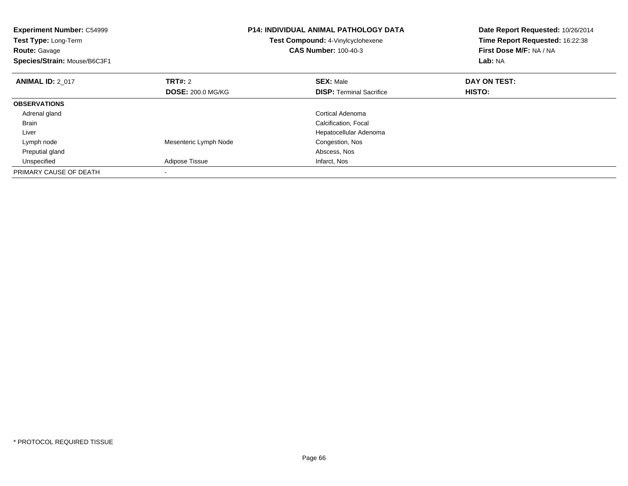| <b>Experiment Number: C54999</b><br><b>Test Type: Long-Term</b><br><b>Route: Gavage</b><br>Species/Strain: Mouse/B6C3F1 |                          | <b>P14: INDIVIDUAL ANIMAL PATHOLOGY DATA</b><br>Test Compound: 4-Vinylcyclohexene<br><b>CAS Number: 100-40-3</b> | Date Report Requested: 10/26/2014<br>Time Report Requested: 16:22:38<br>First Dose M/F: NA / NA<br>Lab: NA |
|-------------------------------------------------------------------------------------------------------------------------|--------------------------|------------------------------------------------------------------------------------------------------------------|------------------------------------------------------------------------------------------------------------|
| <b>ANIMAL ID: 2 017</b>                                                                                                 | TRT#: 2                  | <b>SEX: Male</b>                                                                                                 | DAY ON TEST:                                                                                               |
|                                                                                                                         | <b>DOSE: 200.0 MG/KG</b> | <b>DISP:</b> Terminal Sacrifice                                                                                  | HISTO:                                                                                                     |
| <b>OBSERVATIONS</b>                                                                                                     |                          |                                                                                                                  |                                                                                                            |
| Adrenal gland                                                                                                           |                          | Cortical Adenoma                                                                                                 |                                                                                                            |
| <b>Brain</b>                                                                                                            |                          | Calcification, Focal                                                                                             |                                                                                                            |
| Liver                                                                                                                   |                          | Hepatocellular Adenoma                                                                                           |                                                                                                            |
| Lymph node                                                                                                              | Mesenteric Lymph Node    | Congestion, Nos                                                                                                  |                                                                                                            |
| Preputial gland                                                                                                         |                          | Abscess, Nos                                                                                                     |                                                                                                            |
| Unspecified                                                                                                             | Adipose Tissue           | Infarct, Nos                                                                                                     |                                                                                                            |
| PRIMARY CAUSE OF DEATH                                                                                                  |                          |                                                                                                                  |                                                                                                            |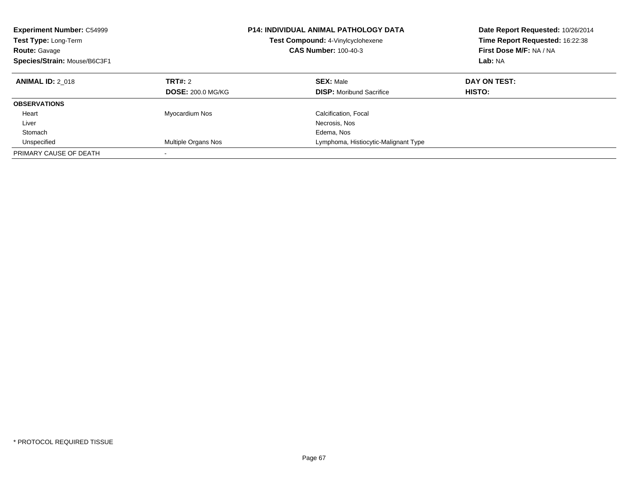| <b>Experiment Number: C54999</b><br>Test Type: Long-Term<br><b>Route: Gavage</b><br>Species/Strain: Mouse/B6C3F1 |                                            | <b>P14: INDIVIDUAL ANIMAL PATHOLOGY DATA</b><br>Test Compound: 4-Vinylcyclohexene<br><b>CAS Number: 100-40-3</b> | Date Report Requested: 10/26/2014<br>Time Report Requested: 16:22:38<br>First Dose M/F: NA / NA<br>Lab: NA |
|------------------------------------------------------------------------------------------------------------------|--------------------------------------------|------------------------------------------------------------------------------------------------------------------|------------------------------------------------------------------------------------------------------------|
| <b>ANIMAL ID: 2 018</b>                                                                                          | <b>TRT#: 2</b><br><b>DOSE: 200.0 MG/KG</b> | <b>SEX: Male</b><br><b>DISP:</b> Moribund Sacrifice                                                              | DAY ON TEST:<br><b>HISTO:</b>                                                                              |
|                                                                                                                  |                                            |                                                                                                                  |                                                                                                            |
| <b>OBSERVATIONS</b>                                                                                              |                                            |                                                                                                                  |                                                                                                            |
| Heart                                                                                                            | Myocardium Nos                             | Calcification, Focal                                                                                             |                                                                                                            |
| Liver                                                                                                            |                                            | Necrosis, Nos                                                                                                    |                                                                                                            |
| Stomach                                                                                                          |                                            | Edema, Nos                                                                                                       |                                                                                                            |
| Unspecified                                                                                                      | Multiple Organs Nos                        | Lymphoma, Histiocytic-Malignant Type                                                                             |                                                                                                            |
| PRIMARY CAUSE OF DEATH                                                                                           | -                                          |                                                                                                                  |                                                                                                            |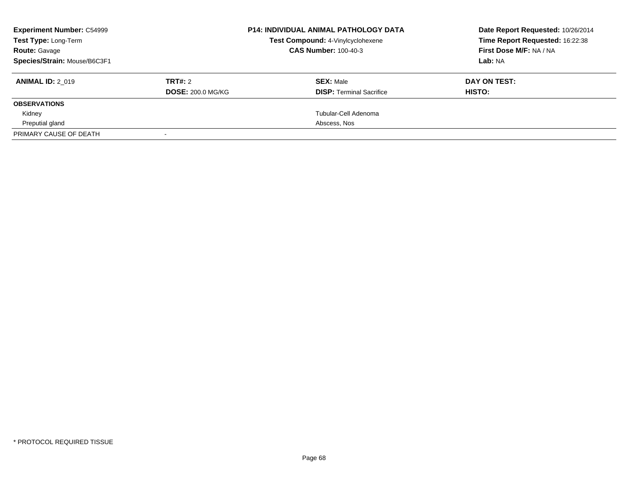| <b>Experiment Number: C54999</b><br><b>Test Type: Long-Term</b> |                          | <b>P14: INDIVIDUAL ANIMAL PATHOLOGY DATA</b><br>Test Compound: 4-Vinylcyclohexene | Date Report Requested: 10/26/2014<br>Time Report Requested: 16:22:38 |
|-----------------------------------------------------------------|--------------------------|-----------------------------------------------------------------------------------|----------------------------------------------------------------------|
| <b>Route: Gavage</b>                                            |                          | <b>CAS Number: 100-40-3</b>                                                       | First Dose M/F: NA / NA                                              |
| Species/Strain: Mouse/B6C3F1                                    |                          |                                                                                   | Lab: NA                                                              |
| <b>ANIMAL ID: 2 019</b>                                         | TRT#: 2                  | <b>SEX: Male</b>                                                                  | DAY ON TEST:                                                         |
|                                                                 | <b>DOSE: 200.0 MG/KG</b> | <b>DISP:</b> Terminal Sacrifice                                                   | HISTO:                                                               |
| <b>OBSERVATIONS</b>                                             |                          |                                                                                   |                                                                      |
| Kidney                                                          |                          | Tubular-Cell Adenoma                                                              |                                                                      |
| Preputial gland                                                 |                          | Abscess, Nos                                                                      |                                                                      |
| PRIMARY CAUSE OF DEATH                                          |                          |                                                                                   |                                                                      |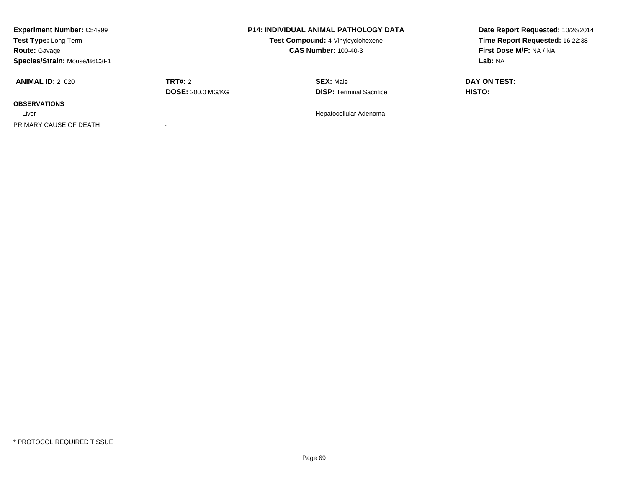| <b>Experiment Number: C54999</b><br>Test Type: Long-Term |                          | <b>P14: INDIVIDUAL ANIMAL PATHOLOGY DATA</b><br>Test Compound: 4-Vinylcyclohexene | Date Report Requested: 10/26/2014<br>Time Report Requested: 16:22:38 |
|----------------------------------------------------------|--------------------------|-----------------------------------------------------------------------------------|----------------------------------------------------------------------|
| <b>Route: Gavage</b>                                     |                          | <b>CAS Number: 100-40-3</b>                                                       | First Dose M/F: NA / NA                                              |
| Species/Strain: Mouse/B6C3F1                             |                          |                                                                                   | Lab: NA                                                              |
| <b>ANIMAL ID: 2 020</b>                                  | <b>TRT#: 2</b>           | <b>SEX: Male</b>                                                                  | DAY ON TEST:                                                         |
|                                                          | <b>DOSE: 200.0 MG/KG</b> | <b>DISP: Terminal Sacrifice</b>                                                   | <b>HISTO:</b>                                                        |
| <b>OBSERVATIONS</b>                                      |                          |                                                                                   |                                                                      |
| Liver                                                    |                          | Hepatocellular Adenoma                                                            |                                                                      |
| PRIMARY CAUSE OF DEATH                                   |                          |                                                                                   |                                                                      |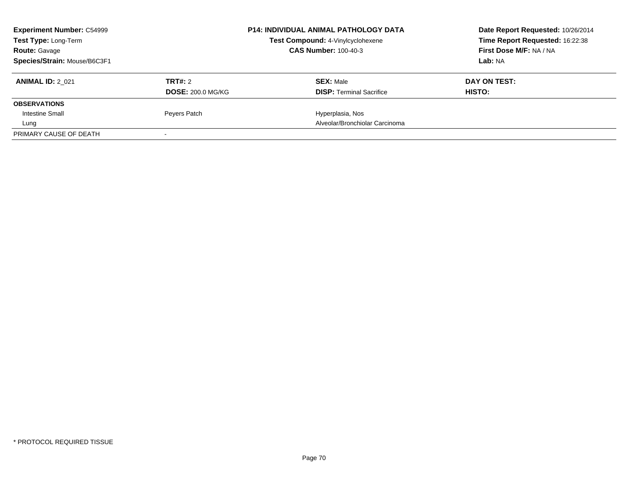| <b>Experiment Number: C54999</b> |                          | <b>P14: INDIVIDUAL ANIMAL PATHOLOGY DATA</b> | Date Report Requested: 10/26/2014 |
|----------------------------------|--------------------------|----------------------------------------------|-----------------------------------|
| Test Type: Long-Term             |                          | Test Compound: 4-Vinylcyclohexene            | Time Report Requested: 16:22:38   |
| <b>Route: Gavage</b>             |                          | <b>CAS Number: 100-40-3</b>                  | First Dose M/F: NA / NA           |
| Species/Strain: Mouse/B6C3F1     |                          |                                              | Lab: NA                           |
| <b>ANIMAL ID: 2 021</b>          | TRT#: 2                  | <b>SEX: Male</b>                             | DAY ON TEST:                      |
|                                  | <b>DOSE: 200.0 MG/KG</b> | <b>DISP:</b> Terminal Sacrifice              | <b>HISTO:</b>                     |
| <b>OBSERVATIONS</b>              |                          |                                              |                                   |
| <b>Intestine Small</b>           | Peyers Patch             | Hyperplasia, Nos                             |                                   |
| Lung                             |                          | Alveolar/Bronchiolar Carcinoma               |                                   |
| PRIMARY CAUSE OF DEATH           |                          |                                              |                                   |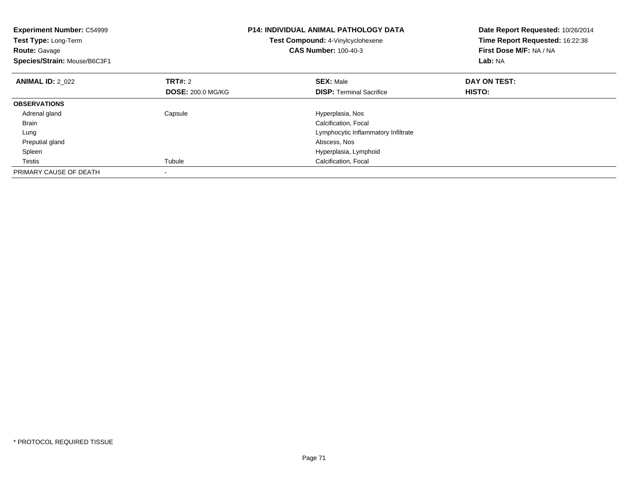| <b>Experiment Number: C54999</b><br>Test Type: Long-Term<br><b>Route: Gavage</b><br>Species/Strain: Mouse/B6C3F1 |                          | <b>P14: INDIVIDUAL ANIMAL PATHOLOGY DATA</b><br>Test Compound: 4-Vinylcyclohexene<br><b>CAS Number: 100-40-3</b> | Date Report Requested: 10/26/2014<br>Time Report Requested: 16:22:38<br>First Dose M/F: NA / NA<br>Lab: NA |
|------------------------------------------------------------------------------------------------------------------|--------------------------|------------------------------------------------------------------------------------------------------------------|------------------------------------------------------------------------------------------------------------|
| <b>ANIMAL ID: 2_022</b>                                                                                          | <b>TRT#: 2</b>           | <b>SEX: Male</b>                                                                                                 | DAY ON TEST:                                                                                               |
|                                                                                                                  | <b>DOSE: 200.0 MG/KG</b> | <b>DISP:</b> Terminal Sacrifice                                                                                  | HISTO:                                                                                                     |
| <b>OBSERVATIONS</b>                                                                                              |                          |                                                                                                                  |                                                                                                            |
| Adrenal gland                                                                                                    | Capsule                  | Hyperplasia, Nos                                                                                                 |                                                                                                            |
| <b>Brain</b>                                                                                                     |                          | Calcification, Focal                                                                                             |                                                                                                            |
| Lung                                                                                                             |                          | Lymphocytic Inflammatory Infiltrate                                                                              |                                                                                                            |
| Preputial gland                                                                                                  |                          | Abscess, Nos                                                                                                     |                                                                                                            |
| Spleen                                                                                                           |                          | Hyperplasia, Lymphoid                                                                                            |                                                                                                            |
| Testis                                                                                                           | Tubule                   | Calcification, Focal                                                                                             |                                                                                                            |
| PRIMARY CAUSE OF DEATH                                                                                           |                          |                                                                                                                  |                                                                                                            |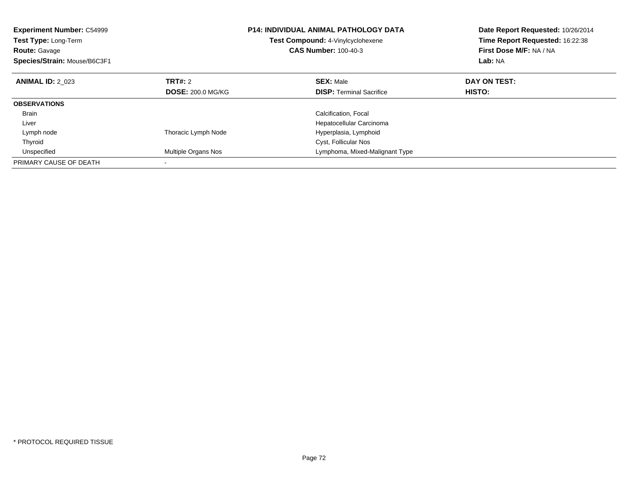| <b>Experiment Number: C54999</b><br><b>Test Type: Long-Term</b><br><b>Route: Gavage</b><br>Species/Strain: Mouse/B6C3F1 |                          | <b>P14: INDIVIDUAL ANIMAL PATHOLOGY DATA</b><br>Test Compound: 4-Vinylcyclohexene<br><b>CAS Number: 100-40-3</b> | Date Report Requested: 10/26/2014<br>Time Report Requested: 16:22:38<br>First Dose M/F: NA / NA<br>Lab: NA |
|-------------------------------------------------------------------------------------------------------------------------|--------------------------|------------------------------------------------------------------------------------------------------------------|------------------------------------------------------------------------------------------------------------|
| <b>ANIMAL ID: 2 023</b>                                                                                                 | TRT#: 2                  | <b>SEX: Male</b>                                                                                                 | DAY ON TEST:                                                                                               |
|                                                                                                                         | <b>DOSE: 200.0 MG/KG</b> | <b>DISP:</b> Terminal Sacrifice                                                                                  | HISTO:                                                                                                     |
| <b>OBSERVATIONS</b>                                                                                                     |                          |                                                                                                                  |                                                                                                            |
| <b>Brain</b>                                                                                                            |                          | Calcification, Focal                                                                                             |                                                                                                            |
| Liver                                                                                                                   |                          | Hepatocellular Carcinoma                                                                                         |                                                                                                            |
| Lymph node                                                                                                              | Thoracic Lymph Node      | Hyperplasia, Lymphoid                                                                                            |                                                                                                            |
| Thyroid                                                                                                                 |                          | Cyst, Follicular Nos                                                                                             |                                                                                                            |
| Unspecified                                                                                                             | Multiple Organs Nos      | Lymphoma, Mixed-Malignant Type                                                                                   |                                                                                                            |
| PRIMARY CAUSE OF DEATH                                                                                                  |                          |                                                                                                                  |                                                                                                            |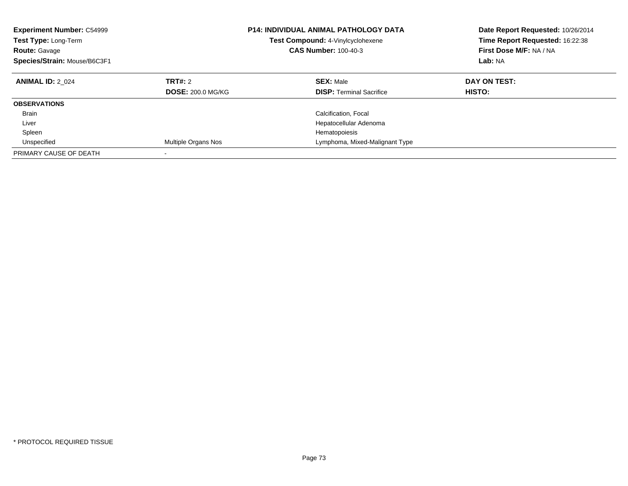| <b>Experiment Number: C54999</b><br><b>Test Type: Long-Term</b><br><b>Route: Gavage</b><br>Species/Strain: Mouse/B6C3F1 |                                     | <b>P14: INDIVIDUAL ANIMAL PATHOLOGY DATA</b><br>Test Compound: 4-Vinylcyclohexene<br><b>CAS Number: 100-40-3</b> | Date Report Requested: 10/26/2014<br>Time Report Requested: 16:22:38<br>First Dose M/F: NA / NA<br>Lab: NA |
|-------------------------------------------------------------------------------------------------------------------------|-------------------------------------|------------------------------------------------------------------------------------------------------------------|------------------------------------------------------------------------------------------------------------|
| <b>ANIMAL ID: 2 024</b>                                                                                                 | TRT#: 2<br><b>DOSE: 200.0 MG/KG</b> | <b>SEX: Male</b><br><b>DISP:</b> Terminal Sacrifice                                                              | DAY ON TEST:<br>HISTO:                                                                                     |
| <b>OBSERVATIONS</b>                                                                                                     |                                     |                                                                                                                  |                                                                                                            |
| <b>Brain</b>                                                                                                            |                                     | Calcification, Focal                                                                                             |                                                                                                            |
| Liver                                                                                                                   |                                     | Hepatocellular Adenoma                                                                                           |                                                                                                            |
| Spleen                                                                                                                  |                                     | Hematopoiesis                                                                                                    |                                                                                                            |
| Unspecified                                                                                                             | Multiple Organs Nos                 | Lymphoma, Mixed-Malignant Type                                                                                   |                                                                                                            |
| PRIMARY CAUSE OF DEATH                                                                                                  |                                     |                                                                                                                  |                                                                                                            |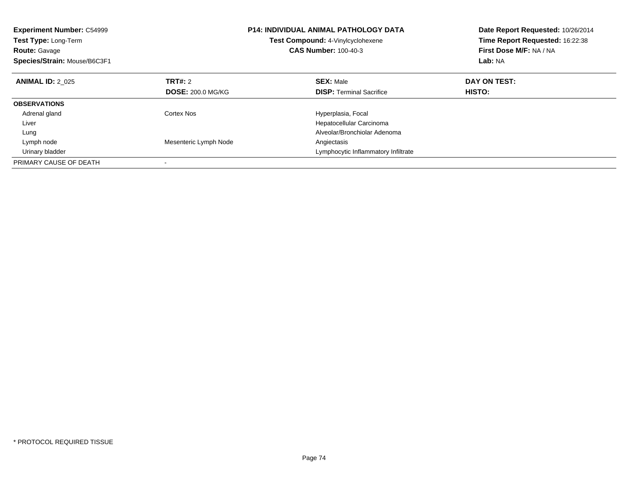| <b>Experiment Number: C54999</b><br><b>Test Type: Long-Term</b><br><b>Route: Gavage</b><br>Species/Strain: Mouse/B6C3F1 |                          | <b>P14: INDIVIDUAL ANIMAL PATHOLOGY DATA</b><br><b>Test Compound: 4-Vinylcyclohexene</b><br><b>CAS Number: 100-40-3</b> | Date Report Requested: 10/26/2014<br>Time Report Requested: 16:22:38<br>First Dose M/F: NA / NA<br>Lab: NA |
|-------------------------------------------------------------------------------------------------------------------------|--------------------------|-------------------------------------------------------------------------------------------------------------------------|------------------------------------------------------------------------------------------------------------|
| <b>ANIMAL ID: 2 025</b>                                                                                                 | TRT#: 2                  | <b>SEX: Male</b>                                                                                                        | DAY ON TEST:                                                                                               |
|                                                                                                                         | <b>DOSE: 200.0 MG/KG</b> | <b>DISP:</b> Terminal Sacrifice                                                                                         | HISTO:                                                                                                     |
| <b>OBSERVATIONS</b>                                                                                                     |                          |                                                                                                                         |                                                                                                            |
| Adrenal gland                                                                                                           | Cortex Nos               | Hyperplasia, Focal                                                                                                      |                                                                                                            |
| Liver                                                                                                                   |                          | Hepatocellular Carcinoma                                                                                                |                                                                                                            |
| Lung                                                                                                                    |                          | Alveolar/Bronchiolar Adenoma                                                                                            |                                                                                                            |
| Lymph node                                                                                                              | Mesenteric Lymph Node    | Angiectasis                                                                                                             |                                                                                                            |
| Urinary bladder                                                                                                         |                          | Lymphocytic Inflammatory Infiltrate                                                                                     |                                                                                                            |
| PRIMARY CAUSE OF DEATH                                                                                                  |                          |                                                                                                                         |                                                                                                            |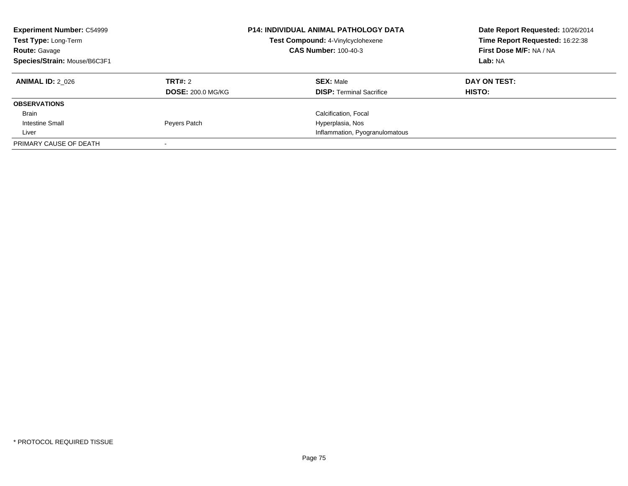| <b>Experiment Number: C54999</b><br>Test Type: Long-Term<br><b>Route: Gavage</b><br>Species/Strain: Mouse/B6C3F1 |                          | <b>P14: INDIVIDUAL ANIMAL PATHOLOGY DATA</b><br>Test Compound: 4-Vinylcyclohexene<br><b>CAS Number: 100-40-3</b> | Date Report Requested: 10/26/2014<br>Time Report Requested: 16:22:38<br>First Dose M/F: NA / NA<br>Lab: NA |
|------------------------------------------------------------------------------------------------------------------|--------------------------|------------------------------------------------------------------------------------------------------------------|------------------------------------------------------------------------------------------------------------|
| <b>ANIMAL ID: 2 026</b>                                                                                          | TRT#: 2                  | <b>SEX: Male</b>                                                                                                 | DAY ON TEST:                                                                                               |
|                                                                                                                  | <b>DOSE: 200.0 MG/KG</b> | <b>DISP:</b> Terminal Sacrifice                                                                                  | <b>HISTO:</b>                                                                                              |
| <b>OBSERVATIONS</b>                                                                                              |                          |                                                                                                                  |                                                                                                            |
| Brain                                                                                                            |                          | Calcification, Focal                                                                                             |                                                                                                            |
| Intestine Small                                                                                                  | Peyers Patch             | Hyperplasia, Nos                                                                                                 |                                                                                                            |
| Liver                                                                                                            |                          | Inflammation, Pyogranulomatous                                                                                   |                                                                                                            |
| PRIMARY CAUSE OF DEATH                                                                                           |                          |                                                                                                                  |                                                                                                            |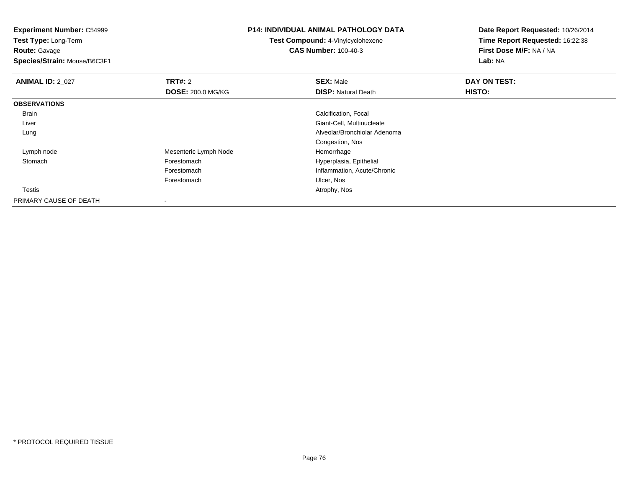**Experiment Number:** C54999

**Test Type:** Long-Term**Route:** Gavage

**Species/Strain:** Mouse/B6C3F1

## **P14: INDIVIDUAL ANIMAL PATHOLOGY DATA**

**Test Compound:** 4-Vinylcyclohexene**CAS Number:** 100-40-3

**Date Report Requested:** 10/26/2014**Time Report Requested:** 16:22:38**First Dose M/F:** NA / NA**Lab:** NA

| <b>ANIMAL ID: 2_027</b> | TRT#: 2                  | <b>SEX: Male</b>             | DAY ON TEST: |  |
|-------------------------|--------------------------|------------------------------|--------------|--|
|                         | <b>DOSE: 200.0 MG/KG</b> | <b>DISP: Natural Death</b>   | HISTO:       |  |
| <b>OBSERVATIONS</b>     |                          |                              |              |  |
| Brain                   |                          | Calcification, Focal         |              |  |
| Liver                   |                          | Giant-Cell, Multinucleate    |              |  |
| Lung                    |                          | Alveolar/Bronchiolar Adenoma |              |  |
|                         |                          | Congestion, Nos              |              |  |
| Lymph node              | Mesenteric Lymph Node    | Hemorrhage                   |              |  |
| Stomach                 | Forestomach              | Hyperplasia, Epithelial      |              |  |
|                         | Forestomach              | Inflammation, Acute/Chronic  |              |  |
|                         | Forestomach              | Ulcer, Nos                   |              |  |
| Testis                  |                          | Atrophy, Nos                 |              |  |
| PRIMARY CAUSE OF DEATH  | $\,$                     |                              |              |  |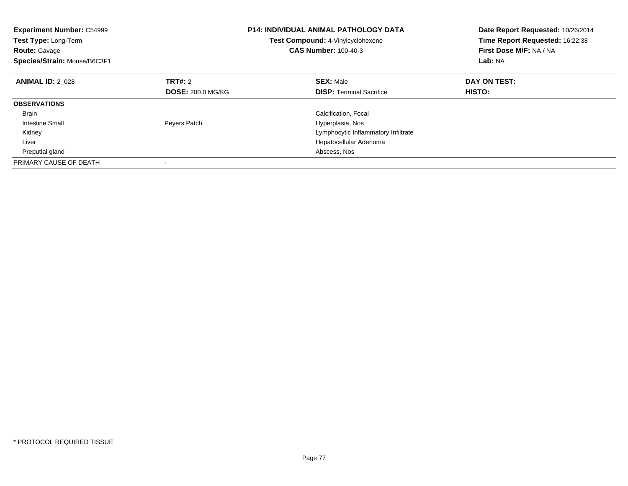| <b>Experiment Number: C54999</b><br><b>Test Type: Long-Term</b><br><b>Route: Gavage</b><br>Species/Strain: Mouse/B6C3F1 |                          | <b>P14: INDIVIDUAL ANIMAL PATHOLOGY DATA</b><br><b>Test Compound: 4-Vinylcyclohexene</b><br><b>CAS Number: 100-40-3</b> | Date Report Requested: 10/26/2014<br>Time Report Requested: 16:22:38<br>First Dose M/F: NA / NA<br>Lab: NA |
|-------------------------------------------------------------------------------------------------------------------------|--------------------------|-------------------------------------------------------------------------------------------------------------------------|------------------------------------------------------------------------------------------------------------|
| <b>ANIMAL ID: 2 028</b>                                                                                                 | <b>TRT#: 2</b>           | <b>SEX: Male</b>                                                                                                        | DAY ON TEST:                                                                                               |
|                                                                                                                         | <b>DOSE: 200.0 MG/KG</b> | <b>DISP:</b> Terminal Sacrifice                                                                                         | HISTO:                                                                                                     |
| <b>OBSERVATIONS</b>                                                                                                     |                          |                                                                                                                         |                                                                                                            |
| <b>Brain</b>                                                                                                            |                          | Calcification, Focal                                                                                                    |                                                                                                            |
| Intestine Small                                                                                                         | Peyers Patch             | Hyperplasia, Nos                                                                                                        |                                                                                                            |
| Kidney                                                                                                                  |                          | Lymphocytic Inflammatory Infiltrate                                                                                     |                                                                                                            |
| Liver                                                                                                                   |                          | Hepatocellular Adenoma                                                                                                  |                                                                                                            |
| Preputial gland                                                                                                         |                          | Abscess, Nos                                                                                                            |                                                                                                            |
| PRIMARY CAUSE OF DEATH                                                                                                  |                          |                                                                                                                         |                                                                                                            |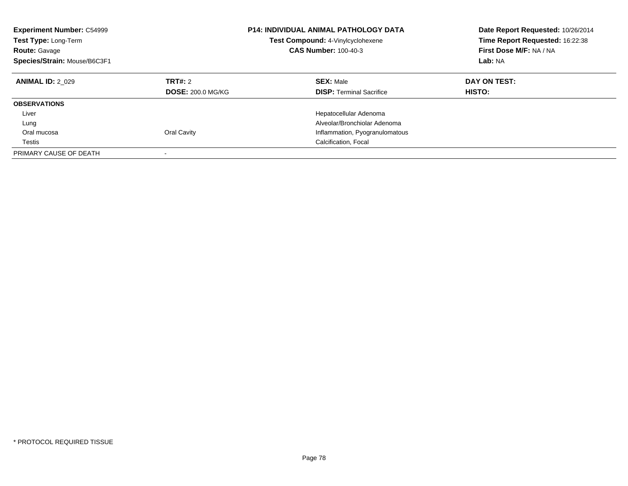| <b>Experiment Number: C54999</b><br>Test Type: Long-Term<br><b>Route: Gavage</b><br>Species/Strain: Mouse/B6C3F1 |                                     | <b>P14: INDIVIDUAL ANIMAL PATHOLOGY DATA</b><br>Test Compound: 4-Vinylcyclohexene<br><b>CAS Number: 100-40-3</b> | Date Report Requested: 10/26/2014<br>Time Report Requested: 16:22:38<br>First Dose M/F: NA / NA<br>Lab: NA |
|------------------------------------------------------------------------------------------------------------------|-------------------------------------|------------------------------------------------------------------------------------------------------------------|------------------------------------------------------------------------------------------------------------|
| <b>ANIMAL ID: 2 029</b>                                                                                          | TRT#: 2<br><b>DOSE: 200.0 MG/KG</b> | <b>SEX: Male</b><br><b>DISP:</b> Terminal Sacrifice                                                              | DAY ON TEST:<br>HISTO:                                                                                     |
| <b>OBSERVATIONS</b>                                                                                              |                                     |                                                                                                                  |                                                                                                            |
| Liver                                                                                                            |                                     | Hepatocellular Adenoma                                                                                           |                                                                                                            |
| Lung                                                                                                             |                                     | Alveolar/Bronchiolar Adenoma                                                                                     |                                                                                                            |
| Oral mucosa                                                                                                      | Oral Cavity                         | Inflammation, Pyogranulomatous                                                                                   |                                                                                                            |
| Testis                                                                                                           |                                     | Calcification, Focal                                                                                             |                                                                                                            |
| PRIMARY CAUSE OF DEATH                                                                                           |                                     |                                                                                                                  |                                                                                                            |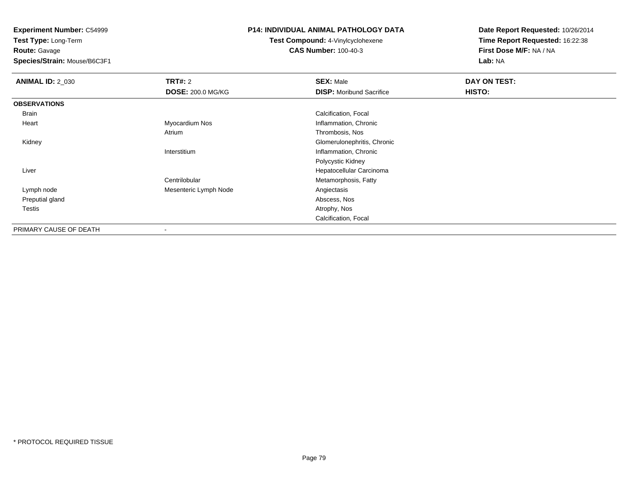**Experiment Number:** C54999

**Test Type:** Long-Term**Route:** Gavage

**Species/Strain:** Mouse/B6C3F1

## **P14: INDIVIDUAL ANIMAL PATHOLOGY DATA**

**Test Compound:** 4-Vinylcyclohexene**CAS Number:** 100-40-3

**Date Report Requested:** 10/26/2014**Time Report Requested:** 16:22:38**First Dose M/F:** NA / NA**Lab:** NA

| <b>ANIMAL ID: 2_030</b> | TRT#: 2                  | <b>SEX: Male</b>                | DAY ON TEST: |  |
|-------------------------|--------------------------|---------------------------------|--------------|--|
|                         | <b>DOSE: 200.0 MG/KG</b> | <b>DISP:</b> Moribund Sacrifice | HISTO:       |  |
| <b>OBSERVATIONS</b>     |                          |                                 |              |  |
| Brain                   |                          | Calcification, Focal            |              |  |
| Heart                   | Myocardium Nos           | Inflammation, Chronic           |              |  |
|                         | Atrium                   | Thrombosis, Nos                 |              |  |
| Kidney                  |                          | Glomerulonephritis, Chronic     |              |  |
|                         | Interstitium             | Inflammation, Chronic           |              |  |
|                         |                          | Polycystic Kidney               |              |  |
| Liver                   |                          | Hepatocellular Carcinoma        |              |  |
|                         | Centrilobular            | Metamorphosis, Fatty            |              |  |
| Lymph node              | Mesenteric Lymph Node    | Angiectasis                     |              |  |
| Preputial gland         |                          | Abscess, Nos                    |              |  |
| Testis                  |                          | Atrophy, Nos                    |              |  |
|                         |                          | Calcification, Focal            |              |  |
| PRIMARY CAUSE OF DEATH  | $\overline{\phantom{a}}$ |                                 |              |  |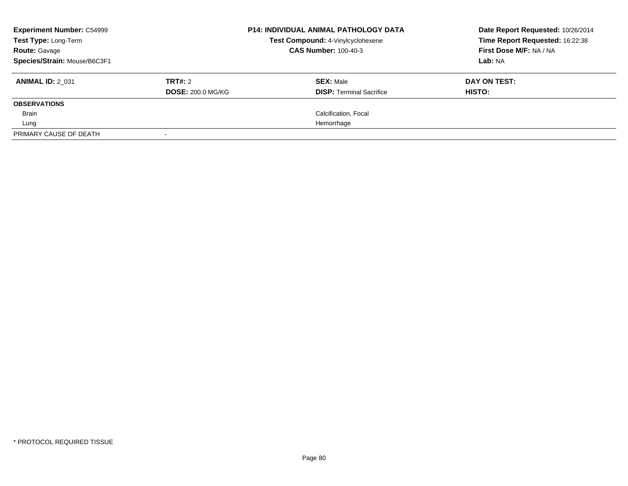| <b>Experiment Number: C54999</b><br><b>Test Type: Long-Term</b> |                          | <b>P14: INDIVIDUAL ANIMAL PATHOLOGY DATA</b><br>Test Compound: 4-Vinylcyclohexene | Date Report Requested: 10/26/2014<br>Time Report Requested: 16:22:38 |
|-----------------------------------------------------------------|--------------------------|-----------------------------------------------------------------------------------|----------------------------------------------------------------------|
| <b>Route: Gavage</b>                                            |                          | <b>CAS Number: 100-40-3</b>                                                       | First Dose M/F: NA / NA                                              |
| Species/Strain: Mouse/B6C3F1                                    |                          |                                                                                   | Lab: NA                                                              |
| <b>ANIMAL ID: 2 031</b>                                         | TRT#: 2                  | <b>SEX: Male</b>                                                                  | DAY ON TEST:                                                         |
|                                                                 | <b>DOSE: 200.0 MG/KG</b> | <b>DISP:</b> Terminal Sacrifice                                                   | HISTO:                                                               |
| <b>OBSERVATIONS</b>                                             |                          |                                                                                   |                                                                      |
| Brain                                                           |                          | Calcification, Focal                                                              |                                                                      |
| Lung                                                            |                          | Hemorrhage                                                                        |                                                                      |
| PRIMARY CAUSE OF DEATH                                          |                          |                                                                                   |                                                                      |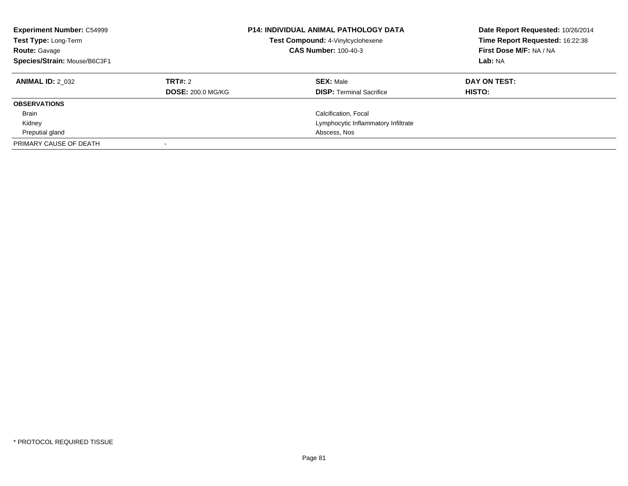| <b>Experiment Number: C54999</b><br>Test Type: Long-Term<br><b>Route: Gavage</b><br>Species/Strain: Mouse/B6C3F1 |                                     | <b>P14: INDIVIDUAL ANIMAL PATHOLOGY DATA</b><br>Test Compound: 4-Vinylcyclohexene<br><b>CAS Number: 100-40-3</b> | Date Report Requested: 10/26/2014<br>Time Report Requested: 16:22:38<br>First Dose M/F: NA / NA<br>Lab: NA |
|------------------------------------------------------------------------------------------------------------------|-------------------------------------|------------------------------------------------------------------------------------------------------------------|------------------------------------------------------------------------------------------------------------|
| <b>ANIMAL ID: 2 032</b>                                                                                          | TRT#: 2<br><b>DOSE: 200.0 MG/KG</b> | <b>SEX: Male</b><br><b>DISP:</b> Terminal Sacrifice                                                              | DAY ON TEST:<br><b>HISTO:</b>                                                                              |
| <b>OBSERVATIONS</b>                                                                                              |                                     |                                                                                                                  |                                                                                                            |
| <b>Brain</b>                                                                                                     |                                     | Calcification, Focal                                                                                             |                                                                                                            |
| Kidney                                                                                                           |                                     | Lymphocytic Inflammatory Infiltrate                                                                              |                                                                                                            |
| Preputial gland                                                                                                  |                                     | Abscess, Nos                                                                                                     |                                                                                                            |
| PRIMARY CAUSE OF DEATH                                                                                           |                                     |                                                                                                                  |                                                                                                            |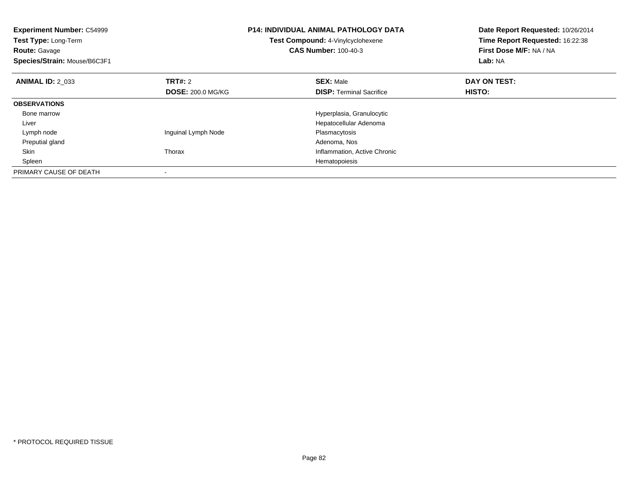| <b>Experiment Number: C54999</b><br>Test Type: Long-Term<br><b>Route: Gavage</b><br>Species/Strain: Mouse/B6C3F1 |                          | <b>P14: INDIVIDUAL ANIMAL PATHOLOGY DATA</b><br>Test Compound: 4-Vinylcyclohexene<br><b>CAS Number: 100-40-3</b> | Date Report Requested: 10/26/2014<br>Time Report Requested: 16:22:38<br>First Dose M/F: NA / NA<br>Lab: NA |
|------------------------------------------------------------------------------------------------------------------|--------------------------|------------------------------------------------------------------------------------------------------------------|------------------------------------------------------------------------------------------------------------|
| <b>ANIMAL ID: 2 033</b>                                                                                          | TRT#: 2                  | <b>SEX: Male</b>                                                                                                 | DAY ON TEST:                                                                                               |
|                                                                                                                  | <b>DOSE: 200.0 MG/KG</b> | <b>DISP:</b> Terminal Sacrifice                                                                                  | <b>HISTO:</b>                                                                                              |
| <b>OBSERVATIONS</b>                                                                                              |                          |                                                                                                                  |                                                                                                            |
| Bone marrow                                                                                                      |                          | Hyperplasia, Granulocytic                                                                                        |                                                                                                            |
| Liver                                                                                                            |                          | Hepatocellular Adenoma                                                                                           |                                                                                                            |
| Lymph node                                                                                                       | Inguinal Lymph Node      | Plasmacytosis                                                                                                    |                                                                                                            |
| Preputial gland                                                                                                  |                          | Adenoma, Nos                                                                                                     |                                                                                                            |
| Skin                                                                                                             | Thorax                   | Inflammation, Active Chronic                                                                                     |                                                                                                            |
| Spleen                                                                                                           |                          | Hematopoiesis                                                                                                    |                                                                                                            |
| PRIMARY CAUSE OF DEATH                                                                                           |                          |                                                                                                                  |                                                                                                            |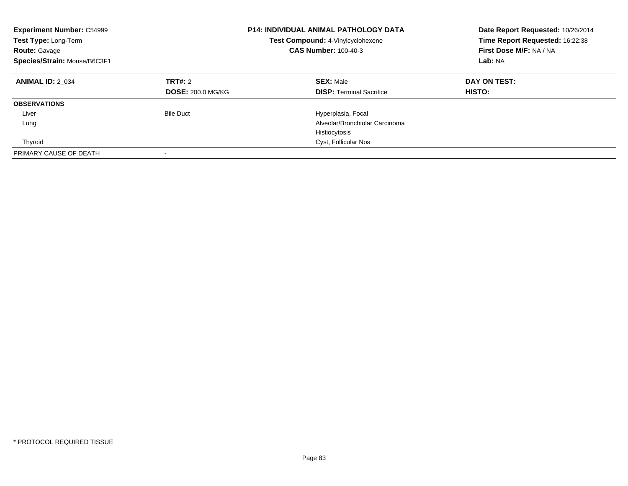| <b>Experiment Number: C54999</b><br>Test Type: Long-Term<br><b>Route: Gavage</b><br>Species/Strain: Mouse/B6C3F1 |                                     | <b>P14: INDIVIDUAL ANIMAL PATHOLOGY DATA</b><br>Test Compound: 4-Vinylcyclohexene<br><b>CAS Number: 100-40-3</b> | Date Report Requested: 10/26/2014<br>Time Report Requested: 16:22:38<br>First Dose M/F: NA / NA<br>Lab: NA |
|------------------------------------------------------------------------------------------------------------------|-------------------------------------|------------------------------------------------------------------------------------------------------------------|------------------------------------------------------------------------------------------------------------|
| <b>ANIMAL ID: 2 034</b>                                                                                          | TRT#: 2<br><b>DOSE: 200.0 MG/KG</b> | <b>SEX: Male</b><br><b>DISP:</b> Terminal Sacrifice                                                              | DAY ON TEST:<br>HISTO:                                                                                     |
| <b>OBSERVATIONS</b>                                                                                              |                                     |                                                                                                                  |                                                                                                            |
| Liver                                                                                                            | <b>Bile Duct</b>                    | Hyperplasia, Focal                                                                                               |                                                                                                            |
| Lung                                                                                                             |                                     | Alveolar/Bronchiolar Carcinoma                                                                                   |                                                                                                            |
|                                                                                                                  |                                     | Histiocytosis                                                                                                    |                                                                                                            |
| Thyroid                                                                                                          |                                     | Cyst, Follicular Nos                                                                                             |                                                                                                            |
| PRIMARY CAUSE OF DEATH                                                                                           |                                     |                                                                                                                  |                                                                                                            |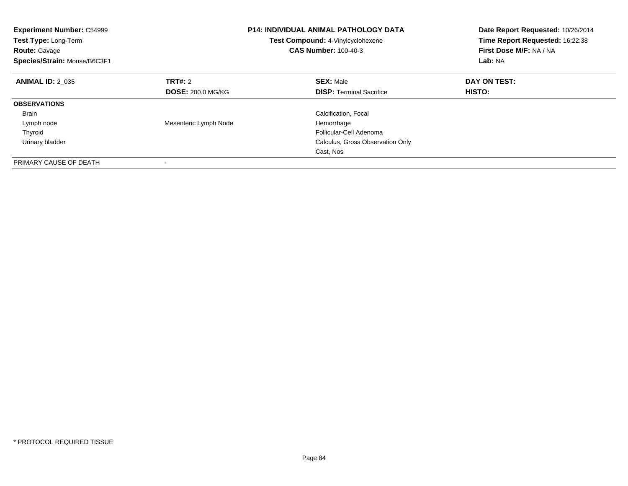| <b>Experiment Number: C54999</b><br><b>Test Type: Long-Term</b><br><b>Route: Gavage</b><br>Species/Strain: Mouse/B6C3F1 |                          | <b>P14: INDIVIDUAL ANIMAL PATHOLOGY DATA</b><br>Test Compound: 4-Vinylcyclohexene<br><b>CAS Number: 100-40-3</b> | Date Report Requested: 10/26/2014<br>Time Report Requested: 16:22:38<br>First Dose M/F: NA / NA<br>Lab: NA |
|-------------------------------------------------------------------------------------------------------------------------|--------------------------|------------------------------------------------------------------------------------------------------------------|------------------------------------------------------------------------------------------------------------|
| <b>ANIMAL ID: 2 035</b>                                                                                                 | TRT#: 2                  | <b>SEX: Male</b>                                                                                                 | DAY ON TEST:                                                                                               |
|                                                                                                                         | <b>DOSE: 200.0 MG/KG</b> | <b>DISP:</b> Terminal Sacrifice                                                                                  | HISTO:                                                                                                     |
| <b>OBSERVATIONS</b>                                                                                                     |                          |                                                                                                                  |                                                                                                            |
| <b>Brain</b>                                                                                                            |                          | Calcification, Focal                                                                                             |                                                                                                            |
| Lymph node                                                                                                              | Mesenteric Lymph Node    | Hemorrhage                                                                                                       |                                                                                                            |
| Thyroid                                                                                                                 |                          | Follicular-Cell Adenoma                                                                                          |                                                                                                            |
| Urinary bladder                                                                                                         |                          | Calculus, Gross Observation Only                                                                                 |                                                                                                            |
|                                                                                                                         |                          | Cast, Nos                                                                                                        |                                                                                                            |
| PRIMARY CAUSE OF DEATH                                                                                                  |                          |                                                                                                                  |                                                                                                            |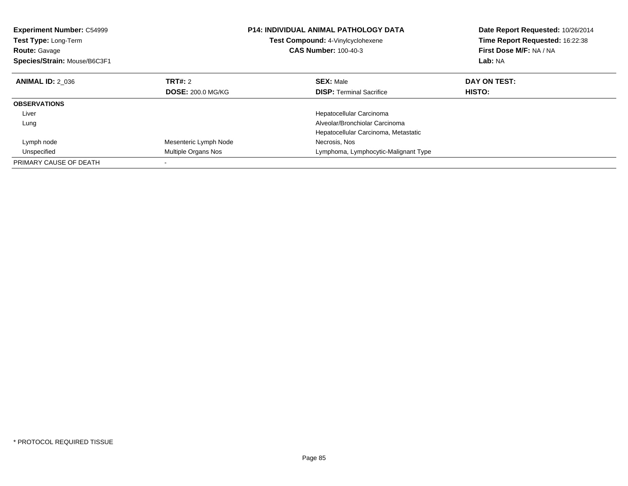| <b>Experiment Number: C54999</b><br>Test Type: Long-Term<br><b>Route: Gavage</b><br>Species/Strain: Mouse/B6C3F1 |                          | <b>P14: INDIVIDUAL ANIMAL PATHOLOGY DATA</b><br>Test Compound: 4-Vinylcyclohexene<br><b>CAS Number: 100-40-3</b> | Date Report Requested: 10/26/2014<br>Time Report Requested: 16:22:38<br>First Dose M/F: NA / NA<br>Lab: NA |
|------------------------------------------------------------------------------------------------------------------|--------------------------|------------------------------------------------------------------------------------------------------------------|------------------------------------------------------------------------------------------------------------|
| <b>ANIMAL ID: 2 036</b>                                                                                          | TRT#: 2                  | <b>SEX: Male</b>                                                                                                 | DAY ON TEST:                                                                                               |
|                                                                                                                  | <b>DOSE: 200.0 MG/KG</b> | <b>DISP:</b> Terminal Sacrifice                                                                                  | <b>HISTO:</b>                                                                                              |
| <b>OBSERVATIONS</b>                                                                                              |                          |                                                                                                                  |                                                                                                            |
| Liver                                                                                                            |                          | Hepatocellular Carcinoma                                                                                         |                                                                                                            |
| Lung                                                                                                             |                          | Alveolar/Bronchiolar Carcinoma                                                                                   |                                                                                                            |
|                                                                                                                  |                          | Hepatocellular Carcinoma, Metastatic                                                                             |                                                                                                            |
| Lymph node                                                                                                       | Mesenteric Lymph Node    | Necrosis, Nos                                                                                                    |                                                                                                            |
| Unspecified                                                                                                      | Multiple Organs Nos      | Lymphoma, Lymphocytic-Malignant Type                                                                             |                                                                                                            |
| PRIMARY CAUSE OF DEATH                                                                                           |                          |                                                                                                                  |                                                                                                            |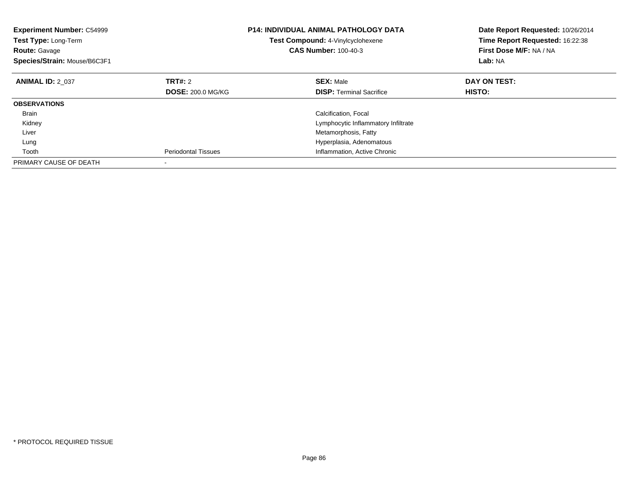| <b>Experiment Number: C54999</b><br>Test Type: Long-Term<br><b>Route: Gavage</b><br>Species/Strain: Mouse/B6C3F1 |                          | <b>P14: INDIVIDUAL ANIMAL PATHOLOGY DATA</b><br><b>Test Compound: 4-Vinylcyclohexene</b><br><b>CAS Number: 100-40-3</b> | Date Report Requested: 10/26/2014<br>Time Report Requested: 16:22:38<br>First Dose M/F: NA / NA<br>Lab: NA |
|------------------------------------------------------------------------------------------------------------------|--------------------------|-------------------------------------------------------------------------------------------------------------------------|------------------------------------------------------------------------------------------------------------|
| <b>ANIMAL ID: 2 037</b>                                                                                          | <b>TRT#: 2</b>           | <b>SEX: Male</b>                                                                                                        | DAY ON TEST:                                                                                               |
|                                                                                                                  | <b>DOSE: 200.0 MG/KG</b> | <b>DISP:</b> Terminal Sacrifice                                                                                         | HISTO:                                                                                                     |
| <b>OBSERVATIONS</b>                                                                                              |                          |                                                                                                                         |                                                                                                            |
| <b>Brain</b>                                                                                                     |                          | Calcification, Focal                                                                                                    |                                                                                                            |
| Kidney                                                                                                           |                          | Lymphocytic Inflammatory Infiltrate                                                                                     |                                                                                                            |
| Liver                                                                                                            |                          | Metamorphosis, Fatty                                                                                                    |                                                                                                            |
| Lung                                                                                                             |                          | Hyperplasia, Adenomatous                                                                                                |                                                                                                            |
| Tooth                                                                                                            | Periodontal Tissues      | Inflammation, Active Chronic                                                                                            |                                                                                                            |
| PRIMARY CAUSE OF DEATH                                                                                           |                          |                                                                                                                         |                                                                                                            |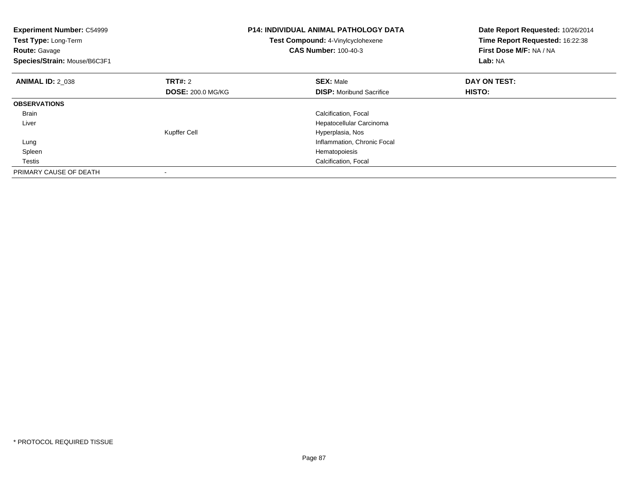| <b>Experiment Number: C54999</b><br>Test Type: Long-Term<br><b>Route: Gavage</b><br>Species/Strain: Mouse/B6C3F1 |                          | <b>P14: INDIVIDUAL ANIMAL PATHOLOGY DATA</b><br>Test Compound: 4-Vinylcyclohexene<br><b>CAS Number: 100-40-3</b> | Date Report Requested: 10/26/2014<br>Time Report Requested: 16:22:38<br>First Dose M/F: NA / NA<br>Lab: NA |
|------------------------------------------------------------------------------------------------------------------|--------------------------|------------------------------------------------------------------------------------------------------------------|------------------------------------------------------------------------------------------------------------|
| <b>ANIMAL ID: 2 038</b>                                                                                          | TRT#: 2                  | <b>SEX: Male</b>                                                                                                 | DAY ON TEST:                                                                                               |
|                                                                                                                  | <b>DOSE: 200.0 MG/KG</b> | <b>DISP:</b> Moribund Sacrifice                                                                                  | <b>HISTO:</b>                                                                                              |
| <b>OBSERVATIONS</b>                                                                                              |                          |                                                                                                                  |                                                                                                            |
| Brain                                                                                                            |                          | Calcification, Focal                                                                                             |                                                                                                            |
| Liver                                                                                                            |                          | Hepatocellular Carcinoma                                                                                         |                                                                                                            |
|                                                                                                                  | <b>Kupffer Cell</b>      | Hyperplasia, Nos                                                                                                 |                                                                                                            |
| Lung                                                                                                             |                          | Inflammation, Chronic Focal                                                                                      |                                                                                                            |
| Spleen                                                                                                           |                          | Hematopoiesis                                                                                                    |                                                                                                            |
| Testis                                                                                                           |                          | Calcification, Focal                                                                                             |                                                                                                            |
| PRIMARY CAUSE OF DEATH                                                                                           |                          |                                                                                                                  |                                                                                                            |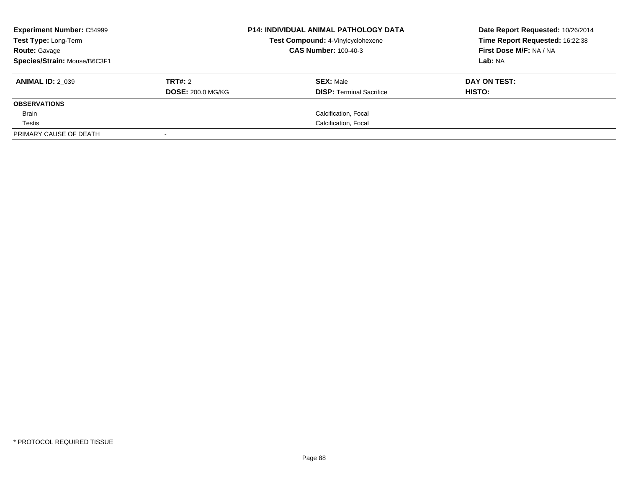| <b>Experiment Number: C54999</b><br>Test Type: Long-Term<br><b>Route: Gavage</b> |                          | <b>P14: INDIVIDUAL ANIMAL PATHOLOGY DATA</b><br>Test Compound: 4-Vinylcyclohexene<br><b>CAS Number: 100-40-3</b> |                                 | Date Report Requested: 10/26/2014<br>Time Report Requested: 16:22:38<br>First Dose M/F: NA / NA |
|----------------------------------------------------------------------------------|--------------------------|------------------------------------------------------------------------------------------------------------------|---------------------------------|-------------------------------------------------------------------------------------------------|
| Species/Strain: Mouse/B6C3F1                                                     |                          |                                                                                                                  |                                 | Lab: NA                                                                                         |
| <b>ANIMAL ID: 2 039</b>                                                          | TRT#: 2                  |                                                                                                                  | <b>SEX: Male</b>                | DAY ON TEST:                                                                                    |
|                                                                                  | <b>DOSE: 200.0 MG/KG</b> |                                                                                                                  | <b>DISP:</b> Terminal Sacrifice | HISTO:                                                                                          |
| <b>OBSERVATIONS</b>                                                              |                          |                                                                                                                  |                                 |                                                                                                 |
| Brain                                                                            |                          |                                                                                                                  | Calcification, Focal            |                                                                                                 |
| Testis                                                                           |                          |                                                                                                                  | Calcification, Focal            |                                                                                                 |
| PRIMARY CAUSE OF DEATH                                                           |                          |                                                                                                                  |                                 |                                                                                                 |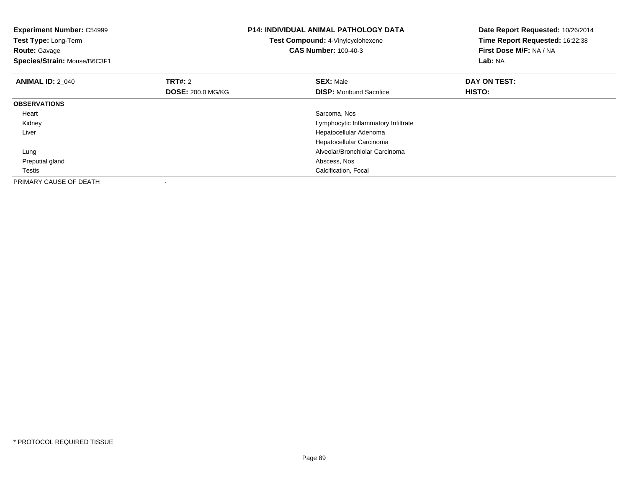| <b>Experiment Number: C54999</b><br>Test Type: Long-Term<br><b>Route: Gavage</b><br>Species/Strain: Mouse/B6C3F1 |                          | <b>P14: INDIVIDUAL ANIMAL PATHOLOGY DATA</b><br>Test Compound: 4-Vinylcyclohexene<br><b>CAS Number: 100-40-3</b> | Date Report Requested: 10/26/2014<br>Time Report Requested: 16:22:38<br>First Dose M/F: NA / NA<br><b>Lab: NA</b> |
|------------------------------------------------------------------------------------------------------------------|--------------------------|------------------------------------------------------------------------------------------------------------------|-------------------------------------------------------------------------------------------------------------------|
| <b>ANIMAL ID: 2 040</b>                                                                                          | <b>TRT#: 2</b>           | <b>SEX: Male</b>                                                                                                 | DAY ON TEST:                                                                                                      |
|                                                                                                                  | <b>DOSE: 200.0 MG/KG</b> | <b>DISP:</b> Moribund Sacrifice                                                                                  | <b>HISTO:</b>                                                                                                     |
| <b>OBSERVATIONS</b>                                                                                              |                          |                                                                                                                  |                                                                                                                   |
| Heart                                                                                                            |                          | Sarcoma, Nos                                                                                                     |                                                                                                                   |
| Kidney                                                                                                           |                          | Lymphocytic Inflammatory Infiltrate                                                                              |                                                                                                                   |
| Liver                                                                                                            |                          | Hepatocellular Adenoma                                                                                           |                                                                                                                   |
|                                                                                                                  |                          | Hepatocellular Carcinoma                                                                                         |                                                                                                                   |
| Lung                                                                                                             |                          | Alveolar/Bronchiolar Carcinoma                                                                                   |                                                                                                                   |
| Preputial gland                                                                                                  |                          | Abscess, Nos                                                                                                     |                                                                                                                   |
| Testis                                                                                                           |                          | Calcification, Focal                                                                                             |                                                                                                                   |
| PRIMARY CAUSE OF DEATH                                                                                           |                          |                                                                                                                  |                                                                                                                   |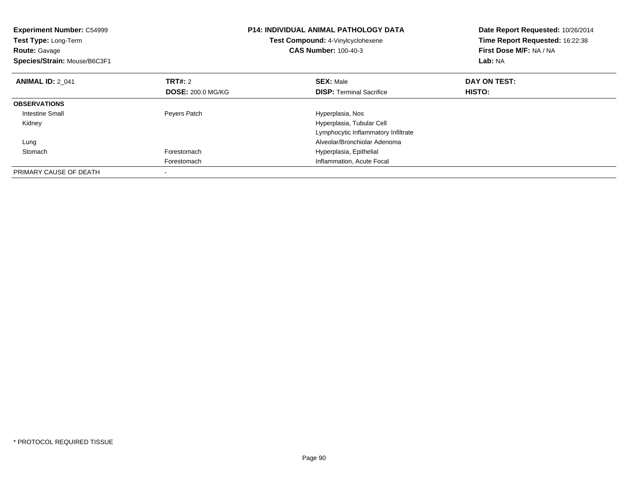| <b>Experiment Number: C54999</b><br>Test Type: Long-Term<br><b>Route: Gavage</b><br>Species/Strain: Mouse/B6C3F1 |                          | <b>P14: INDIVIDUAL ANIMAL PATHOLOGY DATA</b><br>Test Compound: 4-Vinylcyclohexene<br><b>CAS Number: 100-40-3</b> | Date Report Requested: 10/26/2014<br>Time Report Requested: 16:22:38<br>First Dose M/F: NA / NA<br>Lab: NA |
|------------------------------------------------------------------------------------------------------------------|--------------------------|------------------------------------------------------------------------------------------------------------------|------------------------------------------------------------------------------------------------------------|
| <b>ANIMAL ID: 2 041</b>                                                                                          | <b>TRT#: 2</b>           | <b>SEX: Male</b>                                                                                                 | DAY ON TEST:                                                                                               |
|                                                                                                                  | <b>DOSE: 200.0 MG/KG</b> | <b>DISP:</b> Terminal Sacrifice                                                                                  | <b>HISTO:</b>                                                                                              |
| <b>OBSERVATIONS</b>                                                                                              |                          |                                                                                                                  |                                                                                                            |
| <b>Intestine Small</b>                                                                                           | Peyers Patch             | Hyperplasia, Nos                                                                                                 |                                                                                                            |
| Kidney                                                                                                           |                          | Hyperplasia, Tubular Cell                                                                                        |                                                                                                            |
|                                                                                                                  |                          | Lymphocytic Inflammatory Infiltrate                                                                              |                                                                                                            |
| Lung                                                                                                             |                          | Alveolar/Bronchiolar Adenoma                                                                                     |                                                                                                            |
| Stomach                                                                                                          | Forestomach              | Hyperplasia, Epithelial                                                                                          |                                                                                                            |
|                                                                                                                  | Forestomach              | Inflammation, Acute Focal                                                                                        |                                                                                                            |
| PRIMARY CAUSE OF DEATH                                                                                           |                          |                                                                                                                  |                                                                                                            |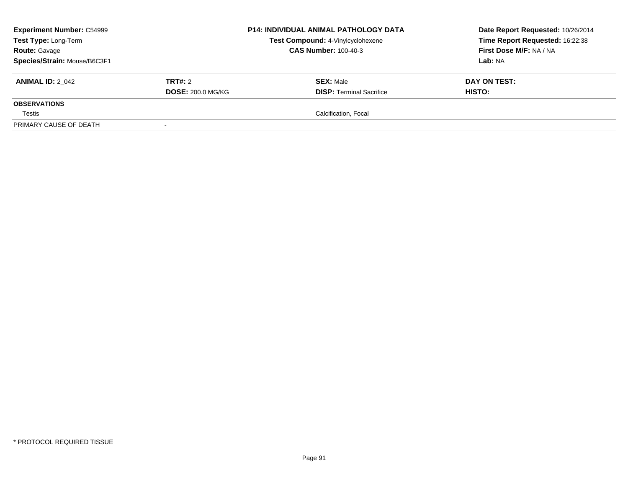| <b>Experiment Number: C54999</b><br>Test Type: Long-Term<br><b>Route: Gavage</b> |                          | <b>P14: INDIVIDUAL ANIMAL PATHOLOGY DATA</b><br>Test Compound: 4-Vinylcyclohexene<br><b>CAS Number: 100-40-3</b> | Date Report Requested: 10/26/2014<br>Time Report Requested: 16:22:38<br>First Dose M/F: NA / NA |  |
|----------------------------------------------------------------------------------|--------------------------|------------------------------------------------------------------------------------------------------------------|-------------------------------------------------------------------------------------------------|--|
| Species/Strain: Mouse/B6C3F1                                                     |                          |                                                                                                                  | Lab: NA                                                                                         |  |
| <b>ANIMAL ID: 2 042</b>                                                          | <b>TRT#: 2</b>           | <b>SEX: Male</b>                                                                                                 | DAY ON TEST:                                                                                    |  |
|                                                                                  | <b>DOSE: 200.0 MG/KG</b> | <b>DISP: Terminal Sacrifice</b>                                                                                  | <b>HISTO:</b>                                                                                   |  |
| <b>OBSERVATIONS</b>                                                              |                          |                                                                                                                  |                                                                                                 |  |
| Testis                                                                           |                          | Calcification, Focal                                                                                             |                                                                                                 |  |
| PRIMARY CAUSE OF DEATH                                                           |                          |                                                                                                                  |                                                                                                 |  |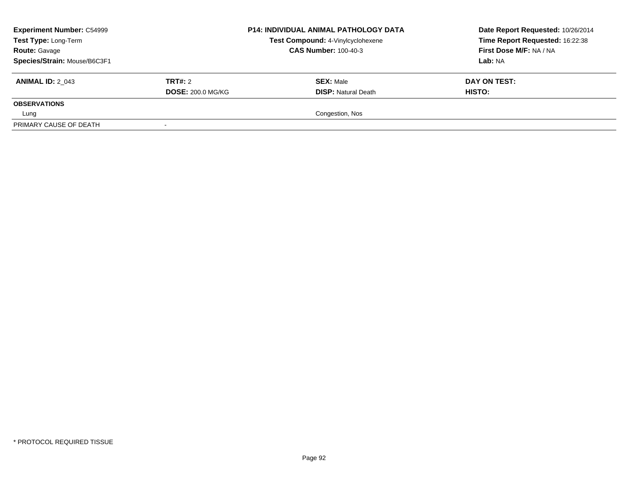| <b>Experiment Number: C54999</b><br>Test Type: Long-Term<br><b>Route: Gavage</b> |                          | <b>P14: INDIVIDUAL ANIMAL PATHOLOGY DATA</b><br>Test Compound: 4-Vinylcyclohexene<br><b>CAS Number: 100-40-3</b> | Date Report Requested: 10/26/2014<br>Time Report Requested: 16:22:38<br>First Dose M/F: NA / NA |
|----------------------------------------------------------------------------------|--------------------------|------------------------------------------------------------------------------------------------------------------|-------------------------------------------------------------------------------------------------|
| Species/Strain: Mouse/B6C3F1                                                     |                          |                                                                                                                  | Lab: NA                                                                                         |
| <b>ANIMAL ID: 2 043</b>                                                          | <b>TRT#: 2</b>           | <b>SEX: Male</b>                                                                                                 | DAY ON TEST:                                                                                    |
|                                                                                  | <b>DOSE: 200.0 MG/KG</b> | <b>DISP: Natural Death</b>                                                                                       | <b>HISTO:</b>                                                                                   |
| <b>OBSERVATIONS</b>                                                              |                          |                                                                                                                  |                                                                                                 |
| Lung                                                                             |                          | Congestion, Nos                                                                                                  |                                                                                                 |
| PRIMARY CAUSE OF DEATH                                                           |                          |                                                                                                                  |                                                                                                 |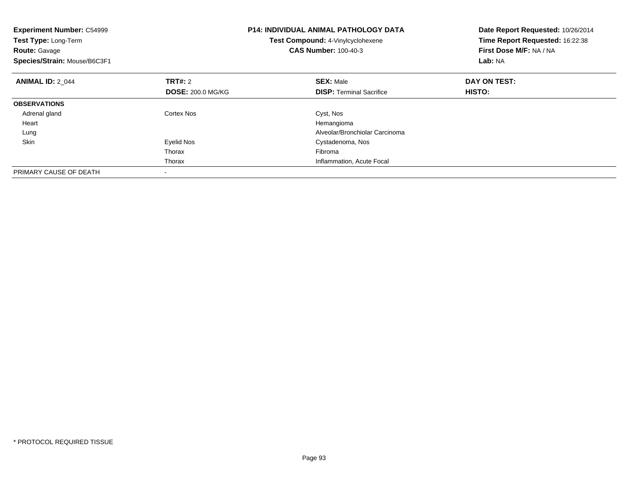| <b>Experiment Number: C54999</b><br>Test Type: Long-Term<br><b>Route: Gavage</b><br>Species/Strain: Mouse/B6C3F1 |                          | <b>P14: INDIVIDUAL ANIMAL PATHOLOGY DATA</b><br>Date Report Requested: 10/26/2014<br>Time Report Requested: 16:22:38<br>Test Compound: 4-Vinylcyclohexene<br><b>CAS Number: 100-40-3</b><br>First Dose M/F: NA / NA<br>Lab: NA |              |
|------------------------------------------------------------------------------------------------------------------|--------------------------|--------------------------------------------------------------------------------------------------------------------------------------------------------------------------------------------------------------------------------|--------------|
| <b>ANIMAL ID: 2 044</b>                                                                                          | TRT#: 2                  | <b>SEX: Male</b>                                                                                                                                                                                                               | DAY ON TEST: |
|                                                                                                                  | <b>DOSE: 200.0 MG/KG</b> | <b>DISP:</b> Terminal Sacrifice                                                                                                                                                                                                | HISTO:       |
| <b>OBSERVATIONS</b>                                                                                              |                          |                                                                                                                                                                                                                                |              |
| Adrenal gland                                                                                                    | Cortex Nos               | Cyst, Nos                                                                                                                                                                                                                      |              |
| Heart                                                                                                            |                          | Hemangioma                                                                                                                                                                                                                     |              |
| Lung                                                                                                             |                          | Alveolar/Bronchiolar Carcinoma                                                                                                                                                                                                 |              |
| Skin                                                                                                             | Eyelid Nos               | Cystadenoma, Nos                                                                                                                                                                                                               |              |
|                                                                                                                  | Thorax                   | Fibroma                                                                                                                                                                                                                        |              |
|                                                                                                                  | Thorax                   | Inflammation, Acute Focal                                                                                                                                                                                                      |              |
| PRIMARY CAUSE OF DEATH                                                                                           |                          |                                                                                                                                                                                                                                |              |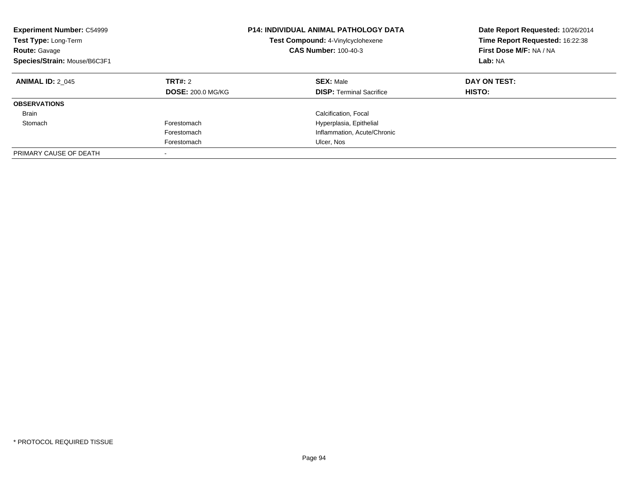| <b>Experiment Number: C54999</b><br>Test Type: Long-Term<br><b>Route: Gavage</b><br>Species/Strain: Mouse/B6C3F1 | <b>P14: INDIVIDUAL ANIMAL PATHOLOGY DATA</b><br>Test Compound: 4-Vinylcyclohexene<br><b>CAS Number: 100-40-3</b> |                                                     | Date Report Requested: 10/26/2014<br>Time Report Requested: 16:22:38<br>First Dose M/F: NA / NA<br>Lab: NA |
|------------------------------------------------------------------------------------------------------------------|------------------------------------------------------------------------------------------------------------------|-----------------------------------------------------|------------------------------------------------------------------------------------------------------------|
| <b>ANIMAL ID: 2 045</b>                                                                                          | TRT#: 2<br><b>DOSE: 200.0 MG/KG</b>                                                                              | <b>SEX: Male</b><br><b>DISP:</b> Terminal Sacrifice | DAY ON TEST:<br>HISTO:                                                                                     |
| <b>OBSERVATIONS</b>                                                                                              |                                                                                                                  |                                                     |                                                                                                            |
| <b>Brain</b>                                                                                                     |                                                                                                                  | Calcification, Focal                                |                                                                                                            |
| Stomach                                                                                                          | Forestomach                                                                                                      | Hyperplasia, Epithelial                             |                                                                                                            |
|                                                                                                                  | Forestomach                                                                                                      | Inflammation, Acute/Chronic                         |                                                                                                            |
|                                                                                                                  | Forestomach                                                                                                      | Ulcer, Nos                                          |                                                                                                            |
| PRIMARY CAUSE OF DEATH                                                                                           |                                                                                                                  |                                                     |                                                                                                            |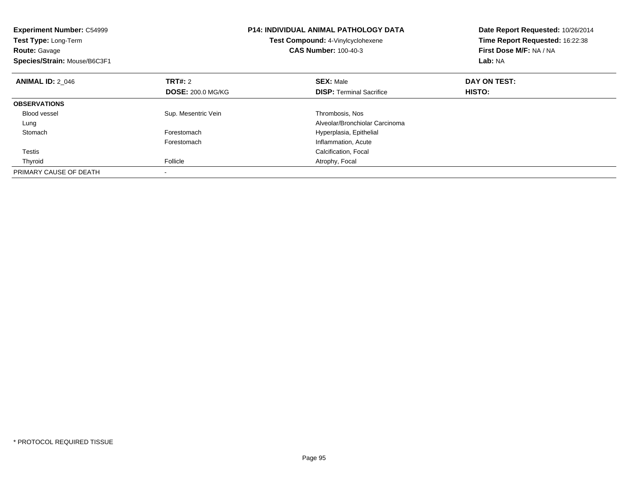| <b>Experiment Number: C54999</b><br><b>Test Type: Long-Term</b><br><b>Route: Gavage</b><br>Species/Strain: Mouse/B6C3F1 |                          | <b>P14: INDIVIDUAL ANIMAL PATHOLOGY DATA</b><br>Test Compound: 4-Vinylcyclohexene<br><b>CAS Number: 100-40-3</b> | Date Report Requested: 10/26/2014<br>Time Report Requested: 16:22:38<br>First Dose M/F: NA / NA<br>Lab: NA |
|-------------------------------------------------------------------------------------------------------------------------|--------------------------|------------------------------------------------------------------------------------------------------------------|------------------------------------------------------------------------------------------------------------|
| <b>ANIMAL ID: 2 046</b>                                                                                                 | TRT#: 2                  | <b>SEX: Male</b>                                                                                                 | DAY ON TEST:                                                                                               |
|                                                                                                                         | <b>DOSE: 200.0 MG/KG</b> | <b>DISP:</b> Terminal Sacrifice                                                                                  | HISTO:                                                                                                     |
| <b>OBSERVATIONS</b>                                                                                                     |                          |                                                                                                                  |                                                                                                            |
| <b>Blood vessel</b>                                                                                                     | Sup. Mesentric Vein      | Thrombosis, Nos                                                                                                  |                                                                                                            |
| Lung                                                                                                                    |                          | Alveolar/Bronchiolar Carcinoma                                                                                   |                                                                                                            |
| Stomach                                                                                                                 | Forestomach              | Hyperplasia, Epithelial                                                                                          |                                                                                                            |
|                                                                                                                         | Forestomach              | Inflammation, Acute                                                                                              |                                                                                                            |
| Testis                                                                                                                  |                          | Calcification, Focal                                                                                             |                                                                                                            |
| Thyroid                                                                                                                 | Follicle                 | Atrophy, Focal                                                                                                   |                                                                                                            |
| PRIMARY CAUSE OF DEATH                                                                                                  |                          |                                                                                                                  |                                                                                                            |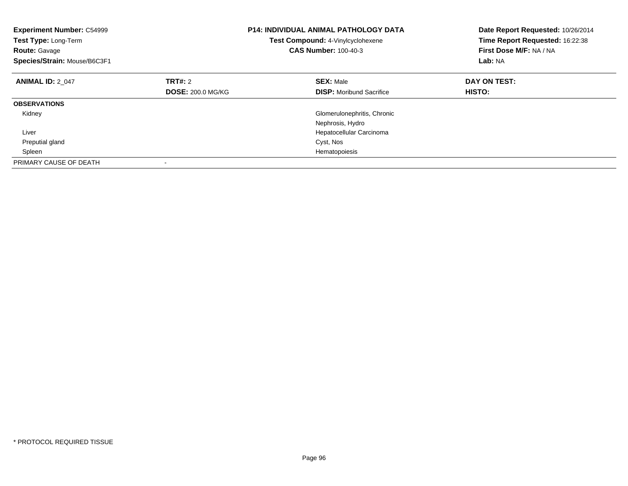| <b>Experiment Number: C54999</b><br>Test Type: Long-Term<br><b>Route: Gavage</b><br>Species/Strain: Mouse/B6C3F1 |                          | <b>P14: INDIVIDUAL ANIMAL PATHOLOGY DATA</b><br>Test Compound: 4-Vinylcyclohexene<br><b>CAS Number: 100-40-3</b> | Date Report Requested: 10/26/2014<br>Time Report Requested: 16:22:38<br>First Dose M/F: NA / NA<br>Lab: NA |
|------------------------------------------------------------------------------------------------------------------|--------------------------|------------------------------------------------------------------------------------------------------------------|------------------------------------------------------------------------------------------------------------|
| <b>ANIMAL ID: 2 047</b>                                                                                          | TRT#: 2                  | <b>SEX: Male</b>                                                                                                 | DAY ON TEST:                                                                                               |
|                                                                                                                  | <b>DOSE: 200.0 MG/KG</b> | <b>DISP:</b> Moribund Sacrifice                                                                                  | HISTO:                                                                                                     |
| <b>OBSERVATIONS</b>                                                                                              |                          |                                                                                                                  |                                                                                                            |
| Kidney                                                                                                           |                          | Glomerulonephritis, Chronic                                                                                      |                                                                                                            |
|                                                                                                                  |                          | Nephrosis, Hydro                                                                                                 |                                                                                                            |
| Liver                                                                                                            |                          | Hepatocellular Carcinoma                                                                                         |                                                                                                            |
| Preputial gland                                                                                                  |                          | Cyst, Nos                                                                                                        |                                                                                                            |
| Spleen                                                                                                           |                          | Hematopoiesis                                                                                                    |                                                                                                            |
| PRIMARY CAUSE OF DEATH                                                                                           |                          |                                                                                                                  |                                                                                                            |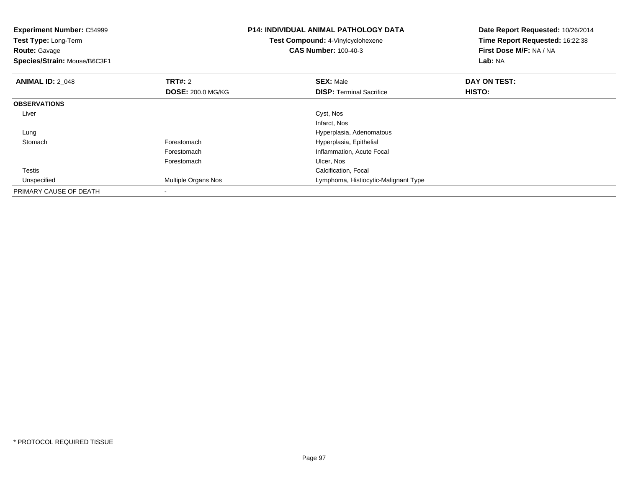| <b>Experiment Number: C54999</b><br>Test Type: Long-Term<br><b>Route: Gavage</b><br>Species/Strain: Mouse/B6C3F1 |                          | <b>P14: INDIVIDUAL ANIMAL PATHOLOGY DATA</b><br>Test Compound: 4-Vinylcyclohexene<br><b>CAS Number: 100-40-3</b> | Date Report Requested: 10/26/2014<br>Time Report Requested: 16:22:38<br>First Dose M/F: NA / NA<br><b>Lab: NA</b> |
|------------------------------------------------------------------------------------------------------------------|--------------------------|------------------------------------------------------------------------------------------------------------------|-------------------------------------------------------------------------------------------------------------------|
| <b>ANIMAL ID: 2 048</b>                                                                                          | <b>TRT#: 2</b>           | <b>SEX: Male</b>                                                                                                 | DAY ON TEST:                                                                                                      |
|                                                                                                                  | <b>DOSE: 200.0 MG/KG</b> | <b>DISP:</b> Terminal Sacrifice                                                                                  | HISTO:                                                                                                            |
| <b>OBSERVATIONS</b>                                                                                              |                          |                                                                                                                  |                                                                                                                   |
| Liver                                                                                                            |                          | Cyst, Nos                                                                                                        |                                                                                                                   |
|                                                                                                                  |                          | Infarct, Nos                                                                                                     |                                                                                                                   |
| Lung                                                                                                             |                          | Hyperplasia, Adenomatous                                                                                         |                                                                                                                   |
| Stomach                                                                                                          | Forestomach              | Hyperplasia, Epithelial                                                                                          |                                                                                                                   |
|                                                                                                                  | Forestomach              | Inflammation, Acute Focal                                                                                        |                                                                                                                   |
|                                                                                                                  | Forestomach              | Ulcer, Nos                                                                                                       |                                                                                                                   |
| Testis                                                                                                           |                          | Calcification, Focal                                                                                             |                                                                                                                   |
| Unspecified                                                                                                      | Multiple Organs Nos      | Lymphoma, Histiocytic-Malignant Type                                                                             |                                                                                                                   |
| PRIMARY CAUSE OF DEATH                                                                                           |                          |                                                                                                                  |                                                                                                                   |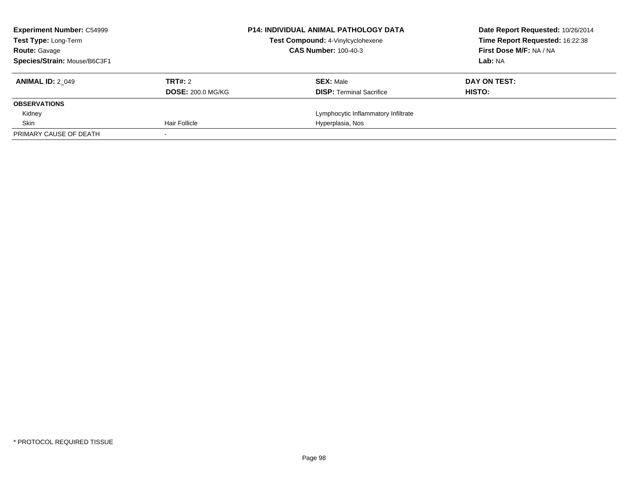| <b>Experiment Number: C54999</b><br><b>Test Type: Long-Term</b> |                          | <b>P14: INDIVIDUAL ANIMAL PATHOLOGY DATA</b><br>Test Compound: 4-Vinylcyclohexene | Date Report Requested: 10/26/2014<br>Time Report Requested: 16:22:38 |
|-----------------------------------------------------------------|--------------------------|-----------------------------------------------------------------------------------|----------------------------------------------------------------------|
| <b>Route: Gavage</b>                                            |                          | <b>CAS Number: 100-40-3</b>                                                       | First Dose M/F: NA / NA                                              |
| Species/Strain: Mouse/B6C3F1                                    |                          |                                                                                   | Lab: NA                                                              |
| <b>ANIMAL ID: 2 049</b>                                         | TRT#: 2                  | <b>SEX: Male</b>                                                                  | DAY ON TEST:                                                         |
|                                                                 | <b>DOSE: 200.0 MG/KG</b> | <b>DISP:</b> Terminal Sacrifice                                                   | HISTO:                                                               |
| <b>OBSERVATIONS</b>                                             |                          |                                                                                   |                                                                      |
| Kidney                                                          |                          | Lymphocytic Inflammatory Infiltrate                                               |                                                                      |
| Skin                                                            | Hair Follicle            | Hyperplasia, Nos                                                                  |                                                                      |
| PRIMARY CAUSE OF DEATH                                          |                          |                                                                                   |                                                                      |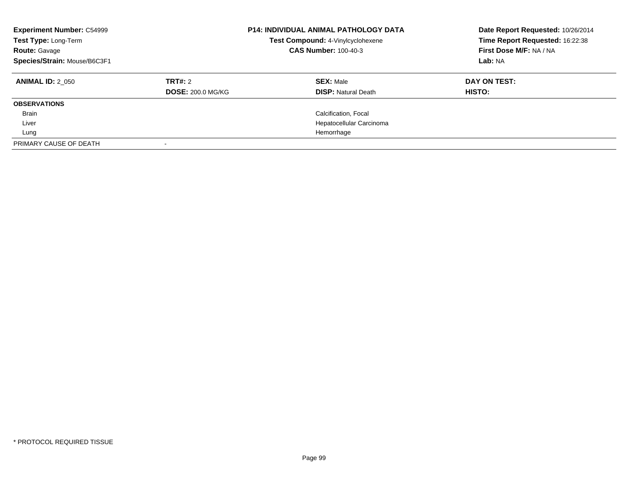| <b>Experiment Number: C54999</b><br>Test Type: Long-Term<br><b>Route: Gavage</b><br>Species/Strain: Mouse/B6C3F1 |                                     | <b>P14: INDIVIDUAL ANIMAL PATHOLOGY DATA</b><br>Test Compound: 4-Vinylcyclohexene<br><b>CAS Number: 100-40-3</b> | Date Report Requested: 10/26/2014<br>Time Report Requested: 16:22:38<br>First Dose M/F: NA / NA<br>Lab: NA |
|------------------------------------------------------------------------------------------------------------------|-------------------------------------|------------------------------------------------------------------------------------------------------------------|------------------------------------------------------------------------------------------------------------|
| <b>ANIMAL ID: 2 050</b>                                                                                          | TRT#: 2<br><b>DOSE: 200.0 MG/KG</b> | <b>SEX: Male</b><br><b>DISP: Natural Death</b>                                                                   | DAY ON TEST:<br><b>HISTO:</b>                                                                              |
| <b>OBSERVATIONS</b>                                                                                              |                                     |                                                                                                                  |                                                                                                            |
| <b>Brain</b>                                                                                                     |                                     | Calcification, Focal                                                                                             |                                                                                                            |
| Liver                                                                                                            |                                     | Hepatocellular Carcinoma                                                                                         |                                                                                                            |
| Lung                                                                                                             |                                     | Hemorrhage                                                                                                       |                                                                                                            |
| PRIMARY CAUSE OF DEATH                                                                                           |                                     |                                                                                                                  |                                                                                                            |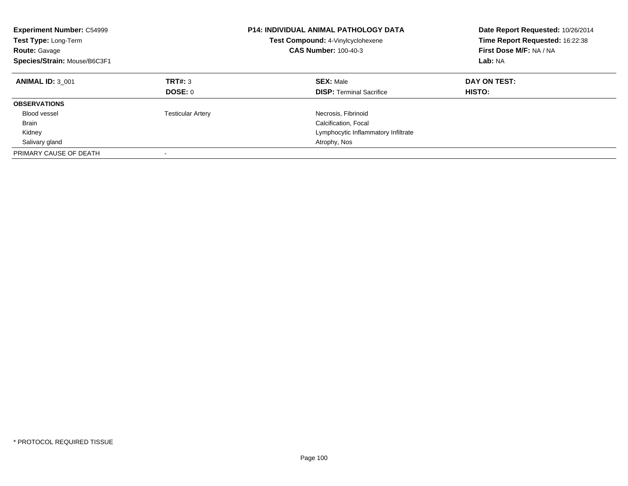| <b>Experiment Number: C54999</b><br>Test Type: Long-Term<br><b>Route: Gavage</b><br>Species/Strain: Mouse/B6C3F1 |                           | <b>P14: INDIVIDUAL ANIMAL PATHOLOGY DATA</b><br>Test Compound: 4-Vinylcyclohexene<br><b>CAS Number: 100-40-3</b> | Date Report Requested: 10/26/2014<br>Time Report Requested: 16:22:38<br>First Dose M/F: NA / NA<br>Lab: NA |
|------------------------------------------------------------------------------------------------------------------|---------------------------|------------------------------------------------------------------------------------------------------------------|------------------------------------------------------------------------------------------------------------|
| <b>ANIMAL ID: 3 001</b>                                                                                          | TRT#: 3<br><b>DOSE: 0</b> | <b>SEX: Male</b><br><b>DISP:</b> Terminal Sacrifice                                                              | DAY ON TEST:<br><b>HISTO:</b>                                                                              |
| <b>OBSERVATIONS</b>                                                                                              |                           |                                                                                                                  |                                                                                                            |
| Blood vessel                                                                                                     | <b>Testicular Artery</b>  | Necrosis, Fibrinoid                                                                                              |                                                                                                            |
| Brain                                                                                                            |                           | Calcification, Focal                                                                                             |                                                                                                            |
| Kidney                                                                                                           |                           | Lymphocytic Inflammatory Infiltrate                                                                              |                                                                                                            |
| Salivary gland                                                                                                   |                           | Atrophy, Nos                                                                                                     |                                                                                                            |
| PRIMARY CAUSE OF DEATH                                                                                           | $\overline{\phantom{a}}$  |                                                                                                                  |                                                                                                            |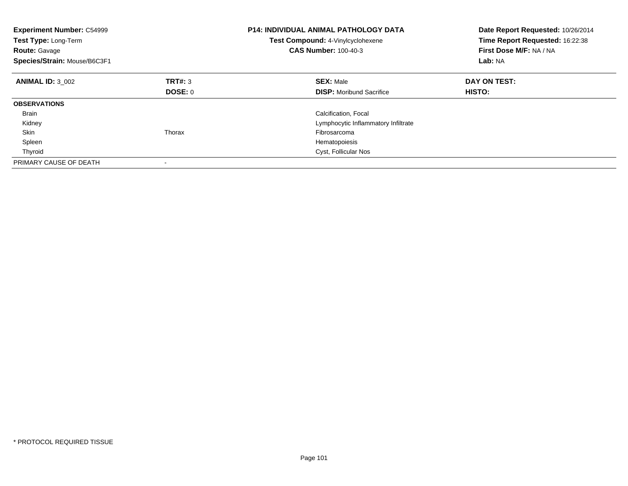| <b>Experiment Number: C54999</b><br>Test Type: Long-Term<br><b>Route: Gavage</b><br>Species/Strain: Mouse/B6C3F1 |         | <b>P14: INDIVIDUAL ANIMAL PATHOLOGY DATA</b><br>Test Compound: 4-Vinylcyclohexene<br><b>CAS Number: 100-40-3</b> | Date Report Requested: 10/26/2014<br>Time Report Requested: 16:22:38<br>First Dose M/F: NA / NA<br>Lab: NA |
|------------------------------------------------------------------------------------------------------------------|---------|------------------------------------------------------------------------------------------------------------------|------------------------------------------------------------------------------------------------------------|
| <b>ANIMAL ID: 3 002</b>                                                                                          | TRT#: 3 | <b>SEX: Male</b>                                                                                                 | DAY ON TEST:                                                                                               |
|                                                                                                                  | DOSE: 0 | <b>DISP:</b> Moribund Sacrifice                                                                                  | HISTO:                                                                                                     |
| <b>OBSERVATIONS</b>                                                                                              |         |                                                                                                                  |                                                                                                            |
| <b>Brain</b>                                                                                                     |         | Calcification, Focal                                                                                             |                                                                                                            |
| Kidney                                                                                                           |         | Lymphocytic Inflammatory Infiltrate                                                                              |                                                                                                            |
| Skin                                                                                                             | Thorax  | Fibrosarcoma                                                                                                     |                                                                                                            |
| Spleen                                                                                                           |         | Hematopoiesis                                                                                                    |                                                                                                            |
| Thyroid                                                                                                          |         | Cyst, Follicular Nos                                                                                             |                                                                                                            |
| PRIMARY CAUSE OF DEATH                                                                                           |         |                                                                                                                  |                                                                                                            |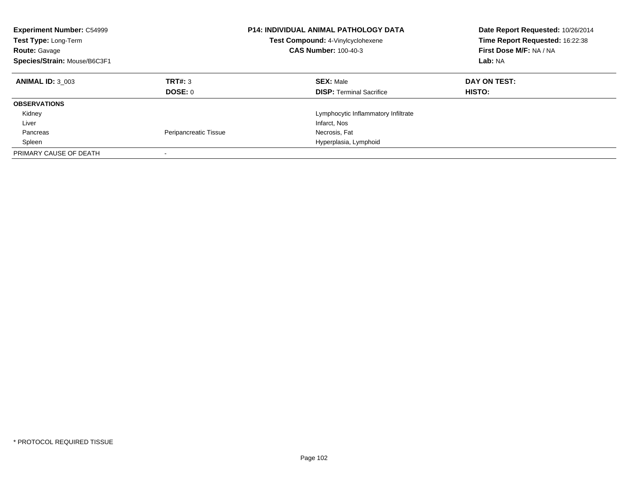| <b>Experiment Number: C54999</b><br><b>Test Type: Long-Term</b><br><b>Route: Gavage</b><br>Species/Strain: Mouse/B6C3F1 |                       | <b>P14: INDIVIDUAL ANIMAL PATHOLOGY DATA</b><br>Test Compound: 4-Vinylcyclohexene<br><b>CAS Number: 100-40-3</b> | Date Report Requested: 10/26/2014<br>Time Report Requested: 16:22:38<br>First Dose M/F: NA / NA<br>Lab: NA |
|-------------------------------------------------------------------------------------------------------------------------|-----------------------|------------------------------------------------------------------------------------------------------------------|------------------------------------------------------------------------------------------------------------|
| <b>ANIMAL ID: 3 003</b>                                                                                                 | TRT#: 3<br>DOSE: 0    | <b>SEX: Male</b><br><b>DISP:</b> Terminal Sacrifice                                                              | DAY ON TEST:<br><b>HISTO:</b>                                                                              |
| <b>OBSERVATIONS</b>                                                                                                     |                       |                                                                                                                  |                                                                                                            |
| Kidney                                                                                                                  |                       | Lymphocytic Inflammatory Infiltrate                                                                              |                                                                                                            |
| Liver                                                                                                                   |                       | Infarct, Nos                                                                                                     |                                                                                                            |
| Pancreas                                                                                                                | Peripancreatic Tissue | Necrosis, Fat                                                                                                    |                                                                                                            |
| Spleen                                                                                                                  |                       | Hyperplasia, Lymphoid                                                                                            |                                                                                                            |
| PRIMARY CAUSE OF DEATH                                                                                                  |                       |                                                                                                                  |                                                                                                            |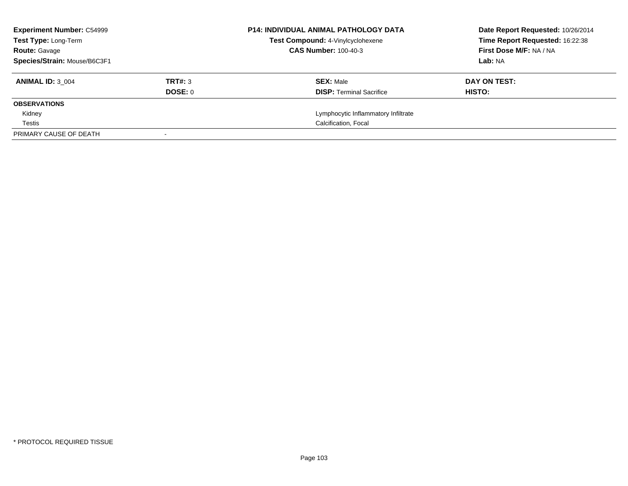| <b>Experiment Number: C54999</b> |         | <b>P14: INDIVIDUAL ANIMAL PATHOLOGY DATA</b> | Date Report Requested: 10/26/2014 |
|----------------------------------|---------|----------------------------------------------|-----------------------------------|
| Test Type: Long-Term             |         | Test Compound: 4-Vinylcyclohexene            | Time Report Requested: 16:22:38   |
| <b>Route: Gavage</b>             |         | <b>CAS Number: 100-40-3</b>                  | First Dose M/F: NA / NA           |
| Species/Strain: Mouse/B6C3F1     |         |                                              | Lab: NA                           |
| <b>ANIMAL ID: 3 004</b>          | TRT#: 3 | <b>SEX: Male</b>                             | DAY ON TEST:                      |
|                                  | DOSE: 0 | <b>DISP:</b> Terminal Sacrifice              | HISTO:                            |
| <b>OBSERVATIONS</b>              |         |                                              |                                   |
| Kidney                           |         | Lymphocytic Inflammatory Infiltrate          |                                   |
| Testis                           |         | Calcification, Focal                         |                                   |
| PRIMARY CAUSE OF DEATH           |         |                                              |                                   |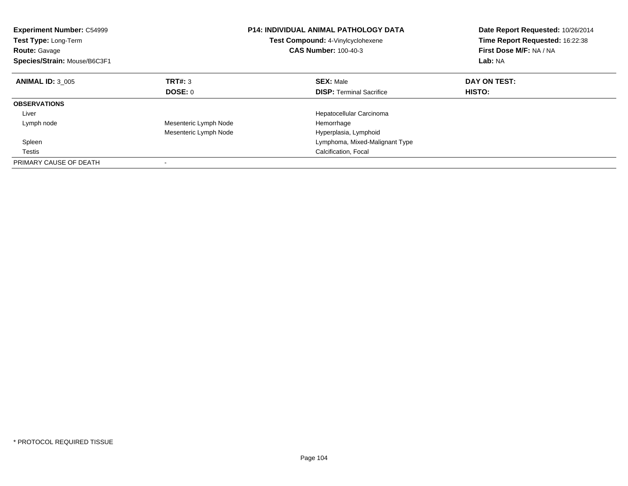| <b>Experiment Number: C54999</b><br>Test Type: Long-Term<br><b>Route: Gavage</b><br>Species/Strain: Mouse/B6C3F1 |                       | <b>P14: INDIVIDUAL ANIMAL PATHOLOGY DATA</b><br><b>Test Compound: 4-Vinylcyclohexene</b><br><b>CAS Number: 100-40-3</b> | Date Report Requested: 10/26/2014<br>Time Report Requested: 16:22:38<br>First Dose M/F: NA / NA<br>Lab: NA |
|------------------------------------------------------------------------------------------------------------------|-----------------------|-------------------------------------------------------------------------------------------------------------------------|------------------------------------------------------------------------------------------------------------|
| <b>ANIMAL ID: 3 005</b>                                                                                          | TRT#: 3               | <b>SEX: Male</b>                                                                                                        | DAY ON TEST:                                                                                               |
|                                                                                                                  | DOSE: 0               | <b>DISP:</b> Terminal Sacrifice                                                                                         | HISTO:                                                                                                     |
| <b>OBSERVATIONS</b>                                                                                              |                       |                                                                                                                         |                                                                                                            |
| Liver                                                                                                            |                       | Hepatocellular Carcinoma                                                                                                |                                                                                                            |
| Lymph node                                                                                                       | Mesenteric Lymph Node | Hemorrhage                                                                                                              |                                                                                                            |
|                                                                                                                  | Mesenteric Lymph Node | Hyperplasia, Lymphoid                                                                                                   |                                                                                                            |
| Spleen                                                                                                           |                       | Lymphoma, Mixed-Malignant Type                                                                                          |                                                                                                            |
| Testis                                                                                                           |                       | Calcification, Focal                                                                                                    |                                                                                                            |
| PRIMARY CAUSE OF DEATH                                                                                           |                       |                                                                                                                         |                                                                                                            |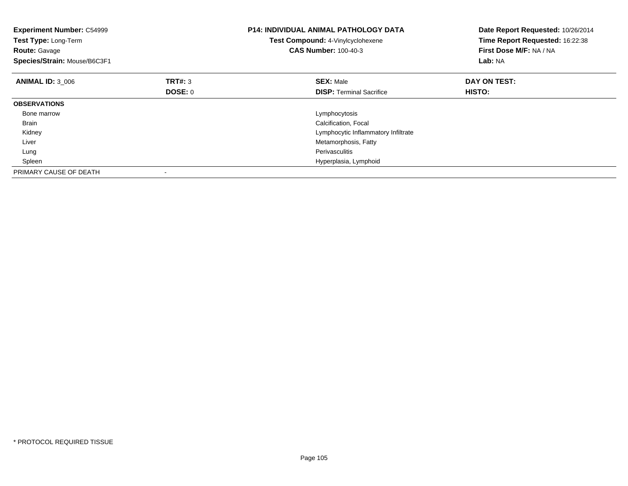| <b>Experiment Number: C54999</b><br>Test Type: Long-Term<br><b>Route: Gavage</b><br>Species/Strain: Mouse/B6C3F1 |         | <b>P14: INDIVIDUAL ANIMAL PATHOLOGY DATA</b><br>Test Compound: 4-Vinylcyclohexene<br><b>CAS Number: 100-40-3</b> | Date Report Requested: 10/26/2014<br>Time Report Requested: 16:22:38<br>First Dose M/F: NA / NA<br>Lab: NA |
|------------------------------------------------------------------------------------------------------------------|---------|------------------------------------------------------------------------------------------------------------------|------------------------------------------------------------------------------------------------------------|
| <b>ANIMAL ID: 3 006</b>                                                                                          | TRT#: 3 | <b>SEX: Male</b>                                                                                                 | DAY ON TEST:                                                                                               |
|                                                                                                                  | DOSE: 0 | <b>DISP:</b> Terminal Sacrifice                                                                                  | HISTO:                                                                                                     |
| <b>OBSERVATIONS</b>                                                                                              |         |                                                                                                                  |                                                                                                            |
| Bone marrow                                                                                                      |         | Lymphocytosis                                                                                                    |                                                                                                            |
| <b>Brain</b>                                                                                                     |         | Calcification, Focal                                                                                             |                                                                                                            |
| Kidney                                                                                                           |         | Lymphocytic Inflammatory Infiltrate                                                                              |                                                                                                            |
| Liver                                                                                                            |         | Metamorphosis, Fatty                                                                                             |                                                                                                            |
| Lung                                                                                                             |         | Perivasculitis                                                                                                   |                                                                                                            |
| Spleen                                                                                                           |         | Hyperplasia, Lymphoid                                                                                            |                                                                                                            |
| PRIMARY CAUSE OF DEATH                                                                                           |         |                                                                                                                  |                                                                                                            |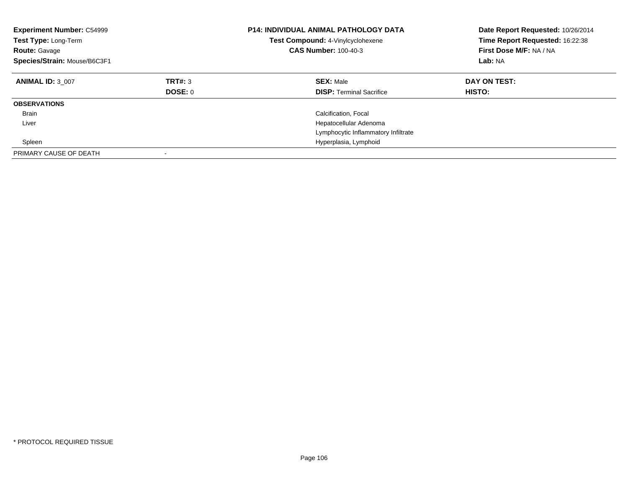| <b>Experiment Number: C54999</b><br>Test Type: Long-Term<br><b>Route: Gavage</b><br>Species/Strain: Mouse/B6C3F1 |                    | <b>P14: INDIVIDUAL ANIMAL PATHOLOGY DATA</b><br>Test Compound: 4-Vinylcyclohexene<br><b>CAS Number: 100-40-3</b> | Date Report Requested: 10/26/2014<br>Time Report Requested: 16:22:38<br>First Dose M/F: NA / NA<br>Lab: NA |
|------------------------------------------------------------------------------------------------------------------|--------------------|------------------------------------------------------------------------------------------------------------------|------------------------------------------------------------------------------------------------------------|
| <b>ANIMAL ID: 3 007</b>                                                                                          | TRT#: 3<br>DOSE: 0 | <b>SEX: Male</b><br><b>DISP:</b> Terminal Sacrifice                                                              | DAY ON TEST:<br><b>HISTO:</b>                                                                              |
| <b>OBSERVATIONS</b>                                                                                              |                    |                                                                                                                  |                                                                                                            |
| <b>Brain</b>                                                                                                     |                    | Calcification, Focal                                                                                             |                                                                                                            |
| Liver                                                                                                            |                    | Hepatocellular Adenoma                                                                                           |                                                                                                            |
|                                                                                                                  |                    | Lymphocytic Inflammatory Infiltrate                                                                              |                                                                                                            |
| Spleen                                                                                                           |                    | Hyperplasia, Lymphoid                                                                                            |                                                                                                            |
| PRIMARY CAUSE OF DEATH                                                                                           |                    |                                                                                                                  |                                                                                                            |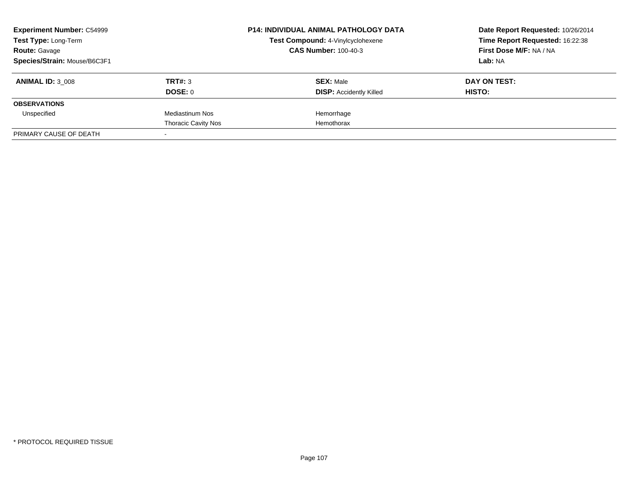| <b>Experiment Number: C54999</b><br>Test Type: Long-Term<br><b>Route: Gavage</b> |                            | <b>P14: INDIVIDUAL ANIMAL PATHOLOGY DATA</b><br>Test Compound: 4-Vinylcyclohexene<br><b>CAS Number: 100-40-3</b> | Date Report Requested: 10/26/2014<br>Time Report Requested: 16:22:38<br>First Dose M/F: NA / NA |
|----------------------------------------------------------------------------------|----------------------------|------------------------------------------------------------------------------------------------------------------|-------------------------------------------------------------------------------------------------|
| Species/Strain: Mouse/B6C3F1                                                     |                            |                                                                                                                  | Lab: NA                                                                                         |
| <b>ANIMAL ID: 3 008</b>                                                          | TRT#: 3                    | <b>SEX: Male</b>                                                                                                 | DAY ON TEST:                                                                                    |
|                                                                                  | DOSE: 0                    | <b>DISP:</b> Accidently Killed                                                                                   | HISTO:                                                                                          |
| <b>OBSERVATIONS</b>                                                              |                            |                                                                                                                  |                                                                                                 |
| Unspecified                                                                      | Mediastinum Nos            | Hemorrhage                                                                                                       |                                                                                                 |
|                                                                                  | <b>Thoracic Cavity Nos</b> | Hemothorax                                                                                                       |                                                                                                 |
| PRIMARY CAUSE OF DEATH                                                           |                            |                                                                                                                  |                                                                                                 |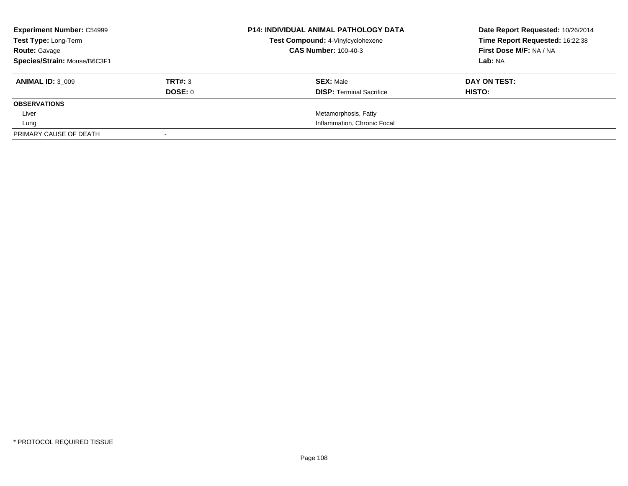| <b>Experiment Number: C54999</b> |         | <b>P14: INDIVIDUAL ANIMAL PATHOLOGY DATA</b> | Date Report Requested: 10/26/2014 |
|----------------------------------|---------|----------------------------------------------|-----------------------------------|
| Test Type: Long-Term             |         | Test Compound: 4-Vinylcyclohexene            | Time Report Requested: 16:22:38   |
| <b>Route: Gavage</b>             |         | <b>CAS Number: 100-40-3</b>                  | First Dose M/F: NA / NA           |
| Species/Strain: Mouse/B6C3F1     |         |                                              | Lab: NA                           |
| <b>ANIMAL ID: 3 009</b>          | TRT#: 3 | <b>SEX: Male</b>                             | DAY ON TEST:                      |
|                                  | DOSE: 0 | <b>DISP:</b> Terminal Sacrifice              | HISTO:                            |
| <b>OBSERVATIONS</b>              |         |                                              |                                   |
| Liver                            |         | Metamorphosis, Fatty                         |                                   |
| Lung                             |         | Inflammation, Chronic Focal                  |                                   |
| PRIMARY CAUSE OF DEATH           |         |                                              |                                   |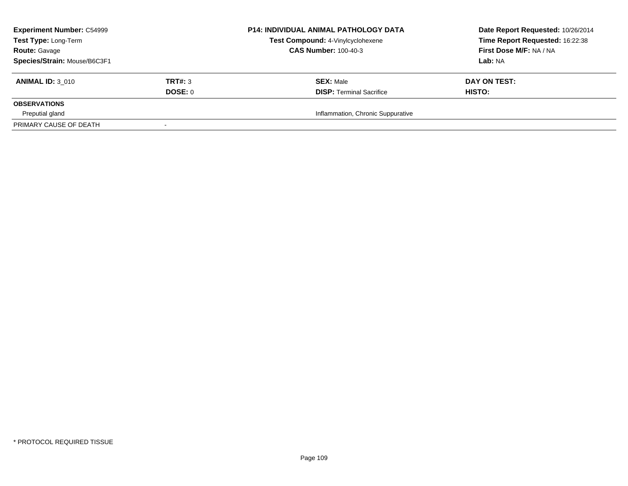| <b>Experiment Number: C54999</b><br>Test Type: Long-Term<br><b>Route: Gavage</b><br>Species/Strain: Mouse/B6C3F1 |                    | <b>P14: INDIVIDUAL ANIMAL PATHOLOGY DATA</b><br>Test Compound: 4-Vinylcyclohexene<br><b>CAS Number: 100-40-3</b> | Date Report Requested: 10/26/2014<br>Time Report Requested: 16:22:38<br>First Dose M/F: NA / NA<br>Lab: NA |
|------------------------------------------------------------------------------------------------------------------|--------------------|------------------------------------------------------------------------------------------------------------------|------------------------------------------------------------------------------------------------------------|
| <b>ANIMAL ID: 3 010</b>                                                                                          | TRT#: 3<br>DOSE: 0 | <b>SEX: Male</b><br><b>DISP: Terminal Sacrifice</b>                                                              | DAY ON TEST:<br>HISTO:                                                                                     |
| <b>OBSERVATIONS</b>                                                                                              |                    |                                                                                                                  |                                                                                                            |
| Preputial gland                                                                                                  |                    | Inflammation, Chronic Suppurative                                                                                |                                                                                                            |
| PRIMARY CAUSE OF DEATH                                                                                           |                    |                                                                                                                  |                                                                                                            |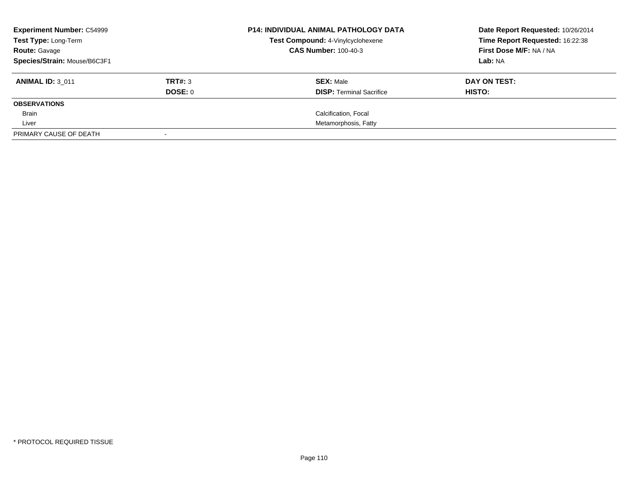| <b>Experiment Number: C54999</b><br>Test Type: Long-Term |         | <b>P14: INDIVIDUAL ANIMAL PATHOLOGY DATA</b><br>Test Compound: 4-Vinylcyclohexene | Date Report Requested: 10/26/2014 |
|----------------------------------------------------------|---------|-----------------------------------------------------------------------------------|-----------------------------------|
|                                                          |         |                                                                                   | Time Report Requested: 16:22:38   |
| <b>Route:</b> Gavage                                     |         | <b>CAS Number: 100-40-3</b>                                                       | First Dose M/F: NA / NA           |
| Species/Strain: Mouse/B6C3F1                             |         |                                                                                   | Lab: NA                           |
| <b>ANIMAL ID: 3 011</b>                                  | TRT#: 3 | <b>SEX: Male</b>                                                                  | DAY ON TEST:                      |
|                                                          | DOSE: 0 | <b>DISP:</b> Terminal Sacrifice                                                   | HISTO:                            |
| <b>OBSERVATIONS</b>                                      |         |                                                                                   |                                   |
| Brain                                                    |         | Calcification, Focal                                                              |                                   |
| Liver                                                    |         | Metamorphosis, Fatty                                                              |                                   |
| PRIMARY CAUSE OF DEATH                                   |         |                                                                                   |                                   |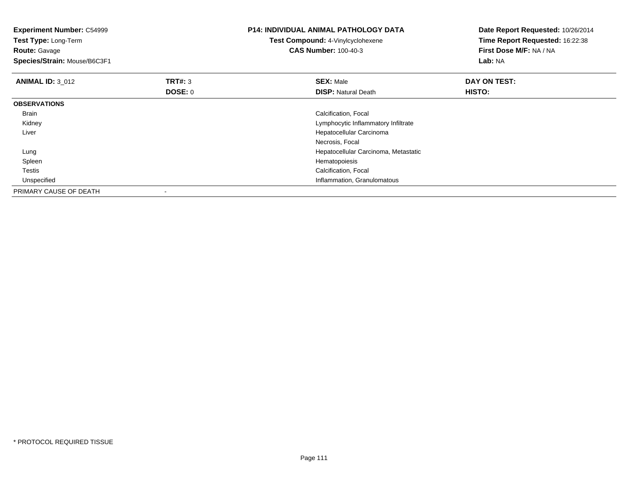| <b>Experiment Number: C54999</b><br>Test Type: Long-Term<br><b>Route: Gavage</b><br>Species/Strain: Mouse/B6C3F1 |         | <b>P14: INDIVIDUAL ANIMAL PATHOLOGY DATA</b><br>Test Compound: 4-Vinylcyclohexene<br><b>CAS Number: 100-40-3</b> | Date Report Requested: 10/26/2014<br>Time Report Requested: 16:22:38<br>First Dose M/F: NA / NA<br>Lab: NA |
|------------------------------------------------------------------------------------------------------------------|---------|------------------------------------------------------------------------------------------------------------------|------------------------------------------------------------------------------------------------------------|
| <b>ANIMAL ID: 3 012</b>                                                                                          | TRT#: 3 | <b>SEX: Male</b>                                                                                                 | DAY ON TEST:                                                                                               |
|                                                                                                                  | DOSE: 0 | <b>DISP: Natural Death</b>                                                                                       | HISTO:                                                                                                     |
| <b>OBSERVATIONS</b>                                                                                              |         |                                                                                                                  |                                                                                                            |
| Brain                                                                                                            |         | Calcification, Focal                                                                                             |                                                                                                            |
| Kidney                                                                                                           |         | Lymphocytic Inflammatory Infiltrate                                                                              |                                                                                                            |
| Liver                                                                                                            |         | Hepatocellular Carcinoma                                                                                         |                                                                                                            |
|                                                                                                                  |         | Necrosis, Focal                                                                                                  |                                                                                                            |
| Lung                                                                                                             |         | Hepatocellular Carcinoma, Metastatic                                                                             |                                                                                                            |
| Spleen                                                                                                           |         | Hematopoiesis                                                                                                    |                                                                                                            |
| Testis                                                                                                           |         | Calcification, Focal                                                                                             |                                                                                                            |
| Unspecified                                                                                                      |         | Inflammation, Granulomatous                                                                                      |                                                                                                            |
| PRIMARY CAUSE OF DEATH                                                                                           |         |                                                                                                                  |                                                                                                            |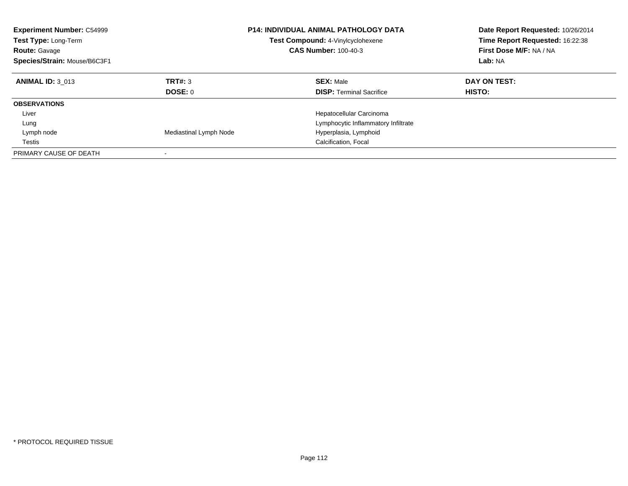| <b>Experiment Number: C54999</b><br><b>Test Type: Long-Term</b><br><b>Route: Gavage</b><br>Species/Strain: Mouse/B6C3F1 |                        | <b>P14: INDIVIDUAL ANIMAL PATHOLOGY DATA</b><br>Test Compound: 4-Vinylcyclohexene<br><b>CAS Number: 100-40-3</b> | Date Report Requested: 10/26/2014<br>Time Report Requested: 16:22:38<br>First Dose M/F: NA / NA<br>Lab: NA |
|-------------------------------------------------------------------------------------------------------------------------|------------------------|------------------------------------------------------------------------------------------------------------------|------------------------------------------------------------------------------------------------------------|
| <b>ANIMAL ID: 3 013</b>                                                                                                 | TRT#: 3<br>DOSE: 0     | <b>SEX: Male</b><br><b>DISP:</b> Terminal Sacrifice                                                              | DAY ON TEST:<br>HISTO:                                                                                     |
| <b>OBSERVATIONS</b>                                                                                                     |                        |                                                                                                                  |                                                                                                            |
| Liver                                                                                                                   |                        | Hepatocellular Carcinoma                                                                                         |                                                                                                            |
| Lung                                                                                                                    |                        | Lymphocytic Inflammatory Infiltrate                                                                              |                                                                                                            |
| Lymph node                                                                                                              | Mediastinal Lymph Node | Hyperplasia, Lymphoid                                                                                            |                                                                                                            |
| Testis                                                                                                                  |                        | Calcification, Focal                                                                                             |                                                                                                            |
| PRIMARY CAUSE OF DEATH                                                                                                  |                        |                                                                                                                  |                                                                                                            |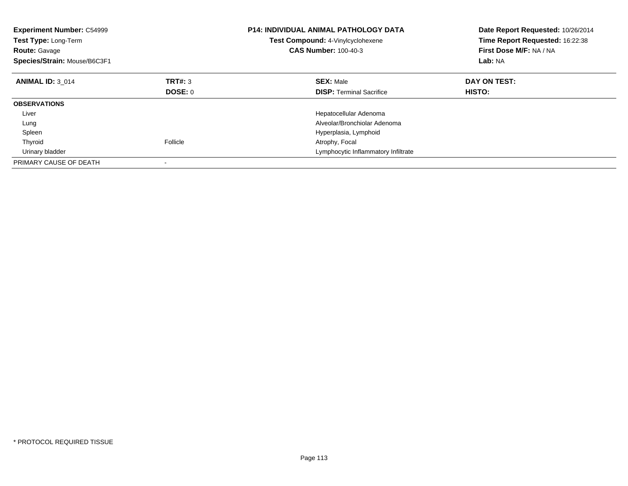| <b>Experiment Number: C54999</b><br>Test Type: Long-Term<br><b>Route: Gavage</b><br>Species/Strain: Mouse/B6C3F1 |                | <b>P14: INDIVIDUAL ANIMAL PATHOLOGY DATA</b><br>Test Compound: 4-Vinylcyclohexene<br><b>CAS Number: 100-40-3</b> | Date Report Requested: 10/26/2014<br>Time Report Requested: 16:22:38<br>First Dose M/F: NA / NA<br>Lab: NA |
|------------------------------------------------------------------------------------------------------------------|----------------|------------------------------------------------------------------------------------------------------------------|------------------------------------------------------------------------------------------------------------|
| <b>ANIMAL ID: 3 014</b>                                                                                          | TRT#: 3        | <b>SEX: Male</b>                                                                                                 | DAY ON TEST:                                                                                               |
|                                                                                                                  | <b>DOSE: 0</b> | <b>DISP:</b> Terminal Sacrifice                                                                                  | HISTO:                                                                                                     |
| <b>OBSERVATIONS</b>                                                                                              |                |                                                                                                                  |                                                                                                            |
| Liver                                                                                                            |                | Hepatocellular Adenoma                                                                                           |                                                                                                            |
| Lung                                                                                                             |                | Alveolar/Bronchiolar Adenoma                                                                                     |                                                                                                            |
| Spleen                                                                                                           |                | Hyperplasia, Lymphoid                                                                                            |                                                                                                            |
| Thyroid                                                                                                          | Follicle       | Atrophy, Focal                                                                                                   |                                                                                                            |
| Urinary bladder                                                                                                  |                | Lymphocytic Inflammatory Infiltrate                                                                              |                                                                                                            |
| PRIMARY CAUSE OF DEATH                                                                                           |                |                                                                                                                  |                                                                                                            |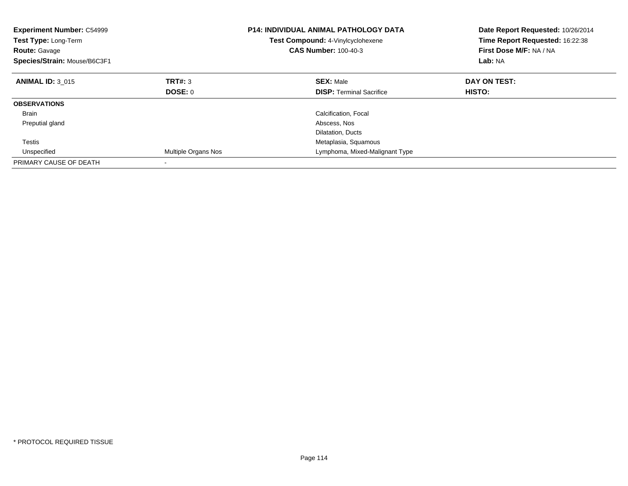| <b>Experiment Number: C54999</b><br>Test Type: Long-Term<br><b>Route: Gavage</b><br>Species/Strain: Mouse/B6C3F1 |                     | <b>P14: INDIVIDUAL ANIMAL PATHOLOGY DATA</b><br>Test Compound: 4-Vinylcyclohexene<br><b>CAS Number: 100-40-3</b> | Date Report Requested: 10/26/2014<br>Time Report Requested: 16:22:38<br>First Dose M/F: NA / NA<br>Lab: NA |
|------------------------------------------------------------------------------------------------------------------|---------------------|------------------------------------------------------------------------------------------------------------------|------------------------------------------------------------------------------------------------------------|
| <b>ANIMAL ID: 3 015</b>                                                                                          | TRT#: 3             | <b>SEX: Male</b>                                                                                                 | DAY ON TEST:                                                                                               |
|                                                                                                                  | <b>DOSE: 0</b>      | <b>DISP:</b> Terminal Sacrifice                                                                                  | <b>HISTO:</b>                                                                                              |
| <b>OBSERVATIONS</b>                                                                                              |                     |                                                                                                                  |                                                                                                            |
| Brain                                                                                                            |                     | Calcification, Focal                                                                                             |                                                                                                            |
| Preputial gland                                                                                                  |                     | Abscess, Nos                                                                                                     |                                                                                                            |
|                                                                                                                  |                     | Dilatation, Ducts                                                                                                |                                                                                                            |
| Testis                                                                                                           |                     | Metaplasia, Squamous                                                                                             |                                                                                                            |
| Unspecified                                                                                                      | Multiple Organs Nos | Lymphoma, Mixed-Malignant Type                                                                                   |                                                                                                            |
| PRIMARY CAUSE OF DEATH                                                                                           |                     |                                                                                                                  |                                                                                                            |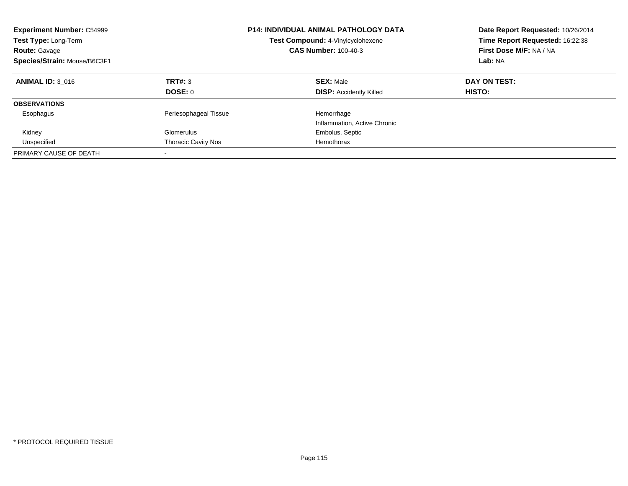| <b>Experiment Number: C54999</b><br>Test Type: Long-Term<br><b>Route: Gavage</b><br>Species/Strain: Mouse/B6C3F1 |                            | <b>P14: INDIVIDUAL ANIMAL PATHOLOGY DATA</b><br>Test Compound: 4-Vinylcyclohexene<br><b>CAS Number: 100-40-3</b> | Date Report Requested: 10/26/2014<br>Time Report Requested: 16:22:38<br>First Dose M/F: NA / NA<br>Lab: NA |
|------------------------------------------------------------------------------------------------------------------|----------------------------|------------------------------------------------------------------------------------------------------------------|------------------------------------------------------------------------------------------------------------|
| <b>ANIMAL ID: 3 016</b>                                                                                          | TRT#: 3<br>DOSE: 0         | <b>SEX: Male</b><br><b>DISP:</b> Accidently Killed                                                               | DAY ON TEST:<br>HISTO:                                                                                     |
|                                                                                                                  |                            |                                                                                                                  |                                                                                                            |
| <b>OBSERVATIONS</b>                                                                                              |                            |                                                                                                                  |                                                                                                            |
| Esophagus                                                                                                        | Periesophageal Tissue      | Hemorrhage                                                                                                       |                                                                                                            |
|                                                                                                                  |                            | Inflammation, Active Chronic                                                                                     |                                                                                                            |
| Kidney                                                                                                           | Glomerulus                 | Embolus, Septic                                                                                                  |                                                                                                            |
| Unspecified                                                                                                      | <b>Thoracic Cavity Nos</b> | Hemothorax                                                                                                       |                                                                                                            |
| PRIMARY CAUSE OF DEATH                                                                                           | $\overline{\phantom{a}}$   |                                                                                                                  |                                                                                                            |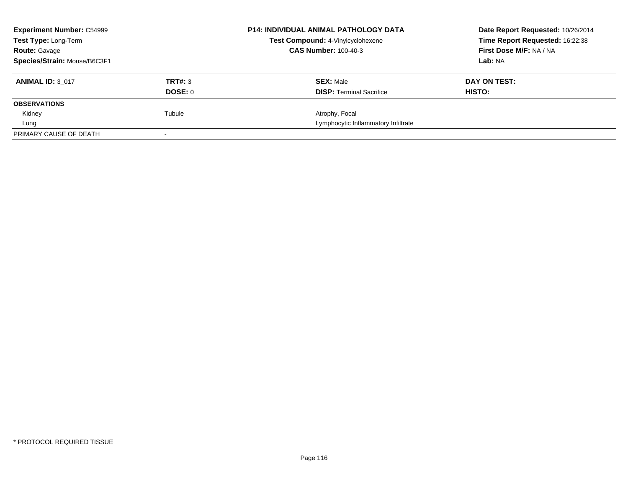| <b>Experiment Number: C54999</b> | <b>P14: INDIVIDUAL ANIMAL PATHOLOGY DATA</b> | Date Report Requested: 10/26/2014   |                                 |
|----------------------------------|----------------------------------------------|-------------------------------------|---------------------------------|
| Test Type: Long-Term             |                                              | Test Compound: 4-Vinylcyclohexene   | Time Report Requested: 16:22:38 |
| <b>Route: Gavage</b>             |                                              | <b>CAS Number: 100-40-3</b>         | First Dose M/F: NA / NA         |
| Species/Strain: Mouse/B6C3F1     |                                              |                                     | Lab: NA                         |
| <b>ANIMAL ID: 3 017</b>          | TRT#: 3                                      | <b>SEX: Male</b>                    | DAY ON TEST:                    |
|                                  | DOSE: 0                                      | <b>DISP:</b> Terminal Sacrifice     | <b>HISTO:</b>                   |
| <b>OBSERVATIONS</b>              |                                              |                                     |                                 |
| Kidney                           | Tubule                                       | Atrophy, Focal                      |                                 |
| Lung                             |                                              | Lymphocytic Inflammatory Infiltrate |                                 |
| PRIMARY CAUSE OF DEATH           |                                              |                                     |                                 |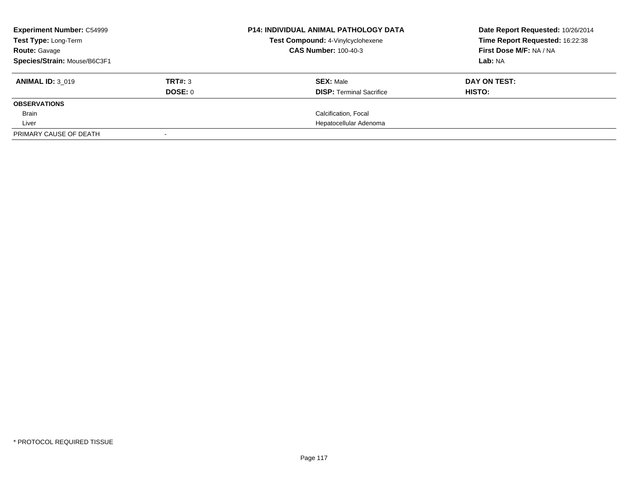| <b>Experiment Number: C54999</b><br>Test Type: Long-Term |         | <b>P14: INDIVIDUAL ANIMAL PATHOLOGY DATA</b><br>Test Compound: 4-Vinylcyclohexene | Date Report Requested: 10/26/2014 |
|----------------------------------------------------------|---------|-----------------------------------------------------------------------------------|-----------------------------------|
|                                                          |         |                                                                                   | Time Report Requested: 16:22:38   |
| <b>Route:</b> Gavage                                     |         | <b>CAS Number: 100-40-3</b>                                                       | First Dose M/F: NA / NA           |
| Species/Strain: Mouse/B6C3F1                             |         |                                                                                   | Lab: NA                           |
| <b>ANIMAL ID: 3 019</b>                                  | TRT#: 3 | <b>SEX: Male</b>                                                                  | DAY ON TEST:                      |
|                                                          | DOSE: 0 | <b>DISP:</b> Terminal Sacrifice                                                   | HISTO:                            |
| <b>OBSERVATIONS</b>                                      |         |                                                                                   |                                   |
| Brain                                                    |         | Calcification, Focal                                                              |                                   |
| Liver                                                    |         | Hepatocellular Adenoma                                                            |                                   |
| PRIMARY CAUSE OF DEATH                                   |         |                                                                                   |                                   |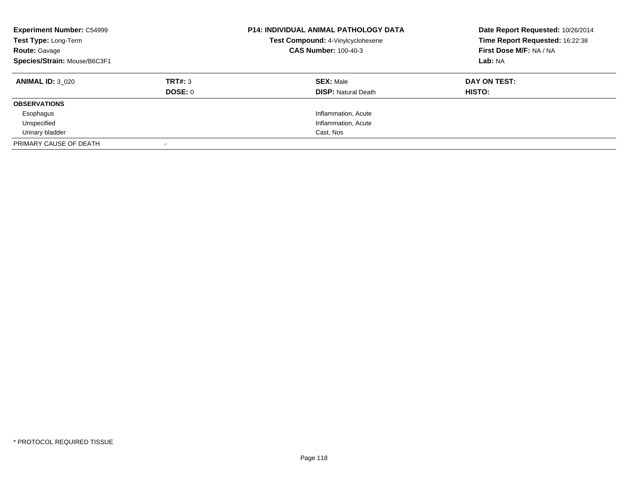| <b>Experiment Number: C54999</b><br>Test Type: Long-Term<br><b>Route: Gavage</b><br>Species/Strain: Mouse/B6C3F1 |                    | <b>P14: INDIVIDUAL ANIMAL PATHOLOGY DATA</b><br>Test Compound: 4-Vinylcyclohexene<br><b>CAS Number: 100-40-3</b> | Date Report Requested: 10/26/2014<br>Time Report Requested: 16:22:38<br>First Dose M/F: NA / NA<br>Lab: NA |
|------------------------------------------------------------------------------------------------------------------|--------------------|------------------------------------------------------------------------------------------------------------------|------------------------------------------------------------------------------------------------------------|
| <b>ANIMAL ID: 3 020</b>                                                                                          | TRT#: 3<br>DOSE: 0 | <b>SEX: Male</b><br><b>DISP:</b> Natural Death                                                                   | DAY ON TEST:<br>HISTO:                                                                                     |
| <b>OBSERVATIONS</b>                                                                                              |                    |                                                                                                                  |                                                                                                            |
| Esophagus                                                                                                        |                    | Inflammation, Acute                                                                                              |                                                                                                            |
| Unspecified                                                                                                      |                    | Inflammation, Acute                                                                                              |                                                                                                            |
| Urinary bladder                                                                                                  |                    | Cast, Nos                                                                                                        |                                                                                                            |
| PRIMARY CAUSE OF DEATH                                                                                           |                    |                                                                                                                  |                                                                                                            |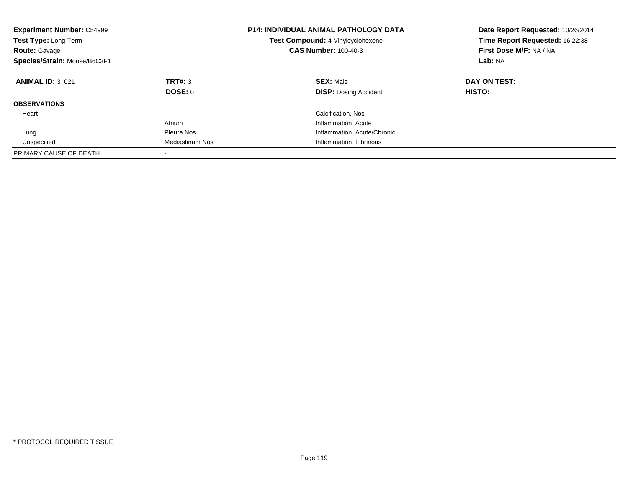| <b>Experiment Number: C54999</b><br><b>Test Type: Long-Term</b><br><b>Route: Gavage</b><br>Species/Strain: Mouse/B6C3F1 |                        | <b>P14: INDIVIDUAL ANIMAL PATHOLOGY DATA</b><br>Test Compound: 4-Vinylcyclohexene<br><b>CAS Number: 100-40-3</b> | Date Report Requested: 10/26/2014<br>Time Report Requested: 16:22:38<br>First Dose M/F: NA / NA<br>Lab: NA |
|-------------------------------------------------------------------------------------------------------------------------|------------------------|------------------------------------------------------------------------------------------------------------------|------------------------------------------------------------------------------------------------------------|
| <b>ANIMAL ID: 3 021</b>                                                                                                 | TRT#: 3<br>DOSE: 0     | <b>SEX: Male</b><br><b>DISP:</b> Dosing Accident                                                                 | DAY ON TEST:<br>HISTO:                                                                                     |
| <b>OBSERVATIONS</b>                                                                                                     |                        |                                                                                                                  |                                                                                                            |
| Heart                                                                                                                   |                        | Calcification, Nos                                                                                               |                                                                                                            |
|                                                                                                                         | Atrium                 | Inflammation, Acute                                                                                              |                                                                                                            |
| Lung                                                                                                                    | Pleura Nos             | Inflammation, Acute/Chronic                                                                                      |                                                                                                            |
| Unspecified                                                                                                             | <b>Mediastinum Nos</b> | Inflammation, Fibrinous                                                                                          |                                                                                                            |
| PRIMARY CAUSE OF DEATH                                                                                                  |                        |                                                                                                                  |                                                                                                            |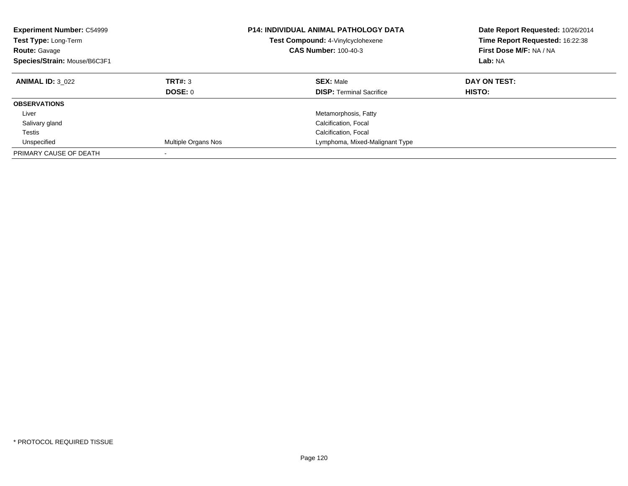| <b>Experiment Number: C54999</b><br><b>Test Type: Long-Term</b><br><b>Route: Gavage</b><br>Species/Strain: Mouse/B6C3F1 |                     | <b>P14: INDIVIDUAL ANIMAL PATHOLOGY DATA</b><br>Test Compound: 4-Vinylcyclohexene<br><b>CAS Number: 100-40-3</b> | Date Report Requested: 10/26/2014<br>Time Report Requested: 16:22:38<br>First Dose M/F: NA / NA<br>Lab: NA |
|-------------------------------------------------------------------------------------------------------------------------|---------------------|------------------------------------------------------------------------------------------------------------------|------------------------------------------------------------------------------------------------------------|
| <b>ANIMAL ID: 3 022</b>                                                                                                 | TRT#: 3<br>DOSE: 0  | <b>SEX: Male</b><br><b>DISP:</b> Terminal Sacrifice                                                              | DAY ON TEST:<br>HISTO:                                                                                     |
| <b>OBSERVATIONS</b>                                                                                                     |                     |                                                                                                                  |                                                                                                            |
| Liver                                                                                                                   |                     | Metamorphosis, Fatty                                                                                             |                                                                                                            |
| Salivary gland                                                                                                          |                     | Calcification, Focal                                                                                             |                                                                                                            |
| Testis                                                                                                                  |                     | Calcification, Focal                                                                                             |                                                                                                            |
| Unspecified                                                                                                             | Multiple Organs Nos | Lymphoma, Mixed-Malignant Type                                                                                   |                                                                                                            |
| PRIMARY CAUSE OF DEATH                                                                                                  |                     |                                                                                                                  |                                                                                                            |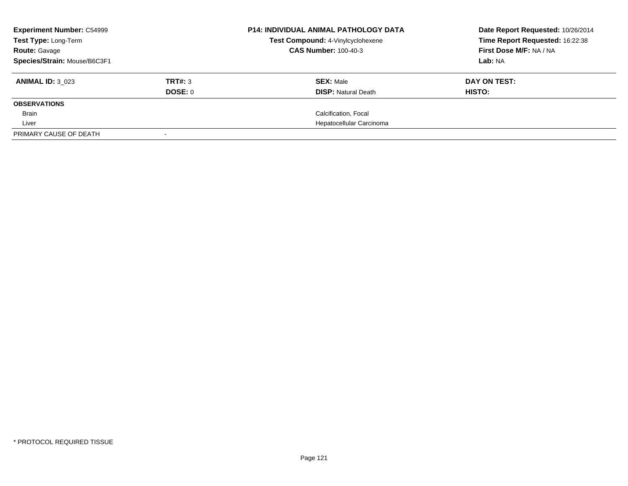| <b>Experiment Number: C54999</b><br>Test Type: Long-Term |         | <b>P14: INDIVIDUAL ANIMAL PATHOLOGY DATA</b><br>Test Compound: 4-Vinylcyclohexene | Date Report Requested: 10/26/2014<br>Time Report Requested: 16:22:38 |
|----------------------------------------------------------|---------|-----------------------------------------------------------------------------------|----------------------------------------------------------------------|
| <b>Route: Gavage</b>                                     |         | <b>CAS Number: 100-40-3</b>                                                       | First Dose M/F: NA / NA                                              |
| Species/Strain: Mouse/B6C3F1                             |         |                                                                                   | Lab: NA                                                              |
| <b>ANIMAL ID: 3 023</b>                                  | TRT#: 3 | <b>SEX: Male</b>                                                                  | DAY ON TEST:                                                         |
|                                                          | DOSE: 0 | <b>DISP:</b> Natural Death                                                        | HISTO:                                                               |
| <b>OBSERVATIONS</b>                                      |         |                                                                                   |                                                                      |
| <b>Brain</b>                                             |         | Calcification, Focal                                                              |                                                                      |
| Liver                                                    |         | Hepatocellular Carcinoma                                                          |                                                                      |
| PRIMARY CAUSE OF DEATH                                   |         |                                                                                   |                                                                      |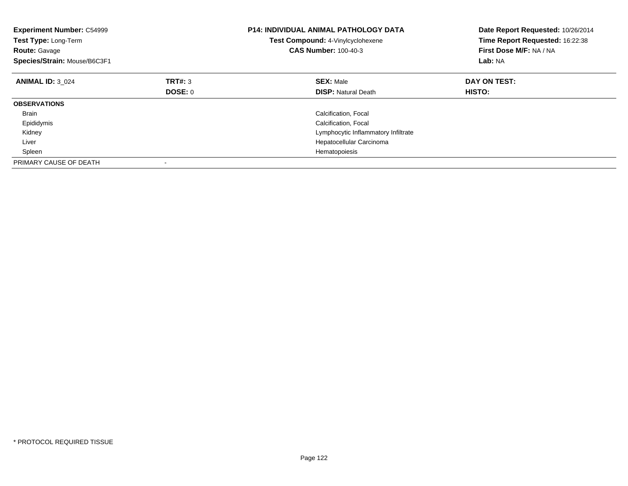| <b>Experiment Number: C54999</b><br>Test Type: Long-Term<br><b>Route: Gavage</b><br>Species/Strain: Mouse/B6C3F1 |         | <b>P14: INDIVIDUAL ANIMAL PATHOLOGY DATA</b><br>Test Compound: 4-Vinylcyclohexene<br><b>CAS Number: 100-40-3</b> | Date Report Requested: 10/26/2014<br>Time Report Requested: 16:22:38<br>First Dose M/F: NA / NA<br>Lab: NA |
|------------------------------------------------------------------------------------------------------------------|---------|------------------------------------------------------------------------------------------------------------------|------------------------------------------------------------------------------------------------------------|
| <b>ANIMAL ID: 3 024</b>                                                                                          | TRT#: 3 | <b>SEX: Male</b>                                                                                                 | DAY ON TEST:                                                                                               |
|                                                                                                                  | DOSE: 0 | <b>DISP:</b> Natural Death                                                                                       | <b>HISTO:</b>                                                                                              |
| <b>OBSERVATIONS</b>                                                                                              |         |                                                                                                                  |                                                                                                            |
| <b>Brain</b>                                                                                                     |         | Calcification, Focal                                                                                             |                                                                                                            |
| Epididymis                                                                                                       |         | Calcification, Focal                                                                                             |                                                                                                            |
| Kidney                                                                                                           |         | Lymphocytic Inflammatory Infiltrate                                                                              |                                                                                                            |
| Liver                                                                                                            |         | Hepatocellular Carcinoma                                                                                         |                                                                                                            |
| Spleen                                                                                                           |         | Hematopoiesis                                                                                                    |                                                                                                            |
| PRIMARY CAUSE OF DEATH                                                                                           |         |                                                                                                                  |                                                                                                            |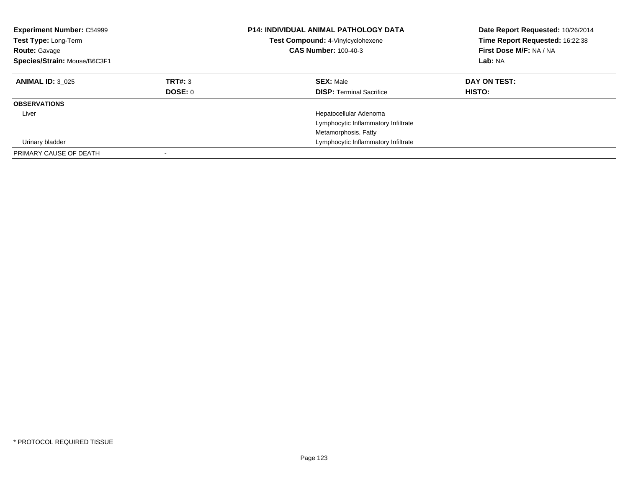| <b>Experiment Number: C54999</b><br><b>Test Type: Long-Term</b><br><b>Route: Gavage</b><br>Species/Strain: Mouse/B6C3F1 |                    | <b>P14: INDIVIDUAL ANIMAL PATHOLOGY DATA</b><br>Test Compound: 4-Vinylcyclohexene<br><b>CAS Number: 100-40-3</b> | Date Report Requested: 10/26/2014<br>Time Report Requested: 16:22:38<br>First Dose M/F: NA / NA<br>Lab: NA |
|-------------------------------------------------------------------------------------------------------------------------|--------------------|------------------------------------------------------------------------------------------------------------------|------------------------------------------------------------------------------------------------------------|
| <b>ANIMAL ID: 3 025</b>                                                                                                 | TRT#: 3<br>DOSE: 0 | <b>SEX: Male</b><br><b>DISP:</b> Terminal Sacrifice                                                              | DAY ON TEST:<br>HISTO:                                                                                     |
| <b>OBSERVATIONS</b>                                                                                                     |                    |                                                                                                                  |                                                                                                            |
| Liver                                                                                                                   |                    | Hepatocellular Adenoma<br>Lymphocytic Inflammatory Infiltrate                                                    |                                                                                                            |
|                                                                                                                         |                    | Metamorphosis, Fatty                                                                                             |                                                                                                            |
| Urinary bladder                                                                                                         |                    | Lymphocytic Inflammatory Infiltrate                                                                              |                                                                                                            |
| PRIMARY CAUSE OF DEATH                                                                                                  |                    |                                                                                                                  |                                                                                                            |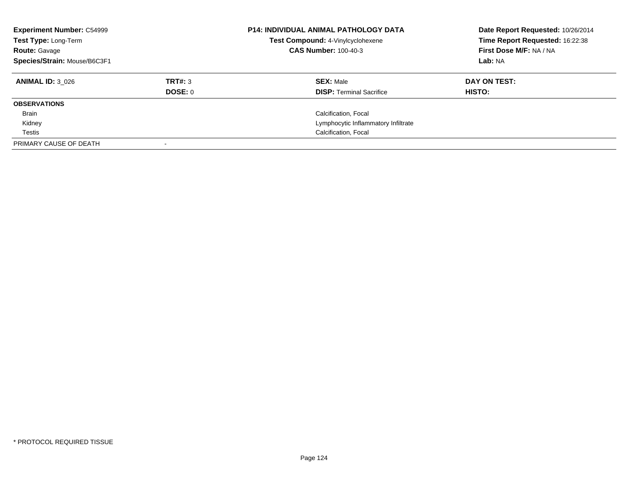| <b>Experiment Number: C54999</b><br>Test Type: Long-Term<br><b>Route: Gavage</b><br>Species/Strain: Mouse/B6C3F1 |         | <b>P14: INDIVIDUAL ANIMAL PATHOLOGY DATA</b><br>Test Compound: 4-Vinylcyclohexene<br><b>CAS Number: 100-40-3</b> | Date Report Requested: 10/26/2014<br>Time Report Requested: 16:22:38<br>First Dose M/F: NA / NA<br>Lab: NA |
|------------------------------------------------------------------------------------------------------------------|---------|------------------------------------------------------------------------------------------------------------------|------------------------------------------------------------------------------------------------------------|
| <b>ANIMAL ID: 3 026</b>                                                                                          | TRT#: 3 | <b>SEX: Male</b>                                                                                                 | DAY ON TEST:                                                                                               |
| <b>OBSERVATIONS</b>                                                                                              | DOSE: 0 | <b>DISP:</b> Terminal Sacrifice                                                                                  | HISTO:                                                                                                     |
| Brain                                                                                                            |         | Calcification, Focal                                                                                             |                                                                                                            |
| Kidney                                                                                                           |         | Lymphocytic Inflammatory Infiltrate                                                                              |                                                                                                            |
| Testis                                                                                                           |         | Calcification, Focal                                                                                             |                                                                                                            |
| PRIMARY CAUSE OF DEATH                                                                                           |         |                                                                                                                  |                                                                                                            |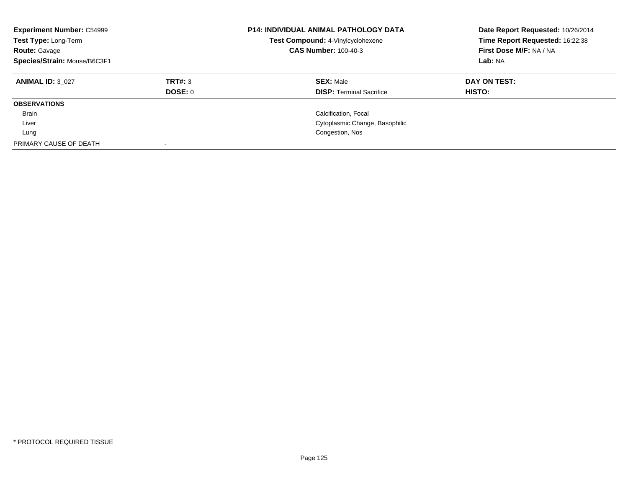| <b>Experiment Number: C54999</b><br>Test Type: Long-Term<br><b>Route: Gavage</b><br>Species/Strain: Mouse/B6C3F1 |                           | <b>P14: INDIVIDUAL ANIMAL PATHOLOGY DATA</b><br>Test Compound: 4-Vinylcyclohexene<br><b>CAS Number: 100-40-3</b> | Date Report Requested: 10/26/2014<br>Time Report Requested: 16:22:38<br>First Dose M/F: NA / NA<br>Lab: NA |
|------------------------------------------------------------------------------------------------------------------|---------------------------|------------------------------------------------------------------------------------------------------------------|------------------------------------------------------------------------------------------------------------|
| <b>ANIMAL ID: 3 027</b>                                                                                          | TRT#: 3<br><b>DOSE: 0</b> | <b>SEX: Male</b><br><b>DISP:</b> Terminal Sacrifice                                                              | DAY ON TEST:<br><b>HISTO:</b>                                                                              |
| <b>OBSERVATIONS</b>                                                                                              |                           |                                                                                                                  |                                                                                                            |
| Brain                                                                                                            |                           | Calcification, Focal                                                                                             |                                                                                                            |
| Liver                                                                                                            |                           | Cytoplasmic Change, Basophilic                                                                                   |                                                                                                            |
| Lung                                                                                                             |                           | Congestion, Nos                                                                                                  |                                                                                                            |
| PRIMARY CAUSE OF DEATH                                                                                           |                           |                                                                                                                  |                                                                                                            |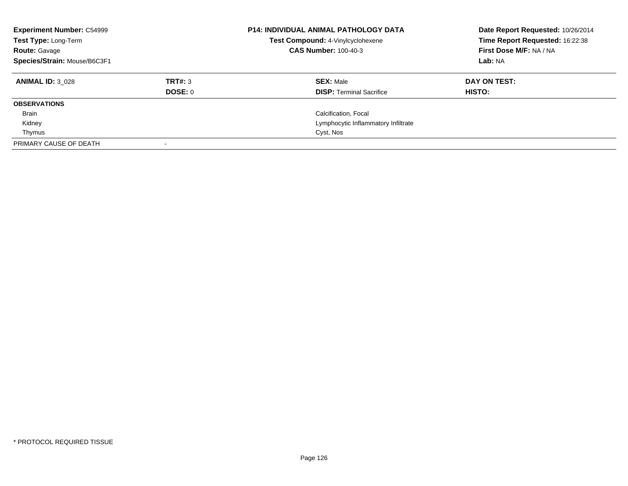| <b>Experiment Number: C54999</b><br>Test Type: Long-Term<br><b>Route: Gavage</b><br>Species/Strain: Mouse/B6C3F1 |                           | <b>P14: INDIVIDUAL ANIMAL PATHOLOGY DATA</b><br>Test Compound: 4-Vinylcyclohexene<br><b>CAS Number: 100-40-3</b> | Date Report Requested: 10/26/2014<br>Time Report Requested: 16:22:38<br>First Dose M/F: NA / NA<br>Lab: NA |
|------------------------------------------------------------------------------------------------------------------|---------------------------|------------------------------------------------------------------------------------------------------------------|------------------------------------------------------------------------------------------------------------|
| <b>ANIMAL ID: 3 028</b>                                                                                          | TRT#: 3<br><b>DOSE: 0</b> | <b>SEX: Male</b><br><b>DISP: Terminal Sacrifice</b>                                                              | DAY ON TEST:<br>HISTO:                                                                                     |
| <b>OBSERVATIONS</b>                                                                                              |                           |                                                                                                                  |                                                                                                            |
| Brain                                                                                                            |                           | Calcification, Focal                                                                                             |                                                                                                            |
| Kidney                                                                                                           |                           | Lymphocytic Inflammatory Infiltrate                                                                              |                                                                                                            |
| Thymus                                                                                                           |                           | Cyst, Nos                                                                                                        |                                                                                                            |
| PRIMARY CAUSE OF DEATH                                                                                           |                           |                                                                                                                  |                                                                                                            |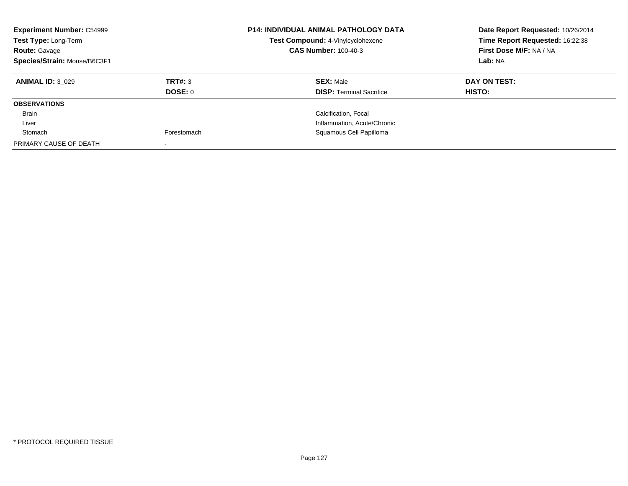| <b>Experiment Number: C54999</b><br>Test Type: Long-Term<br><b>Route: Gavage</b><br>Species/Strain: Mouse/B6C3F1 |             | <b>P14: INDIVIDUAL ANIMAL PATHOLOGY DATA</b><br>Test Compound: 4-Vinylcyclohexene<br><b>CAS Number: 100-40-3</b> | Date Report Requested: 10/26/2014<br>Time Report Requested: 16:22:38<br>First Dose M/F: NA / NA<br>Lab: NA |
|------------------------------------------------------------------------------------------------------------------|-------------|------------------------------------------------------------------------------------------------------------------|------------------------------------------------------------------------------------------------------------|
|                                                                                                                  |             |                                                                                                                  |                                                                                                            |
| <b>ANIMAL ID: 3 029</b>                                                                                          | TRT#: 3     | <b>SEX: Male</b>                                                                                                 | DAY ON TEST:                                                                                               |
|                                                                                                                  | DOSE: 0     | <b>DISP: Terminal Sacrifice</b>                                                                                  | <b>HISTO:</b>                                                                                              |
| <b>OBSERVATIONS</b>                                                                                              |             |                                                                                                                  |                                                                                                            |
| Brain                                                                                                            |             | Calcification, Focal                                                                                             |                                                                                                            |
| Liver                                                                                                            |             | Inflammation, Acute/Chronic                                                                                      |                                                                                                            |
| Stomach                                                                                                          | Forestomach | Squamous Cell Papilloma                                                                                          |                                                                                                            |
| PRIMARY CAUSE OF DEATH                                                                                           |             |                                                                                                                  |                                                                                                            |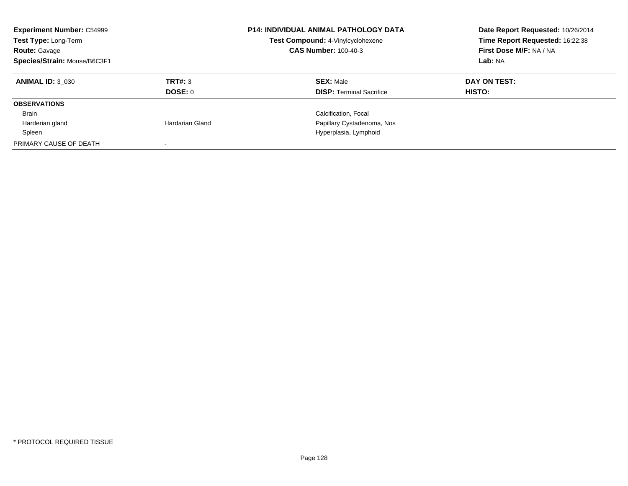| <b>Experiment Number: C54999</b><br>Test Type: Long-Term<br><b>Route: Gavage</b><br>Species/Strain: Mouse/B6C3F1 |                 | <b>P14: INDIVIDUAL ANIMAL PATHOLOGY DATA</b><br>Test Compound: 4-Vinylcyclohexene<br><b>CAS Number: 100-40-3</b> | Date Report Requested: 10/26/2014<br>Time Report Requested: 16:22:38<br>First Dose M/F: NA / NA<br>Lab: NA |
|------------------------------------------------------------------------------------------------------------------|-----------------|------------------------------------------------------------------------------------------------------------------|------------------------------------------------------------------------------------------------------------|
|                                                                                                                  |                 |                                                                                                                  |                                                                                                            |
| <b>ANIMAL ID: 3 030</b>                                                                                          | TRT#: 3         | <b>SEX: Male</b>                                                                                                 | DAY ON TEST:                                                                                               |
|                                                                                                                  | <b>DOSE: 0</b>  | <b>DISP: Terminal Sacrifice</b>                                                                                  | HISTO:                                                                                                     |
| <b>OBSERVATIONS</b>                                                                                              |                 |                                                                                                                  |                                                                                                            |
| Brain                                                                                                            |                 | Calcification, Focal                                                                                             |                                                                                                            |
| Harderian gland                                                                                                  | Hardarian Gland | Papillary Cystadenoma, Nos                                                                                       |                                                                                                            |
| Spleen                                                                                                           |                 | Hyperplasia, Lymphoid                                                                                            |                                                                                                            |
| PRIMARY CAUSE OF DEATH                                                                                           |                 |                                                                                                                  |                                                                                                            |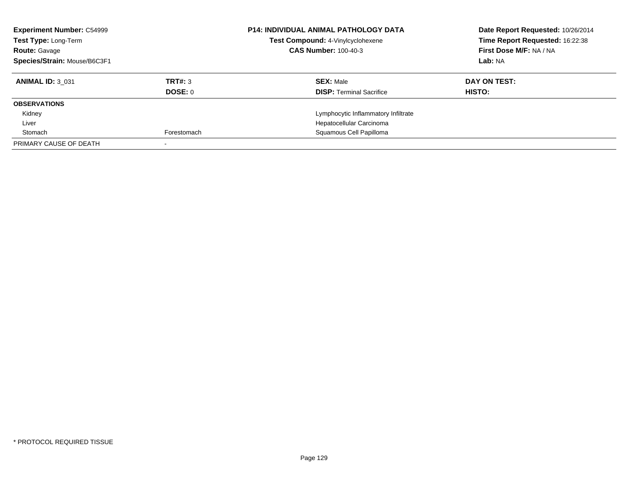| <b>Experiment Number: C54999</b><br>Test Type: Long-Term<br><b>Route: Gavage</b><br>Species/Strain: Mouse/B6C3F1 |                | <b>P14: INDIVIDUAL ANIMAL PATHOLOGY DATA</b><br>Test Compound: 4-Vinylcyclohexene<br><b>CAS Number: 100-40-3</b> | Date Report Requested: 10/26/2014<br>Time Report Requested: 16:22:38<br>First Dose M/F: NA / NA<br>Lab: NA |
|------------------------------------------------------------------------------------------------------------------|----------------|------------------------------------------------------------------------------------------------------------------|------------------------------------------------------------------------------------------------------------|
|                                                                                                                  |                |                                                                                                                  |                                                                                                            |
| <b>ANIMAL ID: 3 031</b>                                                                                          | TRT#: 3        | <b>SEX: Male</b>                                                                                                 | DAY ON TEST:                                                                                               |
|                                                                                                                  | <b>DOSE: 0</b> | <b>DISP: Terminal Sacrifice</b>                                                                                  | HISTO:                                                                                                     |
| <b>OBSERVATIONS</b>                                                                                              |                |                                                                                                                  |                                                                                                            |
| Kidney                                                                                                           |                | Lymphocytic Inflammatory Infiltrate                                                                              |                                                                                                            |
| Liver                                                                                                            |                | Hepatocellular Carcinoma                                                                                         |                                                                                                            |
| Stomach                                                                                                          | Forestomach    | Squamous Cell Papilloma                                                                                          |                                                                                                            |
| PRIMARY CAUSE OF DEATH                                                                                           |                |                                                                                                                  |                                                                                                            |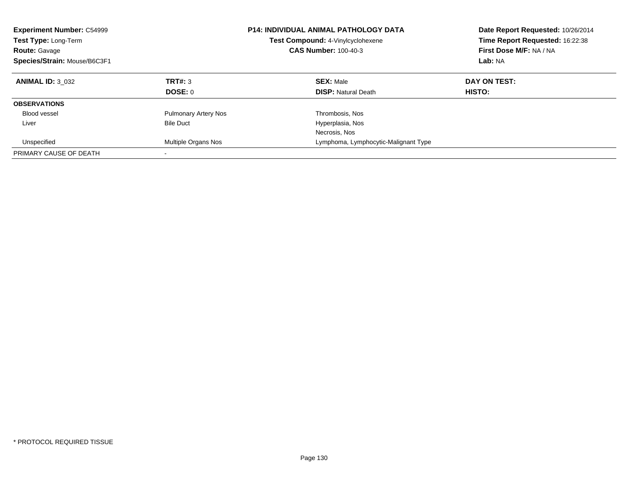| <b>Experiment Number: C54999</b><br>Test Type: Long-Term<br><b>Route: Gavage</b><br>Species/Strain: Mouse/B6C3F1 |                             | <b>P14: INDIVIDUAL ANIMAL PATHOLOGY DATA</b><br>Test Compound: 4-Vinylcyclohexene<br><b>CAS Number: 100-40-3</b> | Date Report Requested: 10/26/2014<br>Time Report Requested: 16:22:38<br>First Dose M/F: NA / NA<br>Lab: NA |
|------------------------------------------------------------------------------------------------------------------|-----------------------------|------------------------------------------------------------------------------------------------------------------|------------------------------------------------------------------------------------------------------------|
| <b>ANIMAL ID: 3 032</b>                                                                                          | TRT#: 3                     | <b>SEX: Male</b>                                                                                                 | DAY ON TEST:                                                                                               |
|                                                                                                                  | DOSE: 0                     | <b>DISP:</b> Natural Death                                                                                       | HISTO:                                                                                                     |
| <b>OBSERVATIONS</b>                                                                                              |                             |                                                                                                                  |                                                                                                            |
| <b>Blood vessel</b>                                                                                              | <b>Pulmonary Artery Nos</b> | Thrombosis, Nos                                                                                                  |                                                                                                            |
| Liver                                                                                                            | <b>Bile Duct</b>            | Hyperplasia, Nos                                                                                                 |                                                                                                            |
|                                                                                                                  |                             | Necrosis, Nos                                                                                                    |                                                                                                            |
| Unspecified                                                                                                      | Multiple Organs Nos         | Lymphoma, Lymphocytic-Malignant Type                                                                             |                                                                                                            |
| PRIMARY CAUSE OF DEATH                                                                                           | $\overline{\phantom{a}}$    |                                                                                                                  |                                                                                                            |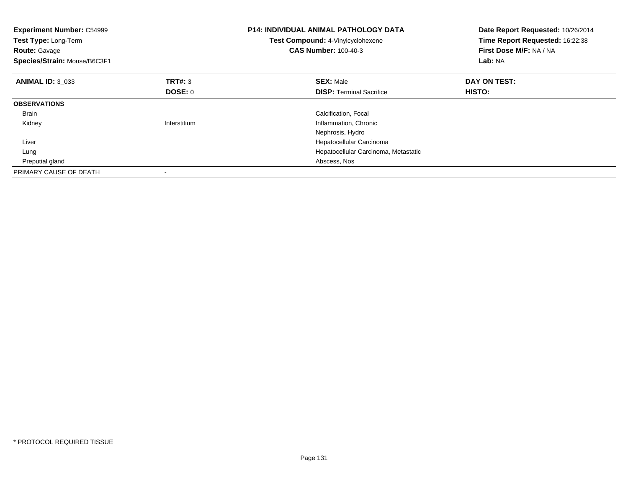| <b>Experiment Number: C54999</b><br>Test Type: Long-Term<br><b>Route: Gavage</b><br>Species/Strain: Mouse/B6C3F1 |              | <b>P14: INDIVIDUAL ANIMAL PATHOLOGY DATA</b><br>Test Compound: 4-Vinylcyclohexene<br><b>CAS Number: 100-40-3</b> | Date Report Requested: 10/26/2014<br>Time Report Requested: 16:22:38<br>First Dose M/F: NA / NA<br>Lab: NA |
|------------------------------------------------------------------------------------------------------------------|--------------|------------------------------------------------------------------------------------------------------------------|------------------------------------------------------------------------------------------------------------|
| <b>ANIMAL ID: 3 033</b>                                                                                          | TRT#: 3      | <b>SEX: Male</b>                                                                                                 | DAY ON TEST:                                                                                               |
|                                                                                                                  | DOSE: 0      | <b>DISP:</b> Terminal Sacrifice                                                                                  | HISTO:                                                                                                     |
| <b>OBSERVATIONS</b>                                                                                              |              |                                                                                                                  |                                                                                                            |
| <b>Brain</b>                                                                                                     |              | Calcification, Focal                                                                                             |                                                                                                            |
| Kidney                                                                                                           | Interstitium | Inflammation, Chronic                                                                                            |                                                                                                            |
|                                                                                                                  |              | Nephrosis, Hydro                                                                                                 |                                                                                                            |
| Liver                                                                                                            |              | Hepatocellular Carcinoma                                                                                         |                                                                                                            |
| Lung                                                                                                             |              | Hepatocellular Carcinoma, Metastatic                                                                             |                                                                                                            |
| Preputial gland                                                                                                  |              | Abscess, Nos                                                                                                     |                                                                                                            |
| PRIMARY CAUSE OF DEATH                                                                                           |              |                                                                                                                  |                                                                                                            |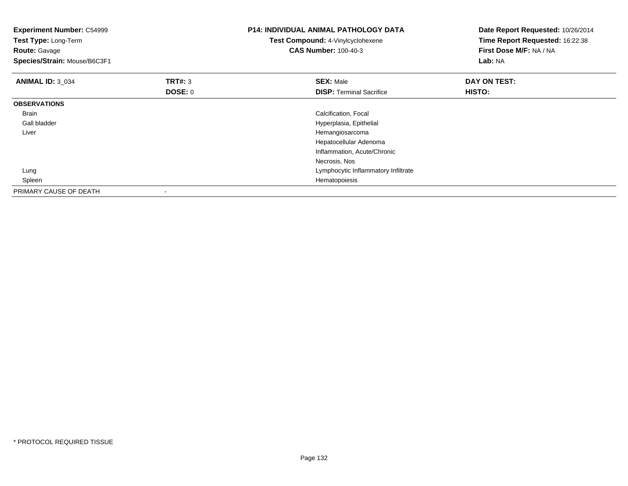| <b>Experiment Number: C54999</b><br>Test Type: Long-Term<br><b>Route: Gavage</b><br>Species/Strain: Mouse/B6C3F1 |                           | <b>P14: INDIVIDUAL ANIMAL PATHOLOGY DATA</b><br>Test Compound: 4-Vinylcyclohexene<br><b>CAS Number: 100-40-3</b> | Date Report Requested: 10/26/2014<br>Time Report Requested: 16:22:38<br>First Dose M/F: NA / NA<br>Lab: NA |
|------------------------------------------------------------------------------------------------------------------|---------------------------|------------------------------------------------------------------------------------------------------------------|------------------------------------------------------------------------------------------------------------|
| <b>ANIMAL ID: 3 034</b>                                                                                          | TRT#: 3<br><b>DOSE: 0</b> | <b>SEX: Male</b><br><b>DISP:</b> Terminal Sacrifice                                                              | DAY ON TEST:<br>HISTO:                                                                                     |
| <b>OBSERVATIONS</b>                                                                                              |                           |                                                                                                                  |                                                                                                            |
| <b>Brain</b>                                                                                                     |                           | Calcification, Focal                                                                                             |                                                                                                            |
| Gall bladder                                                                                                     |                           | Hyperplasia, Epithelial                                                                                          |                                                                                                            |
| Liver                                                                                                            |                           | Hemangiosarcoma                                                                                                  |                                                                                                            |
|                                                                                                                  |                           | Hepatocellular Adenoma                                                                                           |                                                                                                            |
|                                                                                                                  |                           | Inflammation, Acute/Chronic                                                                                      |                                                                                                            |
|                                                                                                                  |                           | Necrosis, Nos                                                                                                    |                                                                                                            |
| Lung                                                                                                             |                           | Lymphocytic Inflammatory Infiltrate                                                                              |                                                                                                            |
| Spleen                                                                                                           |                           | Hematopoiesis                                                                                                    |                                                                                                            |
| PRIMARY CAUSE OF DEATH                                                                                           |                           |                                                                                                                  |                                                                                                            |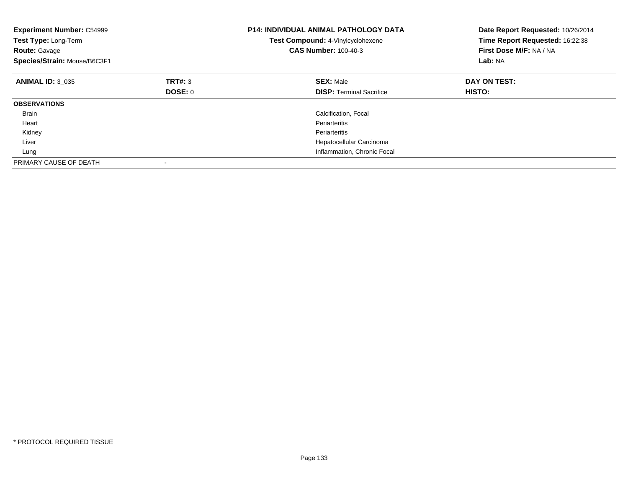| <b>Experiment Number: C54999</b><br>Test Type: Long-Term<br><b>Route: Gavage</b><br>Species/Strain: Mouse/B6C3F1 |         | <b>P14: INDIVIDUAL ANIMAL PATHOLOGY DATA</b><br>Test Compound: 4-Vinylcyclohexene<br><b>CAS Number: 100-40-3</b> | Date Report Requested: 10/26/2014<br>Time Report Requested: 16:22:38<br>First Dose M/F: NA / NA<br>Lab: NA |
|------------------------------------------------------------------------------------------------------------------|---------|------------------------------------------------------------------------------------------------------------------|------------------------------------------------------------------------------------------------------------|
| <b>ANIMAL ID: 3 035</b>                                                                                          | TRT#: 3 | <b>SEX: Male</b>                                                                                                 | DAY ON TEST:                                                                                               |
|                                                                                                                  | DOSE: 0 | <b>DISP:</b> Terminal Sacrifice                                                                                  | HISTO:                                                                                                     |
| <b>OBSERVATIONS</b>                                                                                              |         |                                                                                                                  |                                                                                                            |
| <b>Brain</b>                                                                                                     |         | Calcification, Focal                                                                                             |                                                                                                            |
| Heart                                                                                                            |         | Periarteritis                                                                                                    |                                                                                                            |
| Kidney                                                                                                           |         | Periarteritis                                                                                                    |                                                                                                            |
| Liver                                                                                                            |         | Hepatocellular Carcinoma                                                                                         |                                                                                                            |
| Lung                                                                                                             |         | Inflammation, Chronic Focal                                                                                      |                                                                                                            |
| PRIMARY CAUSE OF DEATH                                                                                           |         |                                                                                                                  |                                                                                                            |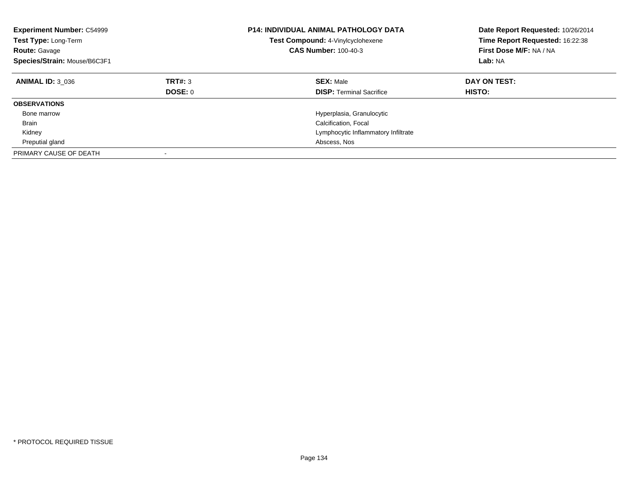| <b>Experiment Number: C54999</b><br><b>Test Type: Long-Term</b><br><b>Route: Gavage</b><br>Species/Strain: Mouse/B6C3F1 |                    | <b>P14: INDIVIDUAL ANIMAL PATHOLOGY DATA</b><br>Test Compound: 4-Vinylcyclohexene<br><b>CAS Number: 100-40-3</b> | Date Report Requested: 10/26/2014<br>Time Report Requested: 16:22:38<br>First Dose M/F: NA / NA<br>Lab: NA |
|-------------------------------------------------------------------------------------------------------------------------|--------------------|------------------------------------------------------------------------------------------------------------------|------------------------------------------------------------------------------------------------------------|
| <b>ANIMAL ID: 3 036</b>                                                                                                 | TRT#: 3<br>DOSE: 0 | <b>SEX: Male</b><br><b>DISP:</b> Terminal Sacrifice                                                              | DAY ON TEST:<br>HISTO:                                                                                     |
| <b>OBSERVATIONS</b>                                                                                                     |                    |                                                                                                                  |                                                                                                            |
| Bone marrow                                                                                                             |                    | Hyperplasia, Granulocytic                                                                                        |                                                                                                            |
| <b>Brain</b>                                                                                                            |                    | Calcification, Focal                                                                                             |                                                                                                            |
| Kidney                                                                                                                  |                    | Lymphocytic Inflammatory Infiltrate                                                                              |                                                                                                            |
| Preputial gland                                                                                                         |                    | Abscess, Nos                                                                                                     |                                                                                                            |
| PRIMARY CAUSE OF DEATH                                                                                                  |                    |                                                                                                                  |                                                                                                            |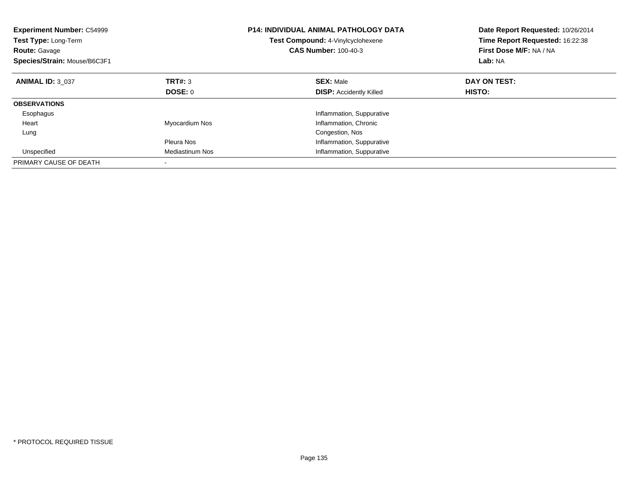| <b>Experiment Number: C54999</b><br><b>Test Type: Long-Term</b><br><b>Route: Gavage</b><br>Species/Strain: Mouse/B6C3F1 |                        | <b>P14: INDIVIDUAL ANIMAL PATHOLOGY DATA</b><br>Test Compound: 4-Vinylcyclohexene<br><b>CAS Number: 100-40-3</b> | Date Report Requested: 10/26/2014<br>Time Report Requested: 16:22:38<br>First Dose M/F: NA / NA<br>Lab: NA |
|-------------------------------------------------------------------------------------------------------------------------|------------------------|------------------------------------------------------------------------------------------------------------------|------------------------------------------------------------------------------------------------------------|
| <b>ANIMAL ID: 3 037</b>                                                                                                 | TRT#: 3                | <b>SEX: Male</b>                                                                                                 | DAY ON TEST:                                                                                               |
|                                                                                                                         | DOSE: 0                | <b>DISP: Accidently Killed</b>                                                                                   | HISTO:                                                                                                     |
| <b>OBSERVATIONS</b>                                                                                                     |                        |                                                                                                                  |                                                                                                            |
| Esophagus                                                                                                               |                        | Inflammation, Suppurative                                                                                        |                                                                                                            |
| Heart                                                                                                                   | Myocardium Nos         | Inflammation, Chronic                                                                                            |                                                                                                            |
| Lung                                                                                                                    |                        | Congestion, Nos                                                                                                  |                                                                                                            |
|                                                                                                                         | Pleura Nos             | Inflammation, Suppurative                                                                                        |                                                                                                            |
| Unspecified                                                                                                             | <b>Mediastinum Nos</b> | Inflammation, Suppurative                                                                                        |                                                                                                            |
| PRIMARY CAUSE OF DEATH                                                                                                  |                        |                                                                                                                  |                                                                                                            |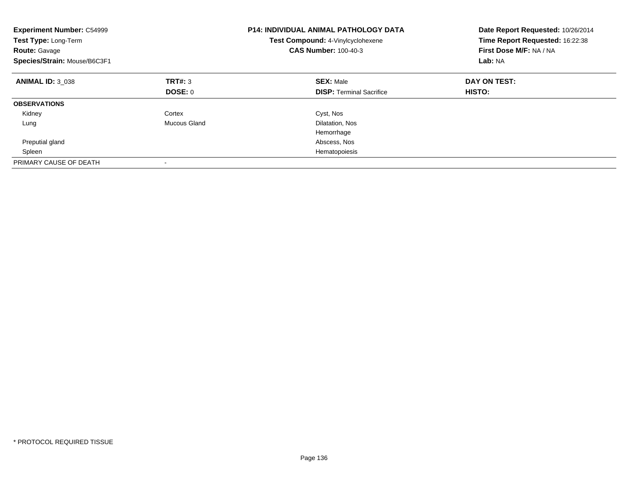| <b>Experiment Number: C54999</b><br>Test Type: Long-Term<br><b>Route: Gavage</b><br>Species/Strain: Mouse/B6C3F1 |              | <b>P14: INDIVIDUAL ANIMAL PATHOLOGY DATA</b><br>Test Compound: 4-Vinylcyclohexene<br><b>CAS Number: 100-40-3</b> | Date Report Requested: 10/26/2014<br>Time Report Requested: 16:22:38<br>First Dose M/F: NA / NA<br>Lab: NA |
|------------------------------------------------------------------------------------------------------------------|--------------|------------------------------------------------------------------------------------------------------------------|------------------------------------------------------------------------------------------------------------|
| <b>ANIMAL ID: 3 038</b>                                                                                          | TRT#: 3      | <b>SEX: Male</b>                                                                                                 | DAY ON TEST:                                                                                               |
|                                                                                                                  | DOSE: 0      | <b>DISP:</b> Terminal Sacrifice                                                                                  | <b>HISTO:</b>                                                                                              |
| <b>OBSERVATIONS</b>                                                                                              |              |                                                                                                                  |                                                                                                            |
| Kidney                                                                                                           | Cortex       | Cyst, Nos                                                                                                        |                                                                                                            |
| Lung                                                                                                             | Mucous Gland | Dilatation, Nos                                                                                                  |                                                                                                            |
|                                                                                                                  |              | Hemorrhage                                                                                                       |                                                                                                            |
| Preputial gland                                                                                                  |              | Abscess, Nos                                                                                                     |                                                                                                            |
| Spleen                                                                                                           |              | Hematopoiesis                                                                                                    |                                                                                                            |
| PRIMARY CAUSE OF DEATH                                                                                           |              |                                                                                                                  |                                                                                                            |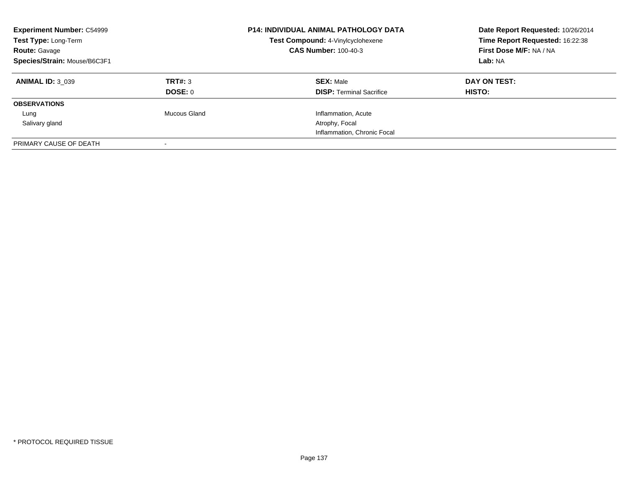| <b>Experiment Number: C54999</b><br>Test Type: Long-Term<br><b>Route: Gavage</b><br>Species/Strain: Mouse/B6C3F1 |                           | P14: INDIVIDUAL ANIMAL PATHOLOGY DATA<br>Test Compound: 4-Vinylcyclohexene<br><b>CAS Number: 100-40-3</b> | Date Report Requested: 10/26/2014<br>Time Report Requested: 16:22:38<br>First Dose M/F: NA / NA<br>Lab: NA |
|------------------------------------------------------------------------------------------------------------------|---------------------------|-----------------------------------------------------------------------------------------------------------|------------------------------------------------------------------------------------------------------------|
| <b>ANIMAL ID: 3 039</b>                                                                                          | TRT#: 3<br><b>DOSE: 0</b> | <b>SEX: Male</b><br><b>DISP:</b> Terminal Sacrifice                                                       | DAY ON TEST:<br><b>HISTO:</b>                                                                              |
| <b>OBSERVATIONS</b>                                                                                              |                           |                                                                                                           |                                                                                                            |
| Lung                                                                                                             | Mucous Gland              | Inflammation, Acute                                                                                       |                                                                                                            |
| Salivary gland                                                                                                   |                           | Atrophy, Focal                                                                                            |                                                                                                            |
|                                                                                                                  |                           | Inflammation, Chronic Focal                                                                               |                                                                                                            |
| PRIMARY CAUSE OF DEATH                                                                                           |                           |                                                                                                           |                                                                                                            |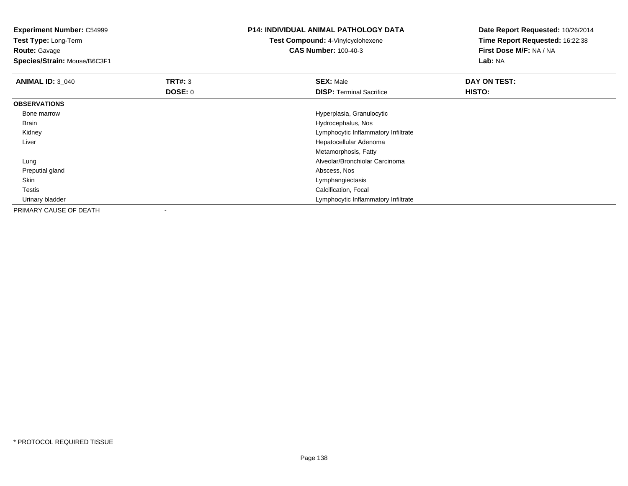**Experiment Number:** C54999**Test Type:** Long-Term**Route:** Gavage **Species/Strain:** Mouse/B6C3F1**P14: INDIVIDUAL ANIMAL PATHOLOGY DATATest Compound:** 4-Vinylcyclohexene**CAS Number:** 100-40-3**Date Report Requested:** 10/26/2014**Time Report Requested:** 16:22:38**First Dose M/F:** NA / NA**Lab:** NA**ANIMAL ID: 3 040 C DAY ON TEST: TRT#:** 3 **SEX:** Male **SEX:** Male **DOSE:** 0**DISP:** Terminal Sacrifice **HISTO: OBSERVATIONS** Bone marrow Hyperplasia, Granulocytic Brain Hydrocephalus, Nos Kidney Lymphocytic Inflammatory Infiltrate Liver Hepatocellular AdenomaMetamorphosis, Fatty Alveolar/Bronchiolar Carcinoma Lung Preputial glandd and the control of the control of the control of the control of the control of the control of the control of the control of the control of the control of the control of the control of the control of the control of the co Skin Lymphangiectasis Testis Calcification, Focal Urinary bladder Lymphocytic Inflammatory InfiltratePRIMARY CAUSE OF DEATH-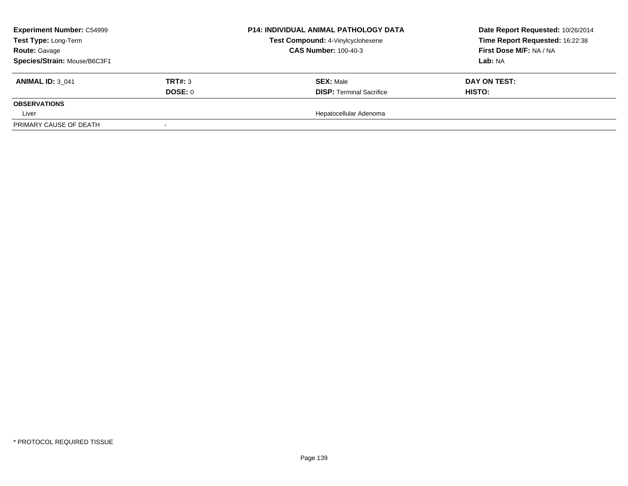| <b>Experiment Number: C54999</b> |         | <b>P14: INDIVIDUAL ANIMAL PATHOLOGY DATA</b> | Date Report Requested: 10/26/2014 |
|----------------------------------|---------|----------------------------------------------|-----------------------------------|
| Test Type: Long-Term             |         | Test Compound: 4-Vinylcyclohexene            | Time Report Requested: 16:22:38   |
| <b>Route: Gavage</b>             |         | <b>CAS Number: 100-40-3</b>                  | First Dose M/F: NA / NA           |
| Species/Strain: Mouse/B6C3F1     |         |                                              | Lab: NA                           |
| <b>ANIMAL ID: 3 041</b>          | TRT#: 3 | <b>SEX: Male</b>                             | DAY ON TEST:                      |
|                                  | DOSE: 0 | <b>DISP: Terminal Sacrifice</b>              | <b>HISTO:</b>                     |
| <b>OBSERVATIONS</b>              |         |                                              |                                   |
| Liver                            |         | Hepatocellular Adenoma                       |                                   |
| PRIMARY CAUSE OF DEATH           |         |                                              |                                   |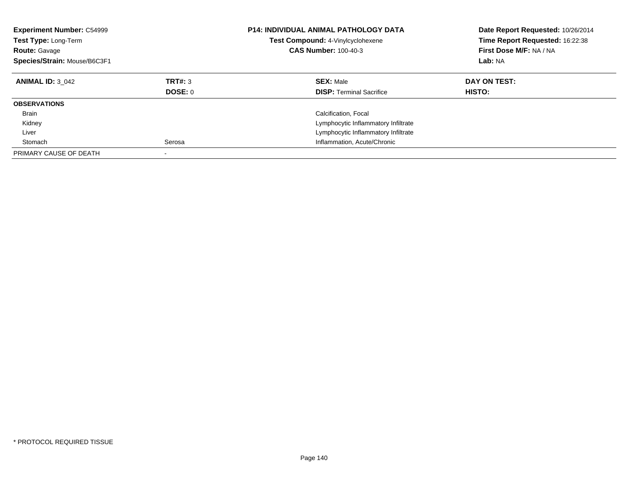| <b>Experiment Number: C54999</b><br>Test Type: Long-Term<br><b>Route: Gavage</b><br>Species/Strain: Mouse/B6C3F1 |                    | <b>P14: INDIVIDUAL ANIMAL PATHOLOGY DATA</b><br>Test Compound: 4-Vinylcyclohexene<br><b>CAS Number: 100-40-3</b> | Date Report Requested: 10/26/2014<br>Time Report Requested: 16:22:38<br>First Dose M/F: NA / NA<br>Lab: NA |
|------------------------------------------------------------------------------------------------------------------|--------------------|------------------------------------------------------------------------------------------------------------------|------------------------------------------------------------------------------------------------------------|
| <b>ANIMAL ID: 3 042</b>                                                                                          | TRT#: 3<br>DOSE: 0 | <b>SEX: Male</b><br><b>DISP:</b> Terminal Sacrifice                                                              | DAY ON TEST:<br>HISTO:                                                                                     |
| <b>OBSERVATIONS</b>                                                                                              |                    |                                                                                                                  |                                                                                                            |
| <b>Brain</b>                                                                                                     |                    | Calcification, Focal                                                                                             |                                                                                                            |
| Kidney                                                                                                           |                    | Lymphocytic Inflammatory Infiltrate                                                                              |                                                                                                            |
| Liver                                                                                                            |                    | Lymphocytic Inflammatory Infiltrate                                                                              |                                                                                                            |
| Stomach                                                                                                          | Serosa             | Inflammation, Acute/Chronic                                                                                      |                                                                                                            |
| PRIMARY CAUSE OF DEATH                                                                                           |                    |                                                                                                                  |                                                                                                            |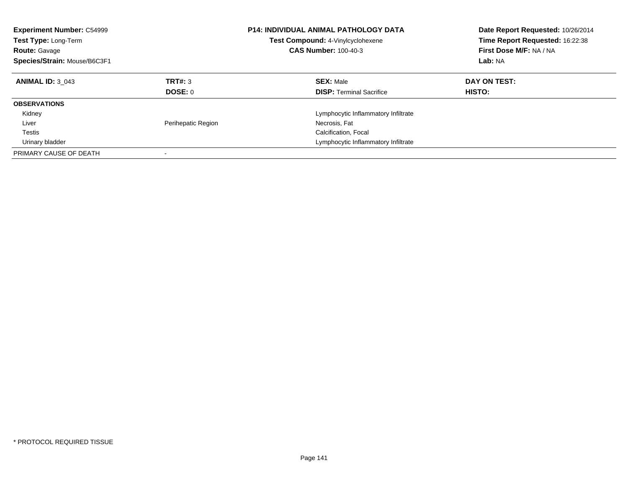| <b>Experiment Number: C54999</b><br><b>Test Type: Long-Term</b><br><b>Route: Gavage</b><br>Species/Strain: Mouse/B6C3F1 |                    | <b>P14: INDIVIDUAL ANIMAL PATHOLOGY DATA</b><br>Test Compound: 4-Vinylcyclohexene<br><b>CAS Number: 100-40-3</b> | Date Report Requested: 10/26/2014<br>Time Report Requested: 16:22:38<br>First Dose M/F: NA / NA<br>Lab: NA |
|-------------------------------------------------------------------------------------------------------------------------|--------------------|------------------------------------------------------------------------------------------------------------------|------------------------------------------------------------------------------------------------------------|
| <b>ANIMAL ID: 3 043</b>                                                                                                 | TRT#: 3<br>DOSE: 0 | <b>SEX: Male</b><br><b>DISP:</b> Terminal Sacrifice                                                              | DAY ON TEST:<br>HISTO:                                                                                     |
| <b>OBSERVATIONS</b>                                                                                                     |                    |                                                                                                                  |                                                                                                            |
| Kidney                                                                                                                  |                    | Lymphocytic Inflammatory Infiltrate                                                                              |                                                                                                            |
| Liver                                                                                                                   | Perihepatic Region | Necrosis, Fat                                                                                                    |                                                                                                            |
| Testis                                                                                                                  |                    | Calcification, Focal                                                                                             |                                                                                                            |
| Urinary bladder                                                                                                         |                    | Lymphocytic Inflammatory Infiltrate                                                                              |                                                                                                            |
| PRIMARY CAUSE OF DEATH                                                                                                  |                    |                                                                                                                  |                                                                                                            |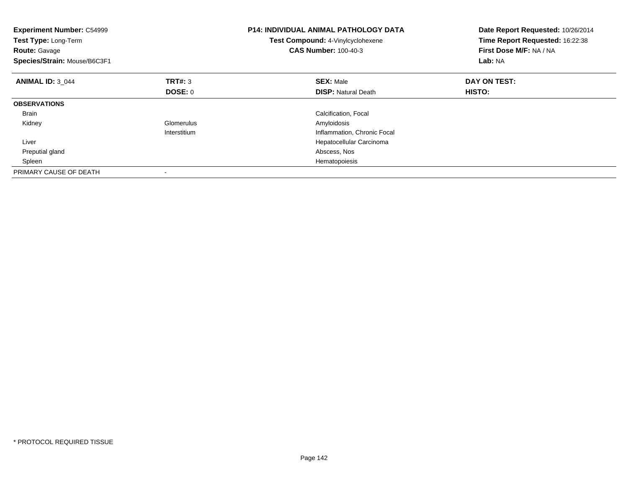| <b>Experiment Number: C54999</b><br>Test Type: Long-Term<br><b>Route: Gavage</b><br>Species/Strain: Mouse/B6C3F1 |                | <b>P14: INDIVIDUAL ANIMAL PATHOLOGY DATA</b><br>Test Compound: 4-Vinylcyclohexene<br><b>CAS Number: 100-40-3</b> | Date Report Requested: 10/26/2014<br>Time Report Requested: 16:22:38<br>First Dose M/F: NA / NA<br>Lab: NA |
|------------------------------------------------------------------------------------------------------------------|----------------|------------------------------------------------------------------------------------------------------------------|------------------------------------------------------------------------------------------------------------|
| <b>ANIMAL ID: 3 044</b>                                                                                          | TRT#: 3        | <b>SEX: Male</b>                                                                                                 | DAY ON TEST:                                                                                               |
|                                                                                                                  | <b>DOSE: 0</b> | <b>DISP:</b> Natural Death                                                                                       | HISTO:                                                                                                     |
| <b>OBSERVATIONS</b>                                                                                              |                |                                                                                                                  |                                                                                                            |
| <b>Brain</b>                                                                                                     |                | Calcification, Focal                                                                                             |                                                                                                            |
| Kidney                                                                                                           | Glomerulus     | Amyloidosis                                                                                                      |                                                                                                            |
|                                                                                                                  | Interstitium   | Inflammation, Chronic Focal                                                                                      |                                                                                                            |
| Liver                                                                                                            |                | Hepatocellular Carcinoma                                                                                         |                                                                                                            |
| Preputial gland                                                                                                  |                | Abscess, Nos                                                                                                     |                                                                                                            |
| Spleen                                                                                                           |                | Hematopoiesis                                                                                                    |                                                                                                            |
| PRIMARY CAUSE OF DEATH                                                                                           |                |                                                                                                                  |                                                                                                            |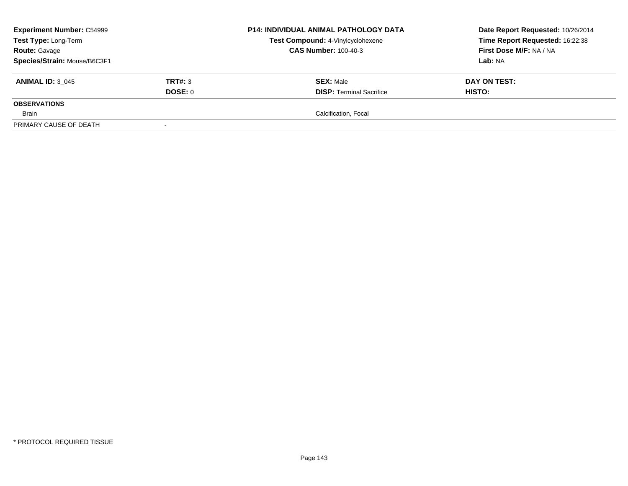| <b>Experiment Number: C54999</b> |         | <b>P14: INDIVIDUAL ANIMAL PATHOLOGY DATA</b> | Date Report Requested: 10/26/2014 |
|----------------------------------|---------|----------------------------------------------|-----------------------------------|
| Test Type: Long-Term             |         | Test Compound: 4-Vinylcyclohexene            | Time Report Requested: 16:22:38   |
| <b>Route: Gavage</b>             |         | <b>CAS Number: 100-40-3</b>                  | First Dose M/F: NA / NA           |
| Species/Strain: Mouse/B6C3F1     |         |                                              | Lab: NA                           |
| <b>ANIMAL ID: 3 045</b>          | TRT#: 3 | <b>SEX: Male</b>                             | DAY ON TEST:                      |
|                                  | DOSE: 0 | <b>DISP: Terminal Sacrifice</b>              | <b>HISTO:</b>                     |
| <b>OBSERVATIONS</b>              |         |                                              |                                   |
| Brain                            |         | Calcification, Focal                         |                                   |
| PRIMARY CAUSE OF DEATH           |         |                                              |                                   |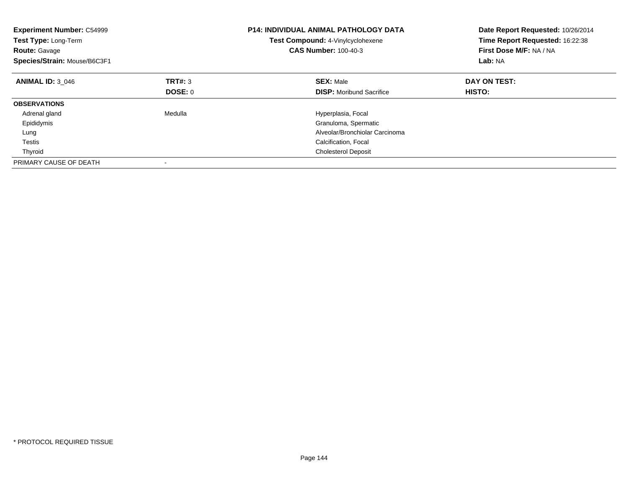| <b>Experiment Number: C54999</b><br>Test Type: Long-Term<br><b>Route: Gavage</b><br>Species/Strain: Mouse/B6C3F1 |         | P14: INDIVIDUAL ANIMAL PATHOLOGY DATA<br>Test Compound: 4-Vinylcyclohexene<br><b>CAS Number: 100-40-3</b> | Date Report Requested: 10/26/2014<br>Time Report Requested: 16:22:38<br>First Dose M/F: NA / NA<br>Lab: NA |
|------------------------------------------------------------------------------------------------------------------|---------|-----------------------------------------------------------------------------------------------------------|------------------------------------------------------------------------------------------------------------|
| <b>ANIMAL ID: 3 046</b>                                                                                          | TRT#: 3 | <b>SEX: Male</b>                                                                                          | DAY ON TEST:                                                                                               |
|                                                                                                                  | DOSE: 0 | <b>DISP:</b> Moribund Sacrifice                                                                           | HISTO:                                                                                                     |
| <b>OBSERVATIONS</b>                                                                                              |         |                                                                                                           |                                                                                                            |
| Adrenal gland                                                                                                    | Medulla | Hyperplasia, Focal                                                                                        |                                                                                                            |
| Epididymis                                                                                                       |         | Granuloma, Spermatic                                                                                      |                                                                                                            |
| Lung                                                                                                             |         | Alveolar/Bronchiolar Carcinoma                                                                            |                                                                                                            |
| Testis                                                                                                           |         | Calcification, Focal                                                                                      |                                                                                                            |
| Thyroid                                                                                                          |         | <b>Cholesterol Deposit</b>                                                                                |                                                                                                            |
| PRIMARY CAUSE OF DEATH                                                                                           |         |                                                                                                           |                                                                                                            |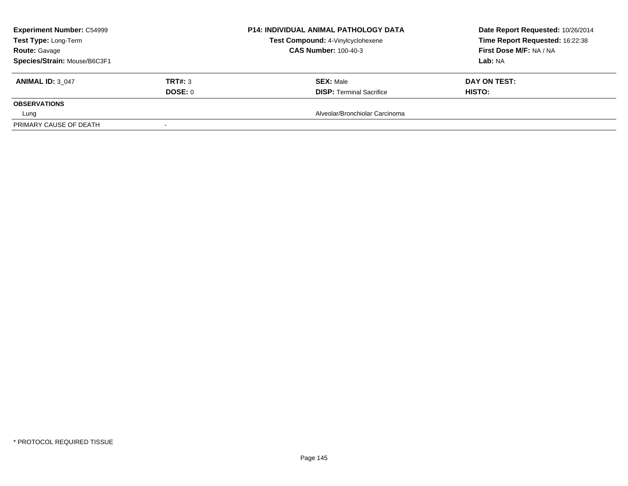| <b>Experiment Number: C54999</b> |                | <b>P14: INDIVIDUAL ANIMAL PATHOLOGY DATA</b><br>Test Compound: 4-Vinylcyclohexene | Date Report Requested: 10/26/2014 |  |
|----------------------------------|----------------|-----------------------------------------------------------------------------------|-----------------------------------|--|
| Test Type: Long-Term             |                |                                                                                   | Time Report Requested: 16:22:38   |  |
| <b>Route: Gavage</b>             |                | <b>CAS Number: 100-40-3</b>                                                       | First Dose M/F: NA / NA           |  |
| Species/Strain: Mouse/B6C3F1     |                |                                                                                   | Lab: NA                           |  |
| <b>ANIMAL ID: 3 047</b>          | <b>TRT#: 3</b> | <b>SEX: Male</b>                                                                  | DAY ON TEST:                      |  |
|                                  | DOSE: 0        | <b>DISP: Terminal Sacrifice</b>                                                   | <b>HISTO:</b>                     |  |
| <b>OBSERVATIONS</b>              |                |                                                                                   |                                   |  |
| Lung                             |                | Alveolar/Bronchiolar Carcinoma                                                    |                                   |  |
| PRIMARY CAUSE OF DEATH           |                |                                                                                   |                                   |  |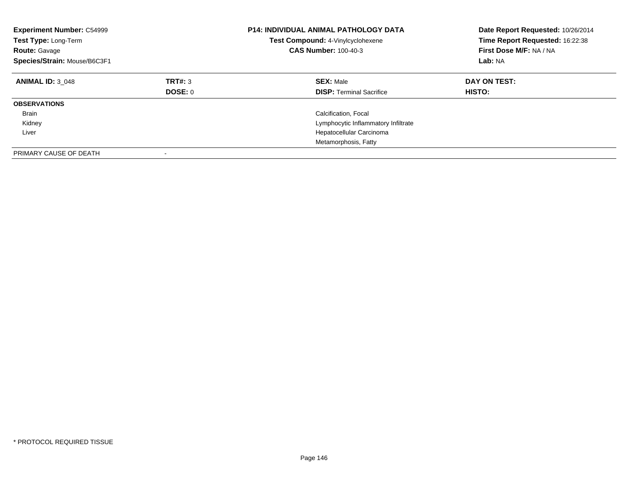| <b>Experiment Number: C54999</b><br>Test Type: Long-Term<br><b>Route: Gavage</b><br>Species/Strain: Mouse/B6C3F1 |                    | <b>P14: INDIVIDUAL ANIMAL PATHOLOGY DATA</b><br>Test Compound: 4-Vinylcyclohexene<br><b>CAS Number: 100-40-3</b> | Date Report Requested: 10/26/2014<br>Time Report Requested: 16:22:38<br>First Dose M/F: NA / NA<br>Lab: NA |
|------------------------------------------------------------------------------------------------------------------|--------------------|------------------------------------------------------------------------------------------------------------------|------------------------------------------------------------------------------------------------------------|
| <b>ANIMAL ID: 3 048</b>                                                                                          | TRT#: 3<br>DOSE: 0 | <b>SEX: Male</b><br><b>DISP:</b> Terminal Sacrifice                                                              | DAY ON TEST:<br>HISTO:                                                                                     |
| <b>OBSERVATIONS</b>                                                                                              |                    |                                                                                                                  |                                                                                                            |
| Brain                                                                                                            |                    | Calcification, Focal                                                                                             |                                                                                                            |
| Kidney                                                                                                           |                    | Lymphocytic Inflammatory Infiltrate                                                                              |                                                                                                            |
| Liver                                                                                                            |                    | Hepatocellular Carcinoma                                                                                         |                                                                                                            |
|                                                                                                                  |                    | Metamorphosis, Fatty                                                                                             |                                                                                                            |
| PRIMARY CAUSE OF DEATH                                                                                           |                    |                                                                                                                  |                                                                                                            |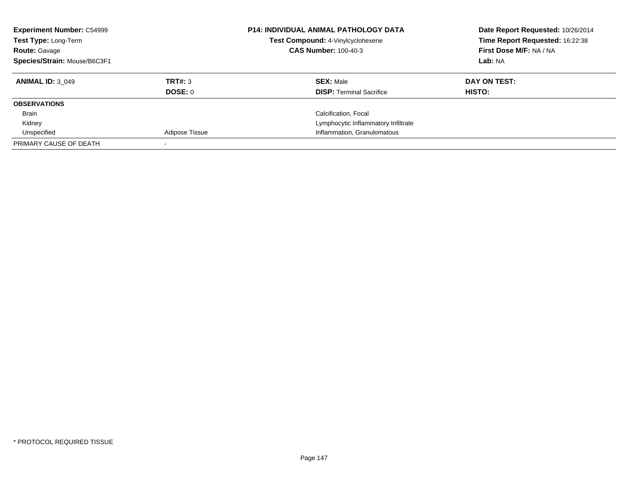| <b>Experiment Number: C54999</b><br>Test Type: Long-Term<br><b>Route: Gavage</b><br>Species/Strain: Mouse/B6C3F1 |                | <b>P14: INDIVIDUAL ANIMAL PATHOLOGY DATA</b><br>Test Compound: 4-Vinylcyclohexene<br><b>CAS Number: 100-40-3</b> | Date Report Requested: 10/26/2014<br>Time Report Requested: 16:22:38<br>First Dose M/F: NA / NA<br>Lab: NA |
|------------------------------------------------------------------------------------------------------------------|----------------|------------------------------------------------------------------------------------------------------------------|------------------------------------------------------------------------------------------------------------|
|                                                                                                                  |                |                                                                                                                  |                                                                                                            |
| <b>ANIMAL ID: 3 049</b>                                                                                          | TRT#: 3        | <b>SEX: Male</b>                                                                                                 | DAY ON TEST:                                                                                               |
|                                                                                                                  | DOSE: 0        | <b>DISP: Terminal Sacrifice</b>                                                                                  | <b>HISTO:</b>                                                                                              |
| <b>OBSERVATIONS</b>                                                                                              |                |                                                                                                                  |                                                                                                            |
| Brain                                                                                                            |                | Calcification, Focal                                                                                             |                                                                                                            |
| Kidney                                                                                                           |                | Lymphocytic Inflammatory Infiltrate                                                                              |                                                                                                            |
| Unspecified                                                                                                      | Adipose Tissue | Inflammation, Granulomatous                                                                                      |                                                                                                            |
| PRIMARY CAUSE OF DEATH                                                                                           |                |                                                                                                                  |                                                                                                            |